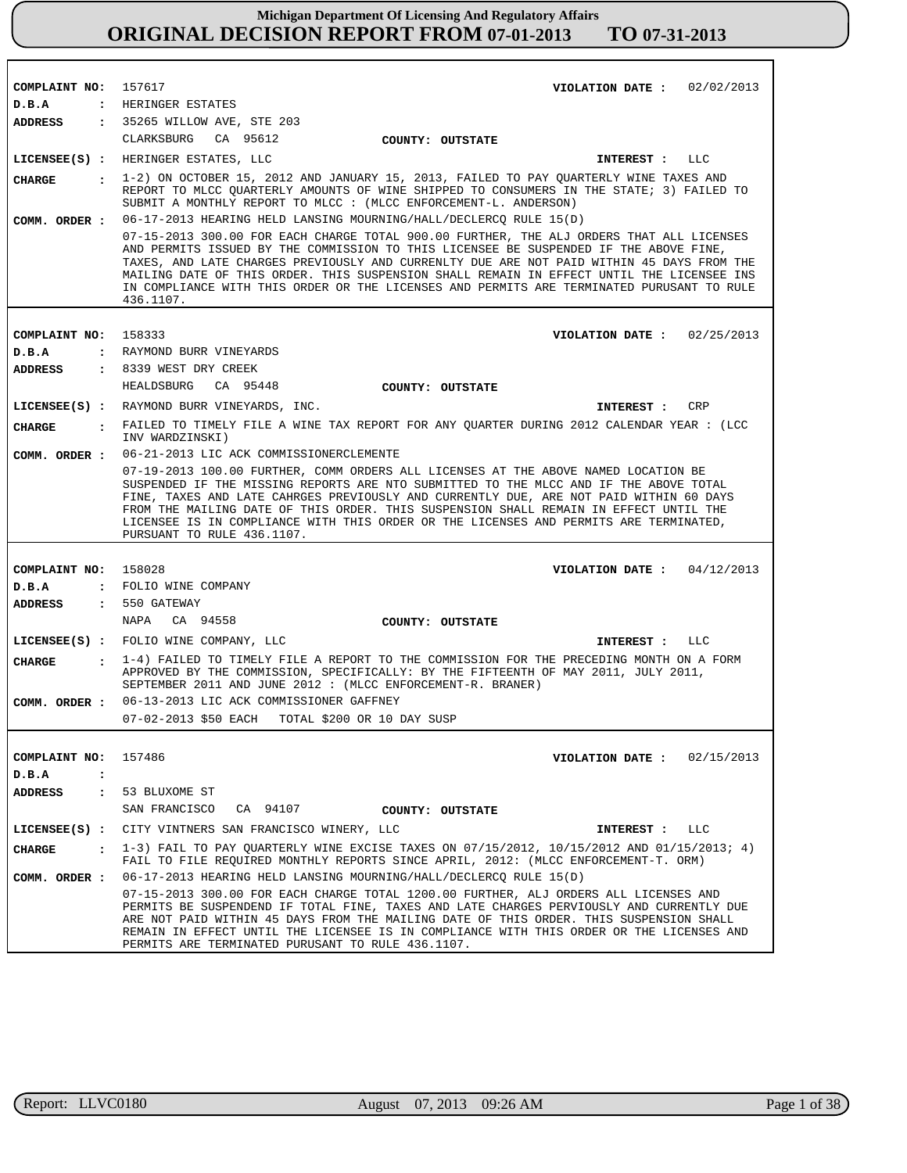| COMPLAINT NO: 157617          | VIOLATION DATE: $02/02/2013$                                                                                                                                                                                                                                                                                                                                                                                                                                                          |
|-------------------------------|---------------------------------------------------------------------------------------------------------------------------------------------------------------------------------------------------------------------------------------------------------------------------------------------------------------------------------------------------------------------------------------------------------------------------------------------------------------------------------------|
| D.B.A                         | : HERINGER ESTATES                                                                                                                                                                                                                                                                                                                                                                                                                                                                    |
|                               | ADDRESS : 35265 WILLOW AVE, STE 203<br>CLARKSBURG CA 95612                                                                                                                                                                                                                                                                                                                                                                                                                            |
|                               | COUNTY: OUTSTATE                                                                                                                                                                                                                                                                                                                                                                                                                                                                      |
|                               | LICENSEE(S) : HERINGER ESTATES, LLC<br>INTEREST : LLC                                                                                                                                                                                                                                                                                                                                                                                                                                 |
| <b>CHARGE</b>                 | $1-2$ ) ON OCTOBER 15, 2012 AND JANUARY 15, 2013, FAILED TO PAY QUARTERLY WINE TAXES AND<br>REPORT TO MLCC QUARTERLY AMOUNTS OF WINE SHIPPED TO CONSUMERS IN THE STATE; 3) FAILED TO<br>SUBMIT A MONTHLY REPORT TO MLCC : (MLCC ENFORCEMENT-L. ANDERSON)                                                                                                                                                                                                                              |
| COMM. ORDER :                 | 06-17-2013 HEARING HELD LANSING MOURNING/HALL/DECLERCQ RULE 15(D)                                                                                                                                                                                                                                                                                                                                                                                                                     |
|                               | 07-15-2013 300.00 FOR EACH CHARGE TOTAL 900.00 FURTHER, THE ALJ ORDERS THAT ALL LICENSES<br>AND PERMITS ISSUED BY THE COMMISSION TO THIS LICENSEE BE SUSPENDED IF THE ABOVE FINE,<br>TAXES, AND LATE CHARGES PREVIOUSLY AND CURRENLTY DUE ARE NOT PAID WITHIN 45 DAYS FROM THE<br>MAILING DATE OF THIS ORDER. THIS SUSPENSION SHALL REMAIN IN EFFECT UNTIL THE LICENSEE INS<br>IN COMPLIANCE WITH THIS ORDER OR THE LICENSES AND PERMITS ARE TERMINATED PURUSANT TO RULE<br>436.1107. |
|                               |                                                                                                                                                                                                                                                                                                                                                                                                                                                                                       |
| COMPLAINT NO: 158333<br>D.B.A | VIOLATION DATE: $02/25/2013$<br>: RAYMOND BURR VINEYARDS                                                                                                                                                                                                                                                                                                                                                                                                                              |
| ADDRESS                       | : 8339 WEST DRY CREEK                                                                                                                                                                                                                                                                                                                                                                                                                                                                 |
|                               | HEALDSBURG CA 95448<br>COUNTY: OUTSTATE                                                                                                                                                                                                                                                                                                                                                                                                                                               |
|                               | LICENSEE(S) : RAYMOND BURR VINEYARDS, INC.<br>INTEREST : CRP                                                                                                                                                                                                                                                                                                                                                                                                                          |
| CHARGE                        | : FAILED TO TIMELY FILE A WINE TAX REPORT FOR ANY QUARTER DURING 2012 CALENDAR YEAR : (LCC                                                                                                                                                                                                                                                                                                                                                                                            |
|                               | INV WARDZINSKI)                                                                                                                                                                                                                                                                                                                                                                                                                                                                       |
| COMM. ORDER :                 | 06-21-2013 LIC ACK COMMISSIONERCLEMENTE                                                                                                                                                                                                                                                                                                                                                                                                                                               |
|                               | 07-19-2013 100.00 FURTHER, COMM ORDERS ALL LICENSES AT THE ABOVE NAMED LOCATION BE<br>SUSPENDED IF THE MISSING REPORTS ARE NTO SUBMITTED TO THE MLCC AND IF THE ABOVE TOTAL<br>FINE, TAXES AND LATE CAHRGES PREVIOUSLY AND CURRENTLY DUE, ARE NOT PAID WITHIN 60 DAYS<br>FROM THE MAILING DATE OF THIS ORDER. THIS SUSPENSION SHALL REMAIN IN EFFECT UNTIL THE<br>LICENSEE IS IN COMPLIANCE WITH THIS ORDER OR THE LICENSES AND PERMITS ARE TERMINATED,<br>PURSUANT TO RULE 436.1107. |
|                               |                                                                                                                                                                                                                                                                                                                                                                                                                                                                                       |
| COMPLAINT NO: 158028          | VIOLATION DATE: $04/12/2013$                                                                                                                                                                                                                                                                                                                                                                                                                                                          |
| D.B.A                         | : FOLIO WINE COMPANY                                                                                                                                                                                                                                                                                                                                                                                                                                                                  |
| ADDRESS                       | $: 550$ GATEWAY                                                                                                                                                                                                                                                                                                                                                                                                                                                                       |
|                               | NAPA CA 94558<br>COUNTY: OUTSTATE                                                                                                                                                                                                                                                                                                                                                                                                                                                     |
|                               | LICENSEE(S) : FOLIO WINE COMPANY, LLC<br>INTEREST : LLC                                                                                                                                                                                                                                                                                                                                                                                                                               |
| <b>CHARGE</b><br>$\mathbf{r}$ | 1-4) FAILED TO TIMELY FILE A REPORT TO THE COMMISSION FOR THE PRECEDING MONTH ON A FORM<br>APPROVED BY THE COMMISSION, SPECIFICALLY: BY THE FIFTEENTH OF MAY 2011, JULY 2011,<br>SEPTEMBER 2011 AND JUNE 2012 : (MLCC ENFORCEMENT-R. BRANER)                                                                                                                                                                                                                                          |
| COMM. ORDER :                 | 06-13-2013 LIC ACK COMMISSIONER GAFFNEY                                                                                                                                                                                                                                                                                                                                                                                                                                               |
|                               | 07-02-2013 \$50 EACH TOTAL \$200 OR 10 DAY SUSP                                                                                                                                                                                                                                                                                                                                                                                                                                       |
|                               |                                                                                                                                                                                                                                                                                                                                                                                                                                                                                       |
| COMPLAINT NO: 157486          | VIOLATION DATE: $02/15/2013$                                                                                                                                                                                                                                                                                                                                                                                                                                                          |
| D.B.A<br>$\ddot{\cdot}$       |                                                                                                                                                                                                                                                                                                                                                                                                                                                                                       |
| ADDRESS                       | : 53 BLUXOME ST                                                                                                                                                                                                                                                                                                                                                                                                                                                                       |
|                               | SAN FRANCISCO<br>CA 94107<br>COUNTY: OUTSTATE                                                                                                                                                                                                                                                                                                                                                                                                                                         |
|                               | LICENSEE(S) : CITY VINTNERS SAN FRANCISCO WINERY, LLC<br>INTEREST : LLC                                                                                                                                                                                                                                                                                                                                                                                                               |
| CHARGE                        | $\pm$ 1-3) FAIL TO PAY QUARTERLY WINE EXCISE TAXES ON 07/15/2012, 10/15/2012 AND 01/15/2013; 4)<br>FAIL TO FILE REQUIRED MONTHLY REPORTS SINCE APRIL, 2012: (MLCC ENFORCEMENT-T. ORM)                                                                                                                                                                                                                                                                                                 |
| COMM. ORDER :                 | 06-17-2013 HEARING HELD LANSING MOURNING/HALL/DECLERCQ RULE 15(D)                                                                                                                                                                                                                                                                                                                                                                                                                     |
|                               | 07-15-2013 300.00 FOR EACH CHARGE TOTAL 1200.00 FURTHER, ALJ ORDERS ALL LICENSES AND<br>PERMITS BE SUSPENDEND IF TOTAL FINE, TAXES AND LATE CHARGES PERVIOUSLY AND CURRENTLY DUE<br>ARE NOT PAID WITHIN 45 DAYS FROM THE MAILING DATE OF THIS ORDER. THIS SUSPENSION SHALL<br>REMAIN IN EFFECT UNTIL THE LICENSEE IS IN COMPLIANCE WITH THIS ORDER OR THE LICENSES AND<br>PERMITS ARE TERMINATED PURUSANT TO RULE 436.1107.                                                           |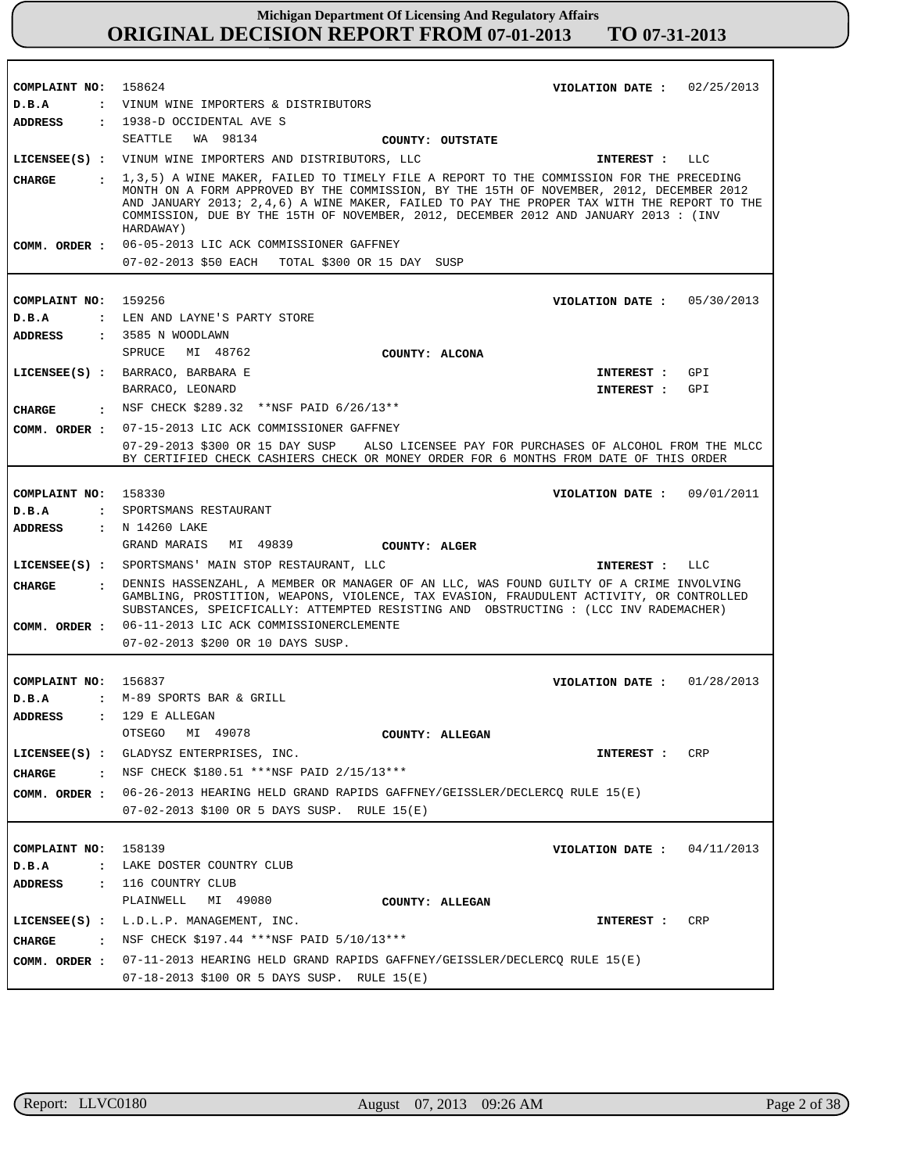| COMPLAINT NO: 158624   | VIOLATION DATE: $02/25/2013$                                                                                                                                                                                                                                                                                                                                                             |
|------------------------|------------------------------------------------------------------------------------------------------------------------------------------------------------------------------------------------------------------------------------------------------------------------------------------------------------------------------------------------------------------------------------------|
| D.B.A                  | : VINUM WINE IMPORTERS & DISTRIBUTORS                                                                                                                                                                                                                                                                                                                                                    |
| ADDRESS                | : 1938-D OCCIDENTAL AVE S                                                                                                                                                                                                                                                                                                                                                                |
|                        | SEATTLE WA 98134<br>COUNTY: OUTSTATE                                                                                                                                                                                                                                                                                                                                                     |
|                        | LICENSEE(S) : VINUM WINE IMPORTERS AND DISTRIBUTORS, LLC<br>INTEREST : LLC                                                                                                                                                                                                                                                                                                               |
| CHARGE                 | : 1,3,5) A WINE MAKER, FAILED TO TIMELY FILE A REPORT TO THE COMMISSION FOR THE PRECEDING<br>MONTH ON A FORM APPROVED BY THE COMMISSION, BY THE 15TH OF NOVEMBER, 2012, DECEMBER 2012<br>AND JANUARY 2013; 2,4,6) A WINE MAKER, FAILED TO PAY THE PROPER TAX WITH THE REPORT TO THE<br>COMMISSION, DUE BY THE 15TH OF NOVEMBER, 2012, DECEMBER 2012 AND JANUARY 2013 : (INV<br>HARDAWAY) |
|                        | COMM. ORDER : 06-05-2013 LIC ACK COMMISSIONER GAFFNEY                                                                                                                                                                                                                                                                                                                                    |
|                        | 07-02-2013 \$50 EACH TOTAL \$300 OR 15 DAY SUSP                                                                                                                                                                                                                                                                                                                                          |
|                        |                                                                                                                                                                                                                                                                                                                                                                                          |
| COMPLAINT NO: 159256   | VIOLATION DATE : $05/30/2013$                                                                                                                                                                                                                                                                                                                                                            |
| D.B.A                  | : LEN AND LAYNE'S PARTY STORE                                                                                                                                                                                                                                                                                                                                                            |
| <b>ADDRESS</b>         | : 3585 N WOODLAWN                                                                                                                                                                                                                                                                                                                                                                        |
|                        | SPRUCE<br>MI 48762<br>COUNTY: ALCONA                                                                                                                                                                                                                                                                                                                                                     |
|                        | LICENSEE(S) : BARRACO, BARBARA E<br>GPI<br>INTEREST :                                                                                                                                                                                                                                                                                                                                    |
|                        | GPI                                                                                                                                                                                                                                                                                                                                                                                      |
|                        | BARRACO, LEONARD<br>INTEREST :                                                                                                                                                                                                                                                                                                                                                           |
| CHARGE                 | . NSF CHECK \$289.32 ** NSF PAID 6/26/13**                                                                                                                                                                                                                                                                                                                                               |
|                        | COMM. ORDER : 07-15-2013 LIC ACK COMMISSIONER GAFFNEY                                                                                                                                                                                                                                                                                                                                    |
|                        | 07-29-2013 \$300 OR 15 DAY SUSP ALSO LICENSEE PAY FOR PURCHASES OF ALCOHOL FROM THE MLCC<br>BY CERTIFIED CHECK CASHIERS CHECK OR MONEY ORDER FOR 6 MONTHS FROM DATE OF THIS ORDER                                                                                                                                                                                                        |
|                        |                                                                                                                                                                                                                                                                                                                                                                                          |
| COMPLAINT NO: 158330   | VIOLATION DATE: $09/01/2011$                                                                                                                                                                                                                                                                                                                                                             |
| D.B.A                  | : SPORTSMANS RESTAURANT                                                                                                                                                                                                                                                                                                                                                                  |
| <b>ADDRESS</b>         | : N 14260 LAKE                                                                                                                                                                                                                                                                                                                                                                           |
|                        | GRAND MARAIS MI 49839                                                                                                                                                                                                                                                                                                                                                                    |
|                        | COUNTY: ALGER                                                                                                                                                                                                                                                                                                                                                                            |
|                        | LICENSEE(S) : SPORTSMANS' MAIN STOP RESTAURANT, LLC<br>INTEREST : LLC                                                                                                                                                                                                                                                                                                                    |
| CHARGE<br>$\mathbf{r}$ | DENNIS HASSENZAHL, A MEMBER OR MANAGER OF AN LLC, WAS FOUND GUILTY OF A CRIME INVOLVING<br>GAMBLING, PROSTITION, WEAPONS, VIOLENCE, TAX EVASION, FRAUDULENT ACTIVITY, OR CONTROLLED<br>SUBSTANCES, SPEICFICALLY: ATTEMPTED RESISTING AND OBSTRUCTING : (LCC INV RADEMACHER)                                                                                                              |
| COMM. ORDER :          | 06-11-2013 LIC ACK COMMISSIONERCLEMENTE                                                                                                                                                                                                                                                                                                                                                  |
|                        | 07-02-2013 \$200 OR 10 DAYS SUSP.                                                                                                                                                                                                                                                                                                                                                        |
|                        |                                                                                                                                                                                                                                                                                                                                                                                          |
| COMPLAINT NO: 156837   | VIOLATION DATE: $01/28/2013$                                                                                                                                                                                                                                                                                                                                                             |
| D.B.A                  | : M-89 SPORTS BAR & GRILL                                                                                                                                                                                                                                                                                                                                                                |
| <b>ADDRESS</b>         | $: 129$ E ALLEGAN                                                                                                                                                                                                                                                                                                                                                                        |
|                        | MI 49078<br>OTSEGO<br>COUNTY: ALLEGAN                                                                                                                                                                                                                                                                                                                                                    |
|                        | LICENSEE(S) : GLADYSZ ENTERPRISES, INC.<br>CRP<br><b>INTEREST :</b>                                                                                                                                                                                                                                                                                                                      |
| CHARGE                 | . NSF CHECK \$180.51 ***NSF PAID 2/15/13***                                                                                                                                                                                                                                                                                                                                              |
|                        |                                                                                                                                                                                                                                                                                                                                                                                          |
|                        | COMM. ORDER : 06-26-2013 HEARING HELD GRAND RAPIDS GAFFNEY/GEISSLER/DECLERCQ RULE 15(E)                                                                                                                                                                                                                                                                                                  |
|                        | 07-02-2013 \$100 OR 5 DAYS SUSP. RULE 15(E)                                                                                                                                                                                                                                                                                                                                              |
|                        |                                                                                                                                                                                                                                                                                                                                                                                          |
| COMPLAINT NO:          | 158139<br>VIOLATION DATE :<br>04/11/2013                                                                                                                                                                                                                                                                                                                                                 |
| D.B.A                  | : LAKE DOSTER COUNTRY CLUB                                                                                                                                                                                                                                                                                                                                                               |
| <b>ADDRESS</b>         | : 116 COUNTRY CLUB                                                                                                                                                                                                                                                                                                                                                                       |
|                        | PLAINWELL MI 49080<br>COUNTY: ALLEGAN                                                                                                                                                                                                                                                                                                                                                    |
|                        | LICENSEE(S) : L.D.L.P. MANAGEMENT, INC.<br>INTEREST :<br>CRP                                                                                                                                                                                                                                                                                                                             |
| <b>CHARGE</b>          | : NSF CHECK \$197.44 ***NSF PAID 5/10/13***                                                                                                                                                                                                                                                                                                                                              |
|                        | COMM. ORDER : 07-11-2013 HEARING HELD GRAND RAPIDS GAFFNEY/GEISSLER/DECLERCQ RULE 15(E)                                                                                                                                                                                                                                                                                                  |
|                        | 07-18-2013 \$100 OR 5 DAYS SUSP. RULE $15(E)$                                                                                                                                                                                                                                                                                                                                            |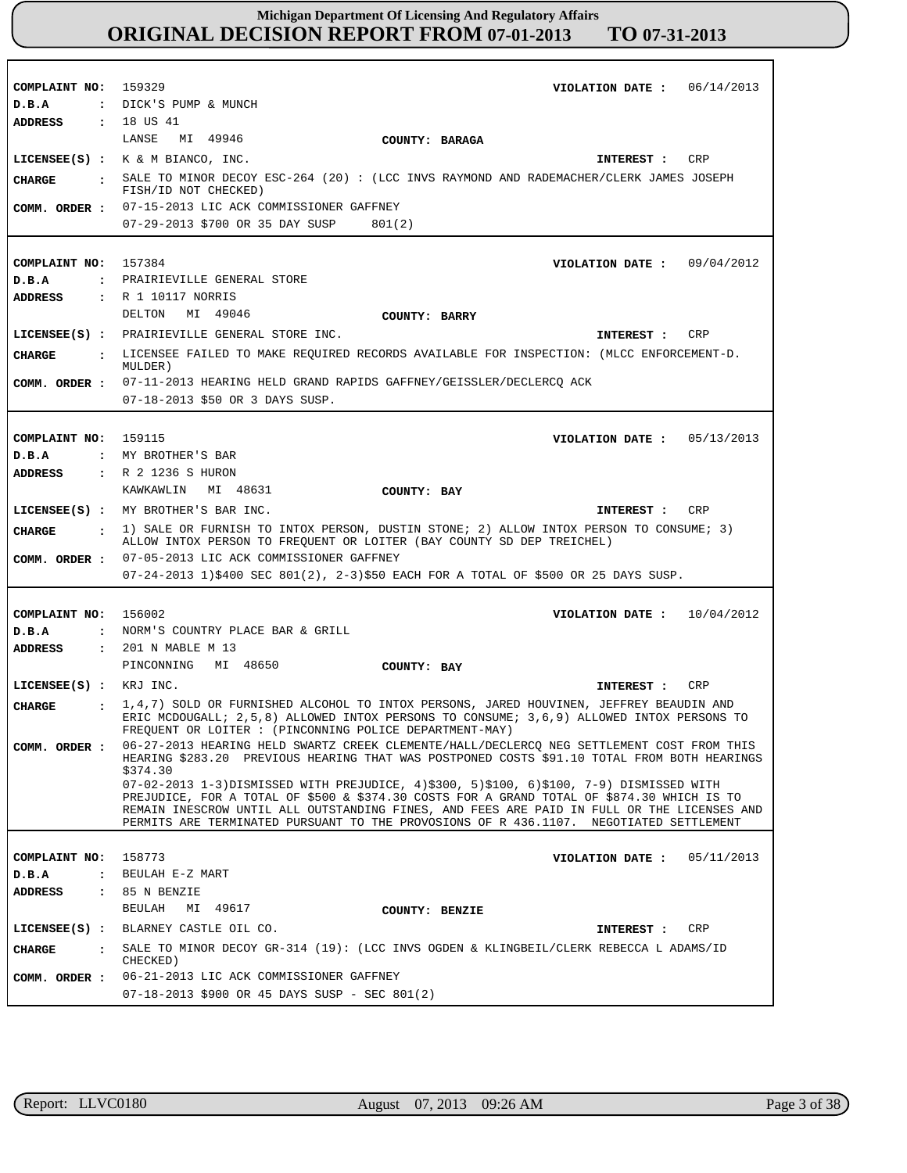| COMPLAINT NO: 159329           | VIOLATION DATE: $06/14/2013$                                                                                                                                                                                                                                                       |
|--------------------------------|------------------------------------------------------------------------------------------------------------------------------------------------------------------------------------------------------------------------------------------------------------------------------------|
| D.B.A                          | : DICK'S PUMP & MUNCH                                                                                                                                                                                                                                                              |
| ADDRESS                        | : 18 US 41                                                                                                                                                                                                                                                                         |
|                                | LANSE<br>MI 49946<br>COUNTY: BARAGA                                                                                                                                                                                                                                                |
|                                | LICENSEE $(S)$ : $K \& M$ BIANCO, INC.<br>CRP<br>INTEREST :                                                                                                                                                                                                                        |
| CHARGE<br>$\ddot{\phantom{a}}$ | SALE TO MINOR DECOY ESC-264 (20) : (LCC INVS RAYMOND AND RADEMACHER/CLERK JAMES JOSEPH<br>FISH/ID NOT CHECKED)                                                                                                                                                                     |
| COMM. ORDER :                  | 07-15-2013 LIC ACK COMMISSIONER GAFFNEY                                                                                                                                                                                                                                            |
|                                | 07-29-2013 \$700 OR 35 DAY SUSP<br>801(2)                                                                                                                                                                                                                                          |
|                                |                                                                                                                                                                                                                                                                                    |
| COMPLAINT NO: 157384           | VIOLATION DATE: $09/04/2012$                                                                                                                                                                                                                                                       |
| D.B.A                          | : PRAIRIEVILLE GENERAL STORE                                                                                                                                                                                                                                                       |
| <b>ADDRESS</b>                 | : R 1 10117 NORRIS                                                                                                                                                                                                                                                                 |
|                                | DELTON MI 49046<br>COUNTY: BARRY                                                                                                                                                                                                                                                   |
|                                | LICENSEE(S) : PRAIRIEVILLE GENERAL STORE INC.<br>CRP<br>INTEREST :                                                                                                                                                                                                                 |
| <b>CHARGE</b><br>$\cdot$ :     | LICENSEE FAILED TO MAKE REQUIRED RECORDS AVAILABLE FOR INSPECTION: (MLCC ENFORCEMENT-D.<br>MULDER)                                                                                                                                                                                 |
| COMM. ORDER :                  | 07-11-2013 HEARING HELD GRAND RAPIDS GAFFNEY/GEISSLER/DECLERCQ ACK                                                                                                                                                                                                                 |
|                                | 07-18-2013 \$50 OR 3 DAYS SUSP.                                                                                                                                                                                                                                                    |
|                                |                                                                                                                                                                                                                                                                                    |
| COMPLAINT NO: 159115           | VIOLATION DATE: $05/13/2013$                                                                                                                                                                                                                                                       |
| D.B.A                          | : MY BROTHER'S BAR                                                                                                                                                                                                                                                                 |
| <b>ADDRESS</b>                 | : R 2 1236 S HURON                                                                                                                                                                                                                                                                 |
|                                | KAWKAWLIN MI 48631<br>COUNTY: BAY                                                                                                                                                                                                                                                  |
|                                | LICENSEE(S) : MY BROTHER'S BAR INC.<br>CRP<br>INTEREST :                                                                                                                                                                                                                           |
| CHARGE<br>$\sim$ $\sim$        | 1) SALE OR FURNISH TO INTOX PERSON, DUSTIN STONE; 2) ALLOW INTOX PERSON TO CONSUME; 3)<br>ALLOW INTOX PERSON TO FREQUENT OR LOITER (BAY COUNTY SD DEP TREICHEL)                                                                                                                    |
| COMM. ORDER :                  | 07-05-2013 LIC ACK COMMISSIONER GAFFNEY                                                                                                                                                                                                                                            |
|                                | 07-24-2013 1)\$400 SEC 801(2), 2-3)\$50 EACH FOR A TOTAL OF \$500 OR 25 DAYS SUSP.                                                                                                                                                                                                 |
|                                |                                                                                                                                                                                                                                                                                    |
| COMPLAINT NO: 156002           | 10/04/2012<br>VIOLATION DATE :                                                                                                                                                                                                                                                     |
| D.B.A                          | : NORM'S COUNTRY PLACE BAR & GRILL                                                                                                                                                                                                                                                 |
| <b>ADDRESS</b>                 | : 201 N MABLE M 13                                                                                                                                                                                                                                                                 |
|                                | PINCONNING<br>MI 48650<br>COUNTY: BAY                                                                                                                                                                                                                                              |
| LICENSEE(S) : KRJ INC.         | CRP<br>INTEREST :                                                                                                                                                                                                                                                                  |
| CHARGE<br>$\ddot{\phantom{a}}$ | 1,4,7) SOLD OR FURNISHED ALCOHOL TO INTOX PERSONS, JARED HOUVINEN, JEFFREY BEAUDIN AND<br>ERIC MCDOUGALL; 2,5,8) ALLOWED INTOX PERSONS TO CONSUME; 3,6,9) ALLOWED INTOX PERSONS TO<br>FREQUENT OR LOITER : (PINCONNING POLICE DEPARTMENT-MAY)                                      |
| COMM. ORDER :                  | 06-27-2013 HEARING HELD SWARTZ CREEK CLEMENTE/HALL/DECLERCO NEG SETTLEMENT COST FROM THIS<br>HEARING \$283.20 PREVIOUS HEARING THAT WAS POSTPONED COSTS \$91.10 TOTAL FROM BOTH HEARINGS                                                                                           |
|                                | \$374.30<br>07-02-2013 1-3)DISMISSED WITH PREJUDICE, 4)\$300, 5)\$100, 6)\$100, 7-9) DISMISSED WITH                                                                                                                                                                                |
|                                | PREJUDICE, FOR A TOTAL OF \$500 & \$374.30 COSTS FOR A GRAND TOTAL OF \$874.30 WHICH IS TO<br>REMAIN INESCROW UNTIL ALL OUTSTANDING FINES, AND FEES ARE PAID IN FULL OR THE LICENSES AND<br>PERMITS ARE TERMINATED PURSUANT TO THE PROVOSIONS OF R 436.1107. NEGOTIATED SETTLEMENT |
|                                |                                                                                                                                                                                                                                                                                    |
| COMPLAINT NO:                  | 158773<br>VIOLATION DATE :<br>05/11/2013                                                                                                                                                                                                                                           |
| D.B.A                          | : BEULAH E-Z MART                                                                                                                                                                                                                                                                  |
| <b>ADDRESS</b>                 | $: 85$ N BENZIE                                                                                                                                                                                                                                                                    |
|                                | BEULAH MI 49617<br>COUNTY: BENZIE                                                                                                                                                                                                                                                  |
|                                | LICENSEE(S) : BLARNEY CASTLE OIL CO.<br>CRP<br>INTEREST :                                                                                                                                                                                                                          |
| CHARGE<br>$\mathbf{r}$         | SALE TO MINOR DECOY GR-314 (19): (LCC INVS OGDEN & KLINGBEIL/CLERK REBECCA L ADAMS/ID<br>CHECKED)                                                                                                                                                                                  |
| COMM. ORDER :                  | 06-21-2013 LIC ACK COMMISSIONER GAFFNEY<br>07-18-2013 \$900 OR 45 DAYS SUSP - SEC 801(2)                                                                                                                                                                                           |

r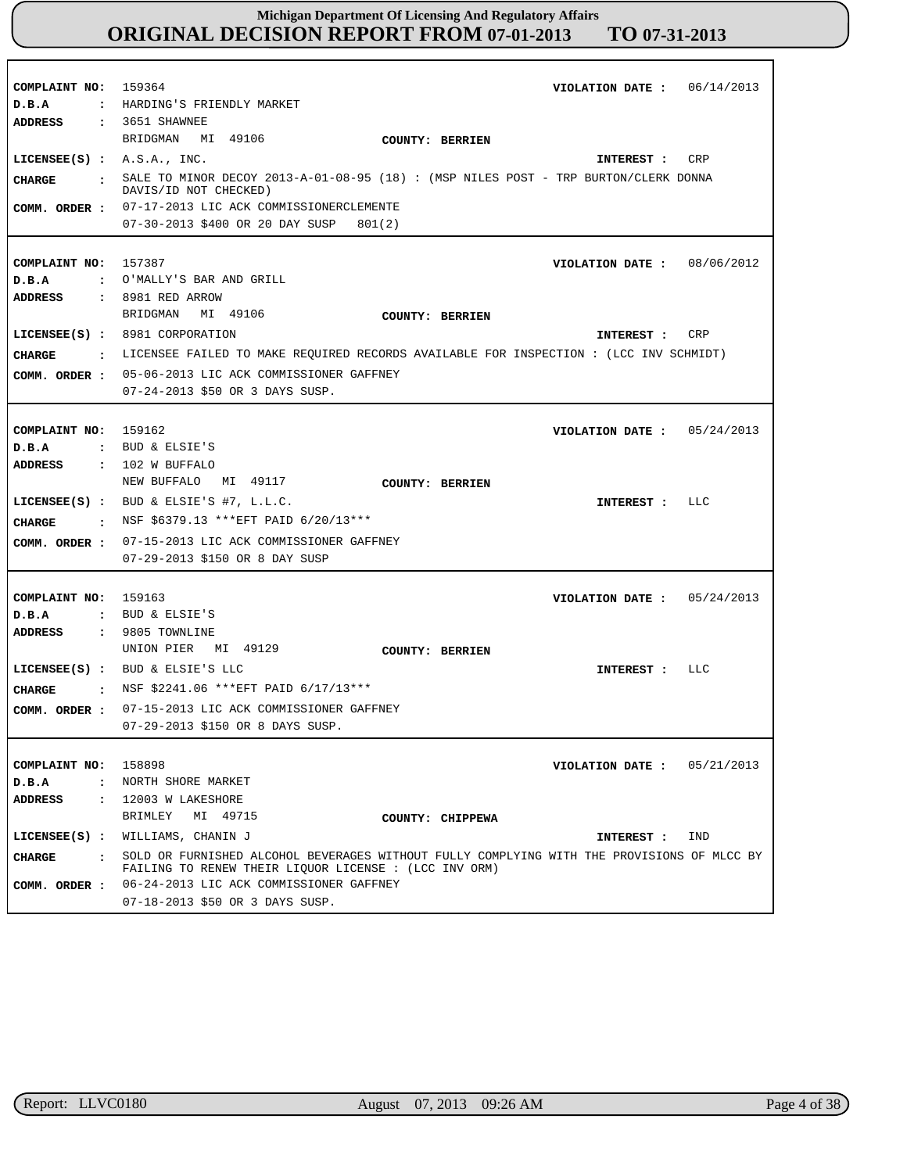| COMPLAINT NO: 159364<br>D.B.A<br><b>ADDRESS</b> | VIOLATION DATE: $06/14/2013$<br>: HARDING'S FRIENDLY MARKET<br>: 3651 SHAWNEE                                                                       |
|-------------------------------------------------|-----------------------------------------------------------------------------------------------------------------------------------------------------|
|                                                 | BRIDGMAN MI 49106<br><b>COUNTY: BERRIEN</b>                                                                                                         |
| LICENSEE $(S)$ : $A.S.A., INC.$                 | CRP<br>INTEREST :                                                                                                                                   |
| <b>CHARGE</b>                                   | . SALE TO MINOR DECOY 2013-A-01-08-95 (18) : (MSP NILES POST - TRP BURTON/CLERK DONNA<br>DAVIS/ID NOT CHECKED)                                      |
|                                                 | COMM. ORDER : 07-17-2013 LIC ACK COMMISSIONERCLEMENTE                                                                                               |
|                                                 | 07-30-2013 \$400 OR 20 DAY SUSP<br>801(2)                                                                                                           |
|                                                 |                                                                                                                                                     |
| COMPLAINT NO:                                   | VIOLATION DATE: 08/06/2012<br>157387                                                                                                                |
| D.B.A                                           | : O'MALLY'S BAR AND GRILL                                                                                                                           |
| ADDRESS                                         | : 8981 RED ARROW                                                                                                                                    |
|                                                 | BRIDGMAN<br>MI 49106<br>COUNTY: BERRIEN                                                                                                             |
|                                                 | LICENSEE(S) : 8981 CORPORATION<br>CRP<br>INTEREST :                                                                                                 |
| CIIARGE                                         | . LICENSEE FAILED TO MAKE REQUIRED RECORDS AVAILABLE FOR INSPECTION : (LCC INV SCHMIDT)                                                             |
|                                                 | COMM. ORDER : 05-06-2013 LIC ACK COMMISSIONER GAFFNEY                                                                                               |
|                                                 | 07-24-2013 \$50 OR 3 DAYS SUSP.                                                                                                                     |
|                                                 |                                                                                                                                                     |
| COMPLAINT NO: 159162                            | VIOLATION DATE: $05/24/2013$                                                                                                                        |
| D.B.A                                           | : BUD & ELSIE'S                                                                                                                                     |
| ADDRESS                                         | : 102 W BUFFALO                                                                                                                                     |
|                                                 | NEW BUFFALO<br>MI 49117<br><b>COUNTY: BERRIEN</b>                                                                                                   |
|                                                 | LICENSEE(S) : BUD & ELSIE'S #7, L.L.C.<br>LLC<br>INTEREST :                                                                                         |
| <b>CHARGE</b>                                   | : NSF \$6379.13 ***EFT PAID 6/20/13***                                                                                                              |
| COMM. ORDER :                                   | 07-15-2013 LIC ACK COMMISSIONER GAFFNEY                                                                                                             |
|                                                 | 07-29-2013 \$150 OR 8 DAY SUSP                                                                                                                      |
|                                                 |                                                                                                                                                     |
| COMPLAINT NO: 159163                            | VIOLATION DATE: $05/24/2013$                                                                                                                        |
| D.B.A                                           | : BUD & ELSIE'S                                                                                                                                     |
| ADDRESS                                         | $: 9805$ TOWNLINE                                                                                                                                   |
|                                                 | UNION PIER MI 49129<br><b>COUNTY: BERRIEN</b>                                                                                                       |
|                                                 | LICENSEE(S) : BUD & ELSIE'S LLC<br>INTEREST : LLC                                                                                                   |
| CIIARGE                                         | : NSF \$2241.06 ***EFT PAID $6/17/13***$                                                                                                            |
|                                                 | 07-15-2013 LIC ACK COMMISSIONER GAFFNEY                                                                                                             |
| COMM. ORDER :                                   | 07-29-2013 \$150 OR 8 DAYS SUSP.                                                                                                                    |
|                                                 |                                                                                                                                                     |
| COMPLAINT NO:                                   | 158898<br>05/21/2013<br>VIOLATION DATE :                                                                                                            |
| D.B.A<br>$\ddot{\cdot}$                         | NORTH SHORE MARKET                                                                                                                                  |
| ADDRESS<br>$\ddot{\phantom{a}}$                 | 12003 W LAKESHORE                                                                                                                                   |
|                                                 | BRIMLEY<br>MI 49715<br>COUNTY: CHIPPEWA                                                                                                             |
| $LICENSEE(S)$ :                                 | WILLIAMS, CHANIN J<br>IND<br>INTEREST :                                                                                                             |
|                                                 |                                                                                                                                                     |
| <b>CHARGE</b><br>$\cdot$ .                      | SOLD OR FURNISHED ALCOHOL BEVERAGES WITHOUT FULLY COMPLYING WITH THE PROVISIONS OF MLCC BY<br>FAILING TO RENEW THEIR LIQUOR LICENSE : (LCC INV ORM) |
| COMM. ORDER :                                   | 06-24-2013 LIC ACK COMMISSIONER GAFFNEY                                                                                                             |
|                                                 | 07-18-2013 \$50 OR 3 DAYS SUSP.                                                                                                                     |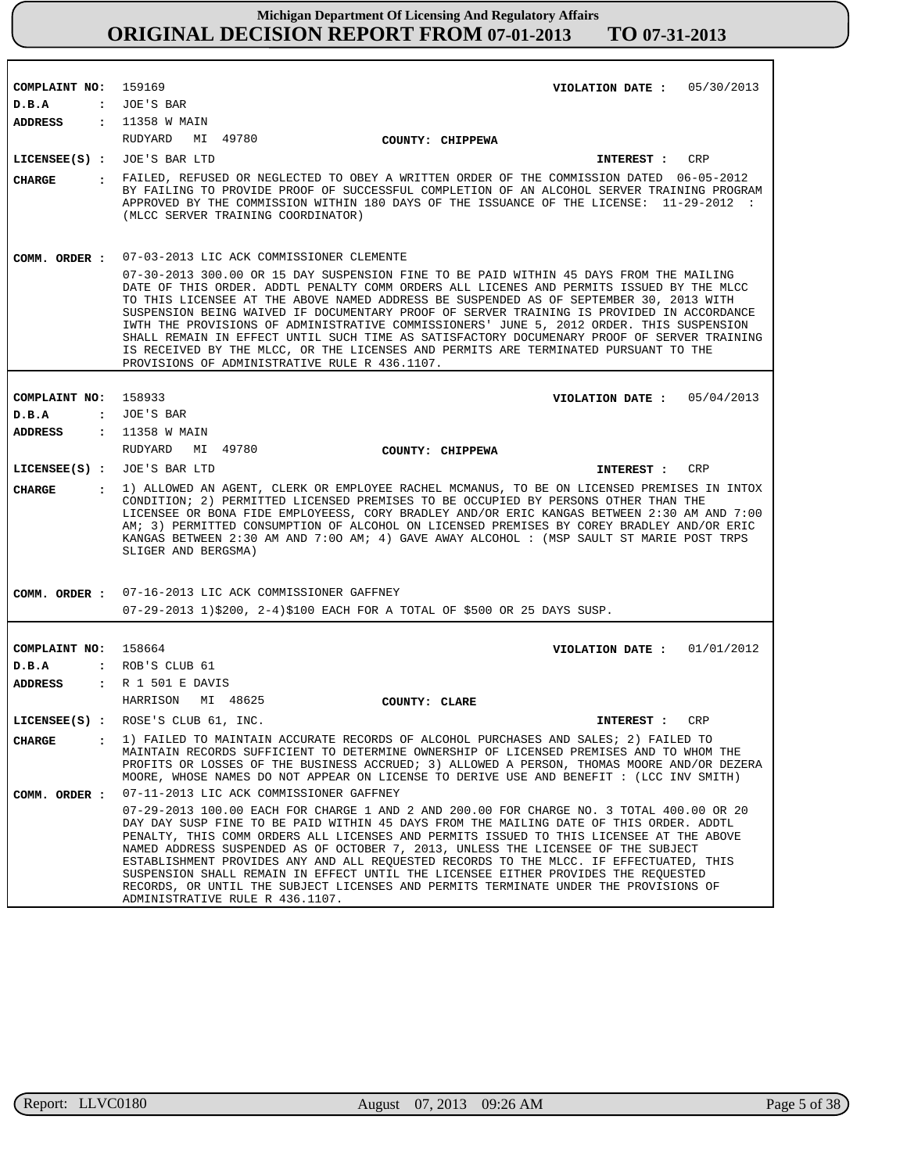| COMPLAINT NO: 159169                  | VIOLATION DATE: $05/30/2013$                                                                                                                                                                                                                                                                                                                                                                                                                                                                                                                                                                                                                                                                                |
|---------------------------------------|-------------------------------------------------------------------------------------------------------------------------------------------------------------------------------------------------------------------------------------------------------------------------------------------------------------------------------------------------------------------------------------------------------------------------------------------------------------------------------------------------------------------------------------------------------------------------------------------------------------------------------------------------------------------------------------------------------------|
| D.B.A                                 | : JOE'S BAR                                                                                                                                                                                                                                                                                                                                                                                                                                                                                                                                                                                                                                                                                                 |
| ADDRESS                               | : 11358 W MAIN                                                                                                                                                                                                                                                                                                                                                                                                                                                                                                                                                                                                                                                                                              |
|                                       | RUDYARD<br>MI 49780<br>COUNTY: CHIPPEWA                                                                                                                                                                                                                                                                                                                                                                                                                                                                                                                                                                                                                                                                     |
|                                       | LICENSEE(S) : JOE'S BAR LTD<br>CRP<br>INTEREST :                                                                                                                                                                                                                                                                                                                                                                                                                                                                                                                                                                                                                                                            |
| CHARGE                                | : FAILED, REFUSED OR NEGLECTED TO OBEY A WRITTEN ORDER OF THE COMMISSION DATED 06-05-2012<br>BY FAILING TO PROVIDE PROOF OF SUCCESSFUL COMPLETION OF AN ALCOHOL SERVER TRAINING PROGRAM<br>APPROVED BY THE COMMISSION WITHIN 180 DAYS OF THE ISSUANCE OF THE LICENSE: 11-29-2012 :<br>(MLCC SERVER TRAINING COORDINATOR)                                                                                                                                                                                                                                                                                                                                                                                    |
| COMM. ORDER :                         | 07-03-2013 LIC ACK COMMISSIONER CLEMENTE                                                                                                                                                                                                                                                                                                                                                                                                                                                                                                                                                                                                                                                                    |
|                                       | 07-30-2013 300.00 OR 15 DAY SUSPENSION FINE TO BE PAID WITHIN 45 DAYS FROM THE MAILING<br>DATE OF THIS ORDER. ADDTL PENALTY COMM ORDERS ALL LICENES AND PERMITS ISSUED BY THE MLCC<br>TO THIS LICENSEE AT THE ABOVE NAMED ADDRESS BE SUSPENDED AS OF SEPTEMBER 30, 2013 WITH<br>SUSPENSION BEING WAIVED IF DOCUMENTARY PROOF OF SERVER TRAINING IS PROVIDED IN ACCORDANCE<br>IWTH THE PROVISIONS OF ADMINISTRATIVE COMMISSIONERS' JUNE 5, 2012 ORDER. THIS SUSPENSION<br>SHALL REMAIN IN EFFECT UNTIL SUCH TIME AS SATISFACTORY DOCUMENARY PROOF OF SERVER TRAINING<br>IS RECEIVED BY THE MLCC, OR THE LICENSES AND PERMITS ARE TERMINATED PURSUANT TO THE<br>PROVISIONS OF ADMINISTRATIVE RULE R 436.1107. |
|                                       |                                                                                                                                                                                                                                                                                                                                                                                                                                                                                                                                                                                                                                                                                                             |
| COMPLAINT NO: 158933                  | VIOLATION DATE: $05/04/2013$                                                                                                                                                                                                                                                                                                                                                                                                                                                                                                                                                                                                                                                                                |
| D.B.A                                 | : JOE'S BAR                                                                                                                                                                                                                                                                                                                                                                                                                                                                                                                                                                                                                                                                                                 |
| ADDRESS : 11358 W MAIN                |                                                                                                                                                                                                                                                                                                                                                                                                                                                                                                                                                                                                                                                                                                             |
|                                       | RUDYARD MI 49780<br><b>COUNTY: CHIPPEWA</b>                                                                                                                                                                                                                                                                                                                                                                                                                                                                                                                                                                                                                                                                 |
| LICENSEE(S) : JOE'S BAR LTD           | CRP<br>INTEREST :                                                                                                                                                                                                                                                                                                                                                                                                                                                                                                                                                                                                                                                                                           |
| CHARGE                                | : 1) ALLOWED AN AGENT, CLERK OR EMPLOYEE RACHEL MCMANUS, TO BE ON LICENSED PREMISES IN INTOX<br>CONDITION; 2) PERMITTED LICENSED PREMISES TO BE OCCUPIED BY PERSONS OTHER THAN THE<br>LICENSEE OR BONA FIDE EMPLOYEESS, CORY BRADLEY AND/OR ERIC KANGAS BETWEEN 2:30 AM AND 7:00<br>AM; 3) PERMITTED CONSUMPTION OF ALCOHOL ON LICENSED PREMISES BY COREY BRADLEY AND/OR ERIC<br>KANGAS BETWEEN 2:30 AM AND 7:00 AM; 4) GAVE AWAY ALCOHOL: (MSP SAULT ST MARIE POST TRPS<br>SLIGER AND BERGSMA)                                                                                                                                                                                                             |
| COMM. ORDER :                         | 07-16-2013 LIC ACK COMMISSIONER GAFFNEY                                                                                                                                                                                                                                                                                                                                                                                                                                                                                                                                                                                                                                                                     |
|                                       | 07-29-2013 1)\$200, 2-4)\$100 EACH FOR A TOTAL OF \$500 OR 25 DAYS SUSP.                                                                                                                                                                                                                                                                                                                                                                                                                                                                                                                                                                                                                                    |
|                                       |                                                                                                                                                                                                                                                                                                                                                                                                                                                                                                                                                                                                                                                                                                             |
| COMPLAINT NO: 158664                  | VIOLATION DATE: $01/01/2012$                                                                                                                                                                                                                                                                                                                                                                                                                                                                                                                                                                                                                                                                                |
| D.B.A                                 | : ROB'S CLUB 61                                                                                                                                                                                                                                                                                                                                                                                                                                                                                                                                                                                                                                                                                             |
| <b>ADDRESS</b>                        | : R 1 501 E DAVIS                                                                                                                                                                                                                                                                                                                                                                                                                                                                                                                                                                                                                                                                                           |
|                                       | HARRISON<br>MI 48625<br>COUNTY: CLARE                                                                                                                                                                                                                                                                                                                                                                                                                                                                                                                                                                                                                                                                       |
|                                       | LICENSEE(S) : ROSE'S CLUB 61, INC.<br>INTEREST :<br>CRP                                                                                                                                                                                                                                                                                                                                                                                                                                                                                                                                                                                                                                                     |
| $\ddot{\phantom{a}}$<br><b>CHARGE</b> | 1) FAILED TO MAINTAIN ACCURATE RECORDS OF ALCOHOL PURCHASES AND SALES; 2) FAILED TO<br>MAINTAIN RECORDS SUFFICIENT TO DETERMINE OWNERSHIP OF LICENSED PREMISES AND TO WHOM THE<br>PROFITS OR LOSSES OF THE BUSINESS ACCRUED; 3) ALLOWED A PERSON, THOMAS MOORE AND/OR DEZERA<br>MOORE, WHOSE NAMES DO NOT APPEAR ON LICENSE TO DERIVE USE AND BENEFIT : (LCC INV SMITH)                                                                                                                                                                                                                                                                                                                                     |
| COMM. ORDER :                         | 07-11-2013 LIC ACK COMMISSIONER GAFFNEY                                                                                                                                                                                                                                                                                                                                                                                                                                                                                                                                                                                                                                                                     |
|                                       | 07-29-2013 100.00 EACH FOR CHARGE 1 AND 2 AND 200.00 FOR CHARGE NO. 3 TOTAL 400.00 OR 20<br>DAY DAY SUSP FINE TO BE PAID WITHIN 45 DAYS FROM THE MAILING DATE OF THIS ORDER. ADDTL<br>PENALTY, THIS COMM ORDERS ALL LICENSES AND PERMITS ISSUED TO THIS LICENSEE AT THE ABOVE<br>NAMED ADDRESS SUSPENDED AS OF OCTOBER 7, 2013, UNLESS THE LICENSEE OF THE SUBJECT<br>ESTABLISHMENT PROVIDES ANY AND ALL REOUESTED RECORDS TO THE MLCC. IF EFFECTUATED, THIS<br>SUSPENSION SHALL REMAIN IN EFFECT UNTIL THE LICENSEE EITHER PROVIDES THE REQUESTED<br>RECORDS, OR UNTIL THE SUBJECT LICENSES AND PERMITS TERMINATE UNDER THE PROVISIONS OF<br>ADMINISTRATIVE RULE R 436.1107.                               |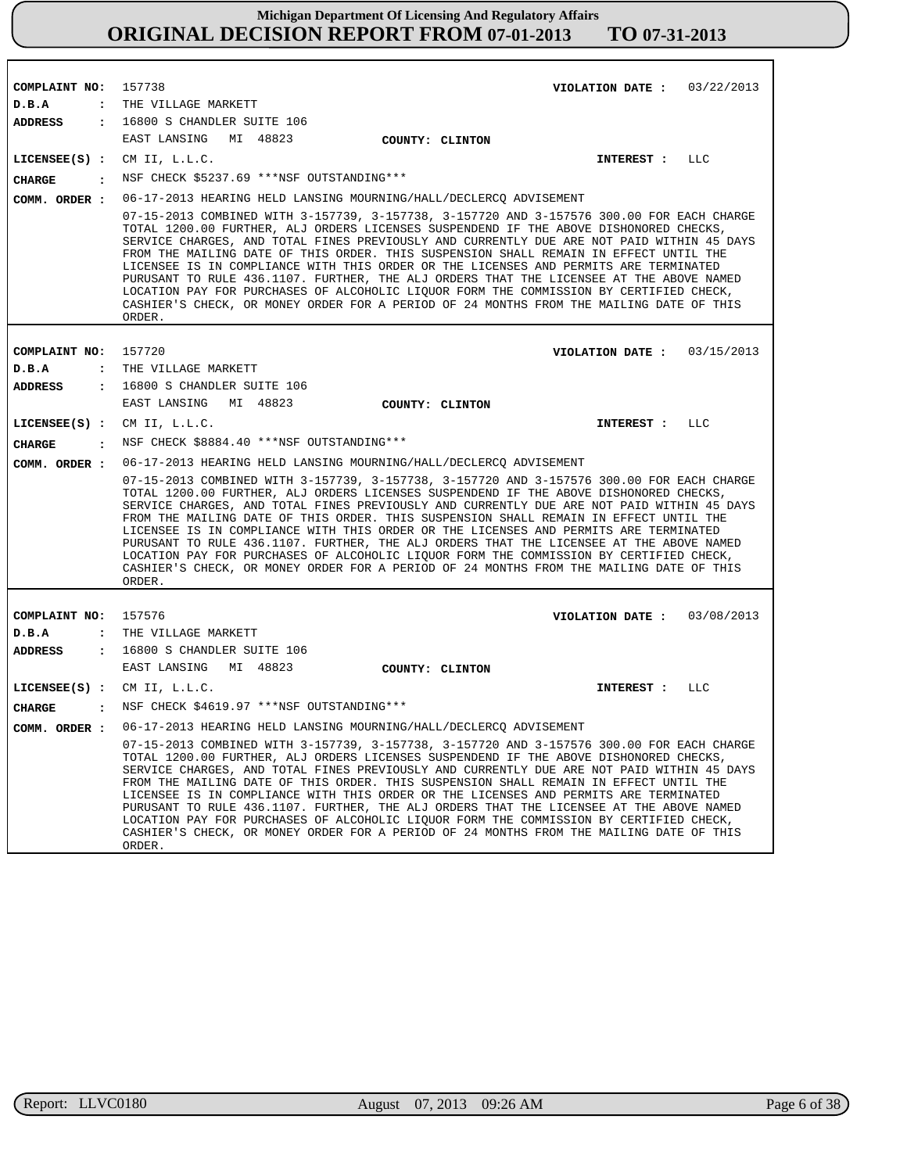| COMPLAINT NO: 157738            | VIOLATION DATE: $03/22/2013$                                                                                                                                                                                                                                                                                                                                                                                                                                                                                                                                                                                                                                                                                                                               |  |
|---------------------------------|------------------------------------------------------------------------------------------------------------------------------------------------------------------------------------------------------------------------------------------------------------------------------------------------------------------------------------------------------------------------------------------------------------------------------------------------------------------------------------------------------------------------------------------------------------------------------------------------------------------------------------------------------------------------------------------------------------------------------------------------------------|--|
| D.B.A                           | : THE VILLAGE MARKETT                                                                                                                                                                                                                                                                                                                                                                                                                                                                                                                                                                                                                                                                                                                                      |  |
| ADDRESS                         | $: 16800$ S CHANDLER SUITE $106$                                                                                                                                                                                                                                                                                                                                                                                                                                                                                                                                                                                                                                                                                                                           |  |
|                                 | EAST LANSING<br>MI 48823<br>COUNTY: CLINTON                                                                                                                                                                                                                                                                                                                                                                                                                                                                                                                                                                                                                                                                                                                |  |
| $LICENSEE(S)$ :                 | CM II, L.L.C.<br>INTEREST : LLC                                                                                                                                                                                                                                                                                                                                                                                                                                                                                                                                                                                                                                                                                                                            |  |
| <b>CHARGE</b><br>$\cdot$        | NSF CHECK \$5237.69 ***NSF OUTSTANDING***                                                                                                                                                                                                                                                                                                                                                                                                                                                                                                                                                                                                                                                                                                                  |  |
| COMM. ORDER :                   | 06-17-2013 HEARING HELD LANSING MOURNING/HALL/DECLERCQ ADVISEMENT                                                                                                                                                                                                                                                                                                                                                                                                                                                                                                                                                                                                                                                                                          |  |
|                                 | 07-15-2013 COMBINED WITH 3-157739, 3-157738, 3-157720 AND 3-157576 300.00 FOR EACH CHARGE<br>TOTAL 1200.00 FURTHER, ALJ ORDERS LICENSES SUSPENDEND IF THE ABOVE DISHONORED CHECKS,<br>SERVICE CHARGES, AND TOTAL FINES PREVIOUSLY AND CURRENTLY DUE ARE NOT PAID WITHIN 45 DAYS<br>FROM THE MAILING DATE OF THIS ORDER. THIS SUSPENSION SHALL REMAIN IN EFFECT UNTIL THE<br>LICENSEE IS IN COMPLIANCE WITH THIS ORDER OR THE LICENSES AND PERMITS ARE TERMINATED<br>PURUSANT TO RULE 436.1107. FURTHER, THE ALJ ORDERS THAT THE LICENSEE AT THE ABOVE NAMED<br>LOCATION PAY FOR PURCHASES OF ALCOHOLIC LIQUOR FORM THE COMMISSION BY CERTIFIED CHECK,<br>CASHIER'S CHECK, OR MONEY ORDER FOR A PERIOD OF 24 MONTHS FROM THE MAILING DATE OF THIS<br>ORDER. |  |
|                                 |                                                                                                                                                                                                                                                                                                                                                                                                                                                                                                                                                                                                                                                                                                                                                            |  |
| COMPLAINT NO: 157720            | VIOLATION DATE: $03/15/2013$                                                                                                                                                                                                                                                                                                                                                                                                                                                                                                                                                                                                                                                                                                                               |  |
| D.B.A                           | : THE VILLAGE MARKETT                                                                                                                                                                                                                                                                                                                                                                                                                                                                                                                                                                                                                                                                                                                                      |  |
| ADDRESS                         | $: 16800$ S CHANDLER SUITE $106$<br>EAST LANSING MI 48823                                                                                                                                                                                                                                                                                                                                                                                                                                                                                                                                                                                                                                                                                                  |  |
|                                 | COUNTY: CLINTON                                                                                                                                                                                                                                                                                                                                                                                                                                                                                                                                                                                                                                                                                                                                            |  |
|                                 | LICENSEE $(S)$ : CM II, L.L.C.<br>INTEREST : LLC                                                                                                                                                                                                                                                                                                                                                                                                                                                                                                                                                                                                                                                                                                           |  |
| CHARGE                          | : NSF CHECK \$8884.40 ***NSF OUTSTANDING***                                                                                                                                                                                                                                                                                                                                                                                                                                                                                                                                                                                                                                                                                                                |  |
| COMM. ORDER :                   | 06-17-2013 HEARING HELD LANSING MOURNING/HALL/DECLERCQ ADVISEMENT                                                                                                                                                                                                                                                                                                                                                                                                                                                                                                                                                                                                                                                                                          |  |
|                                 | 07-15-2013 COMBINED WITH 3-157739, 3-157738, 3-157720 AND 3-157576 300.00 FOR EACH CHARGE<br>TOTAL 1200.00 FURTHER, ALJ ORDERS LICENSES SUSPENDEND IF THE ABOVE DISHONORED CHECKS,<br>SERVICE CHARGES, AND TOTAL FINES PREVIOUSLY AND CURRENTLY DUE ARE NOT PAID WITHIN 45 DAYS<br>FROM THE MAILING DATE OF THIS ORDER. THIS SUSPENSION SHALL REMAIN IN EFFECT UNTIL THE<br>LICENSEE IS IN COMPLIANCE WITH THIS ORDER OR THE LICENSES AND PERMITS ARE TERMINATED<br>PURUSANT TO RULE 436.1107. FURTHER, THE ALJ ORDERS THAT THE LICENSEE AT THE ABOVE NAMED<br>LOCATION PAY FOR PURCHASES OF ALCOHOLIC LIQUOR FORM THE COMMISSION BY CERTIFIED CHECK,<br>CASHIER'S CHECK, OR MONEY ORDER FOR A PERIOD OF 24 MONTHS FROM THE MAILING DATE OF THIS<br>ORDER. |  |
|                                 |                                                                                                                                                                                                                                                                                                                                                                                                                                                                                                                                                                                                                                                                                                                                                            |  |
| COMPLAINT NO: 157576            | VIOLATION DATE: 03/08/2013                                                                                                                                                                                                                                                                                                                                                                                                                                                                                                                                                                                                                                                                                                                                 |  |
| D.B.A<br>$\ddot{\cdot}$         | THE VILLAGE MARKETT<br>: 16800 S CHANDLER SUITE 106                                                                                                                                                                                                                                                                                                                                                                                                                                                                                                                                                                                                                                                                                                        |  |
| <b>ADDRESS</b>                  | EAST LANSING MI 48823                                                                                                                                                                                                                                                                                                                                                                                                                                                                                                                                                                                                                                                                                                                                      |  |
|                                 | COUNTY: CLINTON<br>LICENSEE $(S)$ : CM II, L.L.C.<br>LLC<br>INTEREST :                                                                                                                                                                                                                                                                                                                                                                                                                                                                                                                                                                                                                                                                                     |  |
| <b>CHARGE</b><br>$\ddot{\cdot}$ | NSF CHECK \$4619.97 ***NSF OUTSTANDING***                                                                                                                                                                                                                                                                                                                                                                                                                                                                                                                                                                                                                                                                                                                  |  |
|                                 |                                                                                                                                                                                                                                                                                                                                                                                                                                                                                                                                                                                                                                                                                                                                                            |  |
| COMM. ORDER :                   | 06-17-2013 HEARING HELD LANSING MOURNING/HALL/DECLERCQ ADVISEMENT<br>07-15-2013 COMBINED WITH 3-157739, 3-157738, 3-157720 AND 3-157576 300.00 FOR EACH CHARGE                                                                                                                                                                                                                                                                                                                                                                                                                                                                                                                                                                                             |  |
|                                 | TOTAL 1200.00 FURTHER, ALJ ORDERS LICENSES SUSPENDEND IF THE ABOVE DISHONORED CHECKS,<br>SERVICE CHARGES, AND TOTAL FINES PREVIOUSLY AND CURRENTLY DUE ARE NOT PAID WITHIN 45 DAYS<br>FROM THE MAILING DATE OF THIS ORDER. THIS SUSPENSION SHALL REMAIN IN EFFECT UNTIL THE<br>LICENSEE IS IN COMPLIANCE WITH THIS ORDER OR THE LICENSES AND PERMITS ARE TERMINATED<br>PURUSANT TO RULE 436.1107. FURTHER, THE ALJ ORDERS THAT THE LICENSEE AT THE ABOVE NAMED<br>LOCATION PAY FOR PURCHASES OF ALCOHOLIC LIQUOR FORM THE COMMISSION BY CERTIFIED CHECK,<br>CASHIER'S CHECK, OR MONEY ORDER FOR A PERIOD OF 24 MONTHS FROM THE MAILING DATE OF THIS<br>ORDER.                                                                                              |  |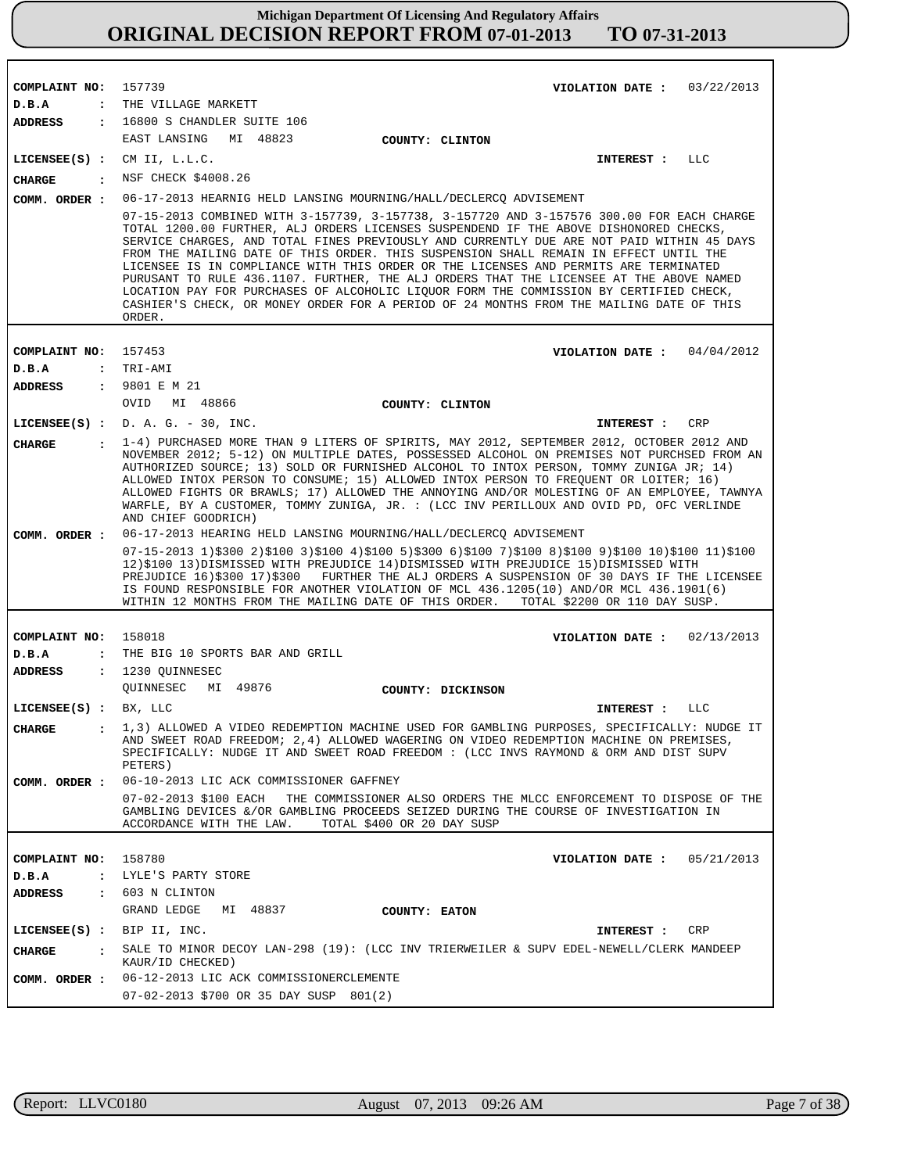| COMPLAINT NO:                 | 157739                                                                                                                                                                                                                                                                                                                                                                                                                                                                                                                                                                                                                                                                                                                                                     |                            | VIOLATION DATE: $03/22/2013$  |            |
|-------------------------------|------------------------------------------------------------------------------------------------------------------------------------------------------------------------------------------------------------------------------------------------------------------------------------------------------------------------------------------------------------------------------------------------------------------------------------------------------------------------------------------------------------------------------------------------------------------------------------------------------------------------------------------------------------------------------------------------------------------------------------------------------------|----------------------------|-------------------------------|------------|
| D.B.A<br>$\ddot{\phantom{a}}$ | THE VILLAGE MARKETT                                                                                                                                                                                                                                                                                                                                                                                                                                                                                                                                                                                                                                                                                                                                        |                            |                               |            |
| <b>ADDRESS</b>                | : 16800 S CHANDLER SUITE 106                                                                                                                                                                                                                                                                                                                                                                                                                                                                                                                                                                                                                                                                                                                               |                            |                               |            |
|                               | EAST LANSING MI 48823                                                                                                                                                                                                                                                                                                                                                                                                                                                                                                                                                                                                                                                                                                                                      | COUNTY: CLINTON            |                               |            |
| $LICENSEE(S)$ :               | CM II, L.L.C.                                                                                                                                                                                                                                                                                                                                                                                                                                                                                                                                                                                                                                                                                                                                              |                            | <b>INTEREST :</b>             | LLC        |
| <b>CHARGE</b><br>$\cdot$      | NSF CHECK \$4008.26                                                                                                                                                                                                                                                                                                                                                                                                                                                                                                                                                                                                                                                                                                                                        |                            |                               |            |
| COMM. ORDER :                 | 06-17-2013 HEARNIG HELD LANSING MOURNING/HALL/DECLERCQ ADVISEMENT                                                                                                                                                                                                                                                                                                                                                                                                                                                                                                                                                                                                                                                                                          |                            |                               |            |
|                               | 07-15-2013 COMBINED WITH 3-157739, 3-157738, 3-157720 AND 3-157576 300.00 FOR EACH CHARGE<br>TOTAL 1200.00 FURTHER, ALJ ORDERS LICENSES SUSPENDEND IF THE ABOVE DISHONORED CHECKS,<br>SERVICE CHARGES, AND TOTAL FINES PREVIOUSLY AND CURRENTLY DUE ARE NOT PAID WITHIN 45 DAYS<br>FROM THE MAILING DATE OF THIS ORDER. THIS SUSPENSION SHALL REMAIN IN EFFECT UNTIL THE<br>LICENSEE IS IN COMPLIANCE WITH THIS ORDER OR THE LICENSES AND PERMITS ARE TERMINATED<br>PURUSANT TO RULE 436.1107. FURTHER, THE ALJ ORDERS THAT THE LICENSEE AT THE ABOVE NAMED<br>LOCATION PAY FOR PURCHASES OF ALCOHOLIC LIQUOR FORM THE COMMISSION BY CERTIFIED CHECK,<br>CASHIER'S CHECK, OR MONEY ORDER FOR A PERIOD OF 24 MONTHS FROM THE MAILING DATE OF THIS<br>ORDER. |                            |                               |            |
|                               |                                                                                                                                                                                                                                                                                                                                                                                                                                                                                                                                                                                                                                                                                                                                                            |                            |                               |            |
| COMPLAINT NO:                 | 157453                                                                                                                                                                                                                                                                                                                                                                                                                                                                                                                                                                                                                                                                                                                                                     |                            | VIOLATION DATE: $04/04/2012$  |            |
| D.B.A                         | : TRI-AMI                                                                                                                                                                                                                                                                                                                                                                                                                                                                                                                                                                                                                                                                                                                                                  |                            |                               |            |
| <b>ADDRESS</b>                | : 9801 E M 21                                                                                                                                                                                                                                                                                                                                                                                                                                                                                                                                                                                                                                                                                                                                              |                            |                               |            |
|                               | OVID MI 48866                                                                                                                                                                                                                                                                                                                                                                                                                                                                                                                                                                                                                                                                                                                                              | COUNTY: CLINTON            |                               |            |
|                               | LICENSEE $(S)$ : D. A. G. - 30, INC.                                                                                                                                                                                                                                                                                                                                                                                                                                                                                                                                                                                                                                                                                                                       |                            | INTEREST :                    | CRP        |
| <b>CHARGE</b><br>$\mathbf{r}$ | 1-4) PURCHASED MORE THAN 9 LITERS OF SPIRITS, MAY 2012, SEPTEMBER 2012, OCTOBER 2012 AND<br>NOVEMBER 2012; 5-12) ON MULTIPLE DATES, POSSESSED ALCOHOL ON PREMISES NOT PURCHSED FROM AN<br>AUTHORIZED SOURCE; 13) SOLD OR FURNISHED ALCOHOL TO INTOX PERSON, TOMMY ZUNIGA JR; 14)<br>ALLOWED INTOX PERSON TO CONSUME; 15) ALLOWED INTOX PERSON TO FREQUENT OR LOITER; 16)<br>ALLOWED FIGHTS OR BRAWLS; 17) ALLOWED THE ANNOYING AND/OR MOLESTING OF AN EMPLOYEE, TAWNYA<br>WARFLE, BY A CUSTOMER, TOMMY ZUNIGA, JR. : (LCC INV PERILLOUX AND OVID PD, OFC VERLINDE<br>AND CHIEF GOODRICH)                                                                                                                                                                   |                            |                               |            |
| COMM. ORDER :                 | 06-17-2013 HEARING HELD LANSING MOURNING/HALL/DECLERCQ ADVISEMENT                                                                                                                                                                                                                                                                                                                                                                                                                                                                                                                                                                                                                                                                                          |                            |                               |            |
|                               | $07-15-2013$ 1)\$300 2)\$100 3)\$100 4)\$100 5)\$300 6)\$100 7)\$100 8)\$100 9)\$100 10)\$100 11)\$100<br>12)\$100 13)DISMISSED WITH PREJUDICE 14)DISMISSED WITH PREJUDICE 15)DISMISSED WITH<br>PREJUDICE 16)\$300 17)\$300 FURTHER THE ALJ ORDERS A SUSPENSION OF 30 DAYS IF THE LICENSEE<br>IS FOUND RESPONSIBLE FOR ANOTHER VIOLATION OF MCL 436.1205(10) AND/OR MCL 436.1901(6)<br>WITHIN 12 MONTHS FROM THE MAILING DATE OF THIS ORDER.                                                                                                                                                                                                                                                                                                               |                            | TOTAL \$2200 OR 110 DAY SUSP. |            |
|                               |                                                                                                                                                                                                                                                                                                                                                                                                                                                                                                                                                                                                                                                                                                                                                            |                            |                               |            |
| COMPLAINT NO:                 | 158018                                                                                                                                                                                                                                                                                                                                                                                                                                                                                                                                                                                                                                                                                                                                                     |                            | VIOLATION DATE :              | 02/13/2013 |
| D.B.A<br>$\ddot{\phantom{a}}$ | THE BIG 10 SPORTS BAR AND GRILL                                                                                                                                                                                                                                                                                                                                                                                                                                                                                                                                                                                                                                                                                                                            |                            |                               |            |
| <b>ADDRESS</b>                | : 1230 OUINNESEC                                                                                                                                                                                                                                                                                                                                                                                                                                                                                                                                                                                                                                                                                                                                           |                            |                               |            |
|                               | OUINNESEC MI 49876                                                                                                                                                                                                                                                                                                                                                                                                                                                                                                                                                                                                                                                                                                                                         | COUNTY: DICKINSON          |                               |            |
| LICENSEE(S) : BX, LLC         |                                                                                                                                                                                                                                                                                                                                                                                                                                                                                                                                                                                                                                                                                                                                                            |                            | INTEREST :                    | LLC        |
| <b>CHARGE</b>                 | . 1,3) ALLOWED A VIDEO REDEMPTION MACHINE USED FOR GAMBLING PURPOSES, SPECIFICALLY: NUDGE IT<br>AND SWEET ROAD FREEDOM; 2,4) ALLOWED WAGERING ON VIDEO REDEMPTION MACHINE ON PREMISES,<br>SPECIFICALLY: NUDGE IT AND SWEET ROAD FREEDOM : (LCC INVS RAYMOND & ORM AND DIST SUPV<br>PETERS)                                                                                                                                                                                                                                                                                                                                                                                                                                                                 |                            |                               |            |
| COMM. ORDER :                 | 06-10-2013 LIC ACK COMMISSIONER GAFFNEY                                                                                                                                                                                                                                                                                                                                                                                                                                                                                                                                                                                                                                                                                                                    |                            |                               |            |
|                               | 07-02-2013 \$100 EACH THE COMMISSIONER ALSO ORDERS THE MLCC ENFORCEMENT TO DISPOSE OF THE<br>GAMBLING DEVICES &/OR GAMBLING PROCEEDS SEIZED DURING THE COURSE OF INVESTIGATION IN<br>ACCORDANCE WITH THE LAW.                                                                                                                                                                                                                                                                                                                                                                                                                                                                                                                                              | TOTAL \$400 OR 20 DAY SUSP |                               |            |
| COMPLAINT NO: 158780          |                                                                                                                                                                                                                                                                                                                                                                                                                                                                                                                                                                                                                                                                                                                                                            |                            | VIOLATION DATE: $05/21/2013$  |            |
| D.B.A                         | : LYLE'S PARTY STORE                                                                                                                                                                                                                                                                                                                                                                                                                                                                                                                                                                                                                                                                                                                                       |                            |                               |            |
| ADDRESS                       | : 603 N CLINTON                                                                                                                                                                                                                                                                                                                                                                                                                                                                                                                                                                                                                                                                                                                                            |                            |                               |            |
|                               | GRAND LEDGE<br>MI 48837                                                                                                                                                                                                                                                                                                                                                                                                                                                                                                                                                                                                                                                                                                                                    | COUNTY: EATON              |                               |            |
| LICENSE (S) : BIP II, INC.    |                                                                                                                                                                                                                                                                                                                                                                                                                                                                                                                                                                                                                                                                                                                                                            |                            | INTEREST :                    | CRP        |
| CHARGE<br>$\mathbf{r}$        | SALE TO MINOR DECOY LAN-298 (19): (LCC INV TRIERWEILER & SUPV EDEL-NEWELL/CLERK MANDEEP<br>KAUR/ID CHECKED)                                                                                                                                                                                                                                                                                                                                                                                                                                                                                                                                                                                                                                                |                            |                               |            |
| COMM. ORDER :                 | 06-12-2013 LIC ACK COMMISSIONERCLEMENTE                                                                                                                                                                                                                                                                                                                                                                                                                                                                                                                                                                                                                                                                                                                    |                            |                               |            |
|                               | 07-02-2013 \$700 OR 35 DAY SUSP 801(2)                                                                                                                                                                                                                                                                                                                                                                                                                                                                                                                                                                                                                                                                                                                     |                            |                               |            |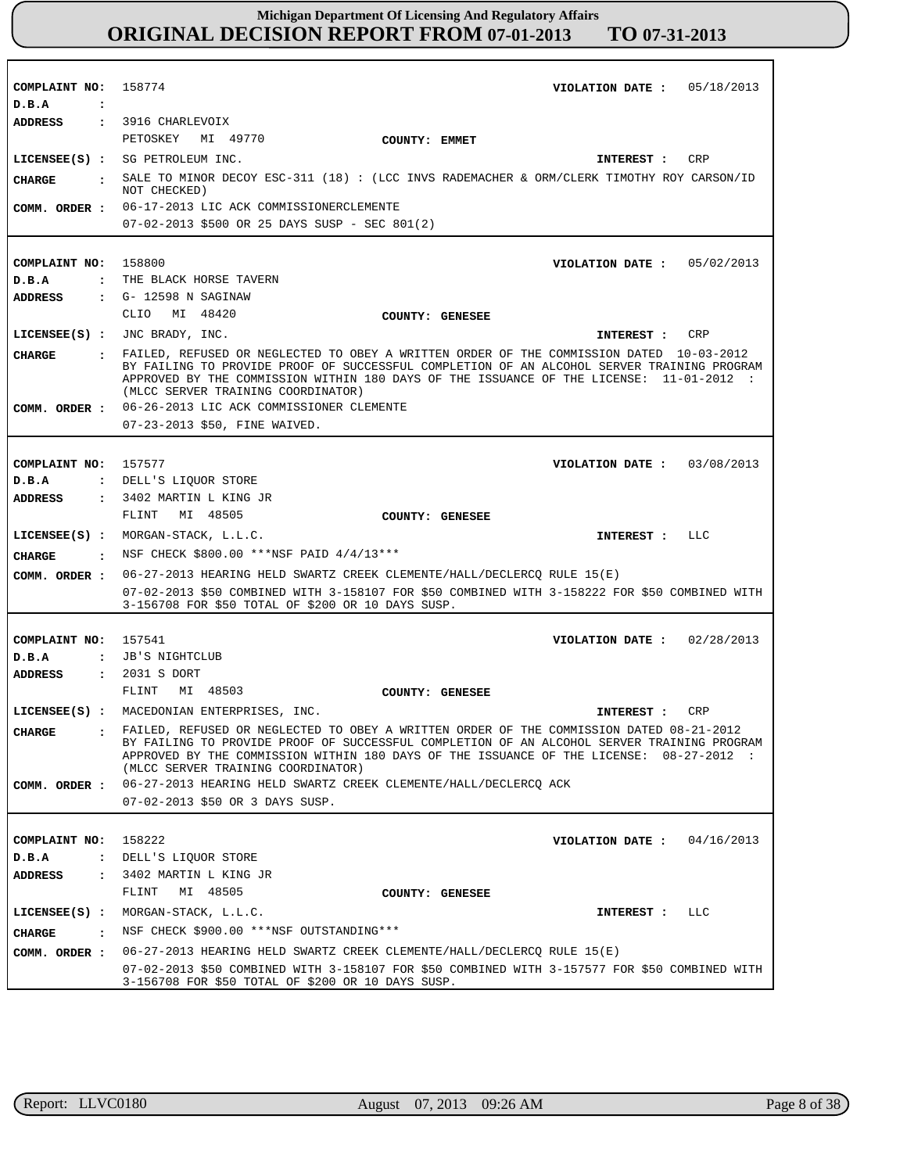| COMPLAINT NO: 158774                   | VIOLATION DATE: $05/18/2013$                                                                                                                                                                                                                                                                                             |
|----------------------------------------|--------------------------------------------------------------------------------------------------------------------------------------------------------------------------------------------------------------------------------------------------------------------------------------------------------------------------|
| D.B.A<br>$\ddot{\phantom{a}}$          |                                                                                                                                                                                                                                                                                                                          |
| <b>ADDRESS</b>                         | : 3916 CHARLEVOIX                                                                                                                                                                                                                                                                                                        |
|                                        | PETOSKEY<br>MI 49770<br>COUNTY: EMMET                                                                                                                                                                                                                                                                                    |
|                                        | LICENSEE(S) : SG PETROLEUM INC.<br>CRP<br>INTEREST :                                                                                                                                                                                                                                                                     |
| <b>CIIARGE</b><br>$\cdot$              | SALE TO MINOR DECOY ESC-311 (18) : (LCC INVS RADEMACHER & ORM/CLERK TIMOTHY ROY CARSON/ID<br>NOT CHECKED)                                                                                                                                                                                                                |
| COMM. ORDER :                          | 06-17-2013 LIC ACK COMMISSIONERCLEMENTE                                                                                                                                                                                                                                                                                  |
|                                        | 07-02-2013 \$500 OR 25 DAYS SUSP - SEC 801(2)                                                                                                                                                                                                                                                                            |
|                                        |                                                                                                                                                                                                                                                                                                                          |
| COMPLAINT NO: 158800                   | VIOLATION DATE: $05/02/2013$                                                                                                                                                                                                                                                                                             |
| D.B.A                                  | : THE BLACK HORSE TAVERN                                                                                                                                                                                                                                                                                                 |
| <b>ADDRESS</b>                         | : G- 12598 N SAGINAW                                                                                                                                                                                                                                                                                                     |
|                                        | CLIO MI 48420<br>COUNTY: GENESEE                                                                                                                                                                                                                                                                                         |
|                                        | LICENSEE(S) : JNC BRADY, INC.<br>CRP<br>INTEREST :                                                                                                                                                                                                                                                                       |
| <b>CHARGE</b>                          | FAILED, REFUSED OR NEGLECTED TO OBEY A WRITTEN ORDER OF THE COMMISSION DATED 10-03-2012<br>BY FAILING TO PROVIDE PROOF OF SUCCESSFUL COMPLETION OF AN ALCOHOL SERVER TRAINING PROGRAM<br>APPROVED BY THE COMMISSION WITHIN 180 DAYS OF THE ISSUANCE OF THE LICENSE: 11-01-2012 :<br>(MLCC SERVER TRAINING COORDINATOR)   |
| COMM. ORDER :                          | 06-26-2013 LIC ACK COMMISSIONER CLEMENTE                                                                                                                                                                                                                                                                                 |
|                                        | 07-23-2013 \$50, FINE WAIVED.                                                                                                                                                                                                                                                                                            |
|                                        |                                                                                                                                                                                                                                                                                                                          |
| COMPLAINT NO:                          | 157577<br>VIOLATION DATE: 03/08/2013                                                                                                                                                                                                                                                                                     |
| D.B.A                                  | : DELL'S LIOUOR STORE                                                                                                                                                                                                                                                                                                    |
| <b>ADDRESS</b>                         | : 3402 MARTIN L KING JR                                                                                                                                                                                                                                                                                                  |
|                                        | MI 48505<br>FLINT<br>COUNTY: GENESEE                                                                                                                                                                                                                                                                                     |
|                                        |                                                                                                                                                                                                                                                                                                                          |
|                                        | LLC                                                                                                                                                                                                                                                                                                                      |
|                                        | $LICENSEE(S)$ : MORGAN-STACK, $L.L.C.$<br>INTEREST :                                                                                                                                                                                                                                                                     |
| CHARGE<br>$\sim$ $\sim$ $\sim$         | NSF CHECK \$800.00 ***NSF PAID 4/4/13***                                                                                                                                                                                                                                                                                 |
| COMM. ORDER :                          | 06-27-2013 HEARING HELD SWARTZ CREEK CLEMENTE/HALL/DECLERCQ RULE 15(E)<br>07-02-2013 \$50 COMBINED WITH 3-158107 FOR \$50 COMBINED WITH 3-158222 FOR \$50 COMBINED WITH<br>3-156708 FOR \$50 TOTAL OF \$200 OR 10 DAYS SUSP.                                                                                             |
|                                        |                                                                                                                                                                                                                                                                                                                          |
| COMPLAINT NO: 157541                   | VIOLATION DATE: $02/28/2013$                                                                                                                                                                                                                                                                                             |
| D.B.A                                  | : JB'S NIGHTCLUB                                                                                                                                                                                                                                                                                                         |
| ADDRESS                                | : 2031 S DORT                                                                                                                                                                                                                                                                                                            |
|                                        | MI 48503<br>FLINT<br>COUNTY: GENESEE                                                                                                                                                                                                                                                                                     |
|                                        | LICENSEE(S) : MACEDONIAN ENTERPRISES, INC.<br>CRP<br>INTEREST :                                                                                                                                                                                                                                                          |
| <b>CHARGE</b>                          | : FAILED, REFUSED OR NEGLECTED TO OBEY A WRITTEN ORDER OF THE COMMISSION DATED 08-21-2012<br>BY FAILING TO PROVIDE PROOF OF SUCCESSFUL COMPLETION OF AN ALCOHOL SERVER TRAINING PROGRAM<br>APPROVED BY THE COMMISSION WITHIN 180 DAYS OF THE ISSUANCE OF THE LICENSE: 08-27-2012 :<br>(MLCC SERVER TRAINING COORDINATOR) |
| COMM. ORDER :                          | 06-27-2013 HEARING HELD SWARTZ CREEK CLEMENTE/HALL/DECLERCQ ACK                                                                                                                                                                                                                                                          |
|                                        | 07-02-2013 \$50 OR 3 DAYS SUSP.                                                                                                                                                                                                                                                                                          |
|                                        |                                                                                                                                                                                                                                                                                                                          |
| COMPLAINT NO:                          | 158222<br>VIOLATION DATE :<br>04/16/2013                                                                                                                                                                                                                                                                                 |
| D.B.A<br>$\ddot{\cdot}$                | DELL'S LIQUOR STORE                                                                                                                                                                                                                                                                                                      |
| <b>ADDRESS</b><br>$\ddot{\phantom{a}}$ | 3402 MARTIN L KING JR                                                                                                                                                                                                                                                                                                    |
|                                        | MI 48505<br>FLINT<br>COUNTY: GENESEE                                                                                                                                                                                                                                                                                     |
| $LICENSEE(S)$ :                        | MORGAN-STACK, L.L.C.<br>LLC<br>INTEREST :                                                                                                                                                                                                                                                                                |
| <b>CHARGE</b><br>$\cdot$               | NSF CHECK \$900.00 *** NSF OUTSTANDING ***                                                                                                                                                                                                                                                                               |
| COMM. ORDER :                          | 06-27-2013 HEARING HELD SWARTZ CREEK CLEMENTE/HALL/DECLERCQ RULE 15(E)                                                                                                                                                                                                                                                   |
|                                        | 07-02-2013 \$50 COMBINED WITH 3-158107 FOR \$50 COMBINED WITH 3-157577 FOR \$50 COMBINED WITH<br>3-156708 FOR \$50 TOTAL OF \$200 OR 10 DAYS SUSP.                                                                                                                                                                       |

٦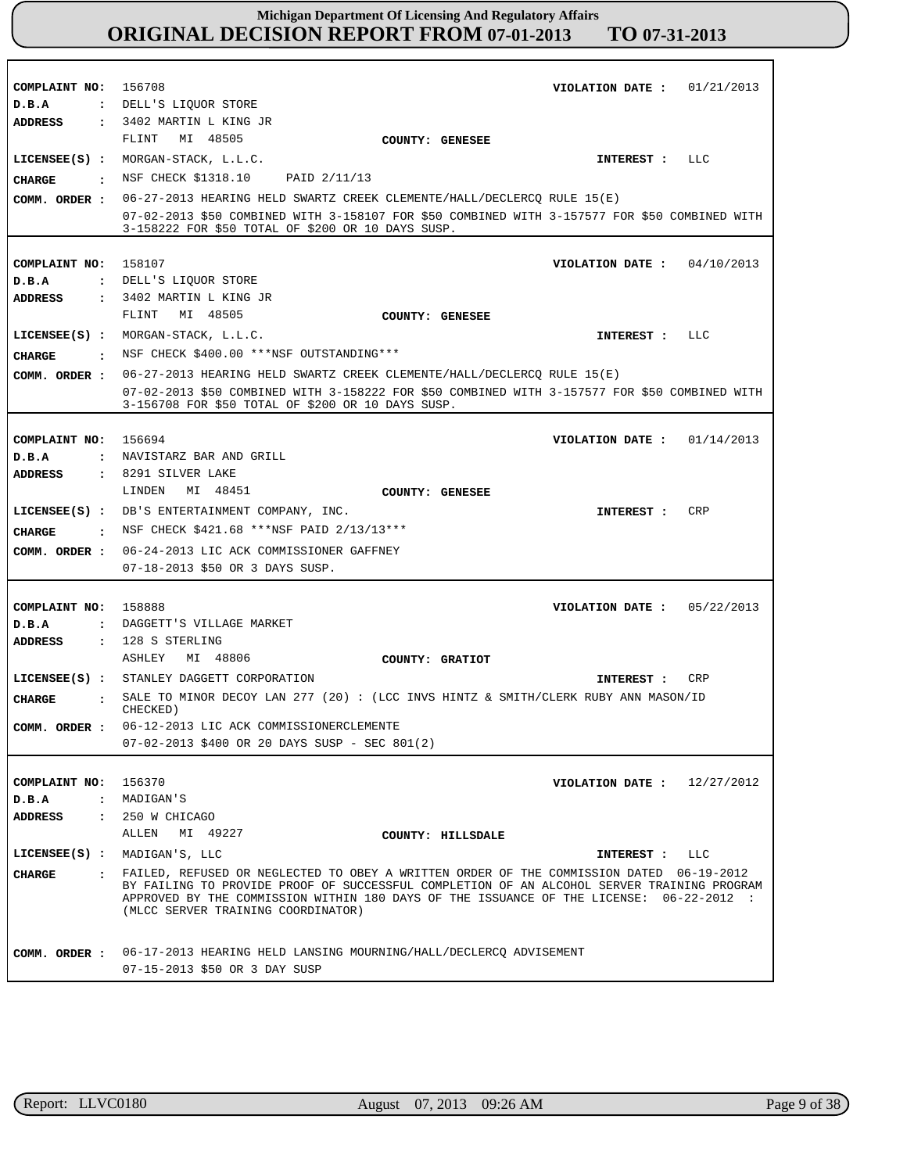| COMPLAINT NO:                  | 01/21/2013<br>156708<br>VIOLATION DATE :                                                                                                                                                                                                                                                                                 |
|--------------------------------|--------------------------------------------------------------------------------------------------------------------------------------------------------------------------------------------------------------------------------------------------------------------------------------------------------------------------|
| D.B.A                          | : DELL'S LIQUOR STORE                                                                                                                                                                                                                                                                                                    |
| <b>ADDRESS</b>                 | : 3402 MARTIN L KING JR                                                                                                                                                                                                                                                                                                  |
|                                | MI 48505<br>FLINT<br>COUNTY: GENESEE                                                                                                                                                                                                                                                                                     |
| $LICENSEE(S)$ :                | MORGAN-STACK, L.L.C.<br>LLC<br>INTEREST :                                                                                                                                                                                                                                                                                |
| CHARGE<br>$\cdot$              | NSF CHECK \$1318.10 PAID 2/11/13                                                                                                                                                                                                                                                                                         |
| COMM. ORDER :                  | 06-27-2013 HEARING HELD SWARTZ CREEK CLEMENTE/HALL/DECLERCQ RULE 15(E)                                                                                                                                                                                                                                                   |
|                                | 07-02-2013 \$50 COMBINED WITH 3-158107 FOR \$50 COMBINED WITH 3-157577 FOR \$50 COMBINED WITH<br>3-158222 FOR \$50 TOTAL OF \$200 OR 10 DAYS SUSP.                                                                                                                                                                       |
|                                |                                                                                                                                                                                                                                                                                                                          |
| COMPLAINT NO:                  | 158107<br>04/10/2013<br>VIOLATION DATE :                                                                                                                                                                                                                                                                                 |
| D.B.A                          | : DELL'S LIQUOR STORE<br>: 3402 MARTIN L KING JR                                                                                                                                                                                                                                                                         |
| <b>ADDRESS</b>                 | MI 48505<br>FLINT                                                                                                                                                                                                                                                                                                        |
|                                | COUNTY: GENESEE                                                                                                                                                                                                                                                                                                          |
| $LICENSEE(S)$ :                | MORGAN-STACK, L.L.C.<br>LLC<br>INTEREST :                                                                                                                                                                                                                                                                                |
| <b>CHARGE</b><br>$\cdot$       | NSF CHECK \$400.00 ***NSF OUTSTANDING***                                                                                                                                                                                                                                                                                 |
| COMM. ORDER :                  | 06-27-2013 HEARING HELD SWARTZ CREEK CLEMENTE/HALL/DECLERCQ RULE 15(E)                                                                                                                                                                                                                                                   |
|                                | 07-02-2013 \$50 COMBINED WITH 3-158222 FOR \$50 COMBINED WITH 3-157577 FOR \$50 COMBINED WITH<br>3-156708 FOR \$50 TOTAL OF \$200 OR 10 DAYS SUSP.                                                                                                                                                                       |
|                                |                                                                                                                                                                                                                                                                                                                          |
| COMPLAINT NO:                  | 156694<br>01/14/2013<br>VIOLATION DATE :                                                                                                                                                                                                                                                                                 |
| D.B.A                          | : NAVISTARZ BAR AND GRILL                                                                                                                                                                                                                                                                                                |
| <b>ADDRESS</b>                 | $: 8291$ SILVER LAKE                                                                                                                                                                                                                                                                                                     |
|                                | LINDEN<br>MI 48451<br>COUNTY: GENESEE                                                                                                                                                                                                                                                                                    |
|                                | LICENSEE(S) : DB'S ENTERTAINMENT COMPANY, INC.<br>CRP<br>INTEREST :                                                                                                                                                                                                                                                      |
| CHARGE<br>$\cdot$ :            | NSF CHECK \$421.68 ***NSF PAID 2/13/13***                                                                                                                                                                                                                                                                                |
| COMM. ORDER :                  | 06-24-2013 LIC ACK COMMISSIONER GAFFNEY                                                                                                                                                                                                                                                                                  |
|                                | 07-18-2013 \$50 OR 3 DAYS SUSP.                                                                                                                                                                                                                                                                                          |
|                                |                                                                                                                                                                                                                                                                                                                          |
| COMPLAINT NO:                  | 158888<br>VIOLATION DATE: $05/22/2013$                                                                                                                                                                                                                                                                                   |
| D.B.A<br>$\mathbf{r}$          | DAGGETT'S VILLAGE MARKET                                                                                                                                                                                                                                                                                                 |
| ADDRESS                        | : 128 S STERLING                                                                                                                                                                                                                                                                                                         |
|                                | MI 48806<br>ASHLEY<br>COUNTY: GRATIOT                                                                                                                                                                                                                                                                                    |
|                                | LICENSEE(S) : STANLEY DAGGETT CORPORATION<br>CRP<br>INTEREST :                                                                                                                                                                                                                                                           |
| CHARGE<br>$\ddot{\phantom{a}}$ | SALE TO MINOR DECOY LAN 277 (20) : (LCC INVS HINTZ & SMITH/CLERK RUBY ANN MASON/ID<br>CHECKED)                                                                                                                                                                                                                           |
| COMM. ORDER :                  | 06-12-2013 LIC ACK COMMISSIONERCLEMENTE                                                                                                                                                                                                                                                                                  |
|                                | $07-02-2013$ \$400 OR 20 DAYS SUSP - SEC 801(2)                                                                                                                                                                                                                                                                          |
|                                |                                                                                                                                                                                                                                                                                                                          |
| COMPLAINT NO:                  | 156370<br>VIOLATION DATE: $12/27/2012$                                                                                                                                                                                                                                                                                   |
| D.B.A                          | : MADIGAN'S                                                                                                                                                                                                                                                                                                              |
| ADDRESS                        | : 250 W CHICAGO                                                                                                                                                                                                                                                                                                          |
|                                | ALLEN MI 49227<br>COUNTY: HILLSDALE                                                                                                                                                                                                                                                                                      |
| $LICENSEE(S)$ :                | MADIGAN'S, LLC<br>INTEREST :<br>LLC                                                                                                                                                                                                                                                                                      |
| CHARGE                         | · FAILED, REFUSED OR NEGLECTED TO OBEY A WRITTEN ORDER OF THE COMMISSION DATED 06-19-2012<br>BY FAILING TO PROVIDE PROOF OF SUCCESSFUL COMPLETION OF AN ALCOHOL SERVER TRAINING PROGRAM<br>APPROVED BY THE COMMISSION WITHIN 180 DAYS OF THE ISSUANCE OF THE LICENSE: 06-22-2012 :<br>(MLCC SERVER TRAINING COORDINATOR) |
|                                |                                                                                                                                                                                                                                                                                                                          |
| COMM. ORDER :                  | 06-17-2013 HEARING HELD LANSING MOURNING/HALL/DECLERCQ ADVISEMENT                                                                                                                                                                                                                                                        |

r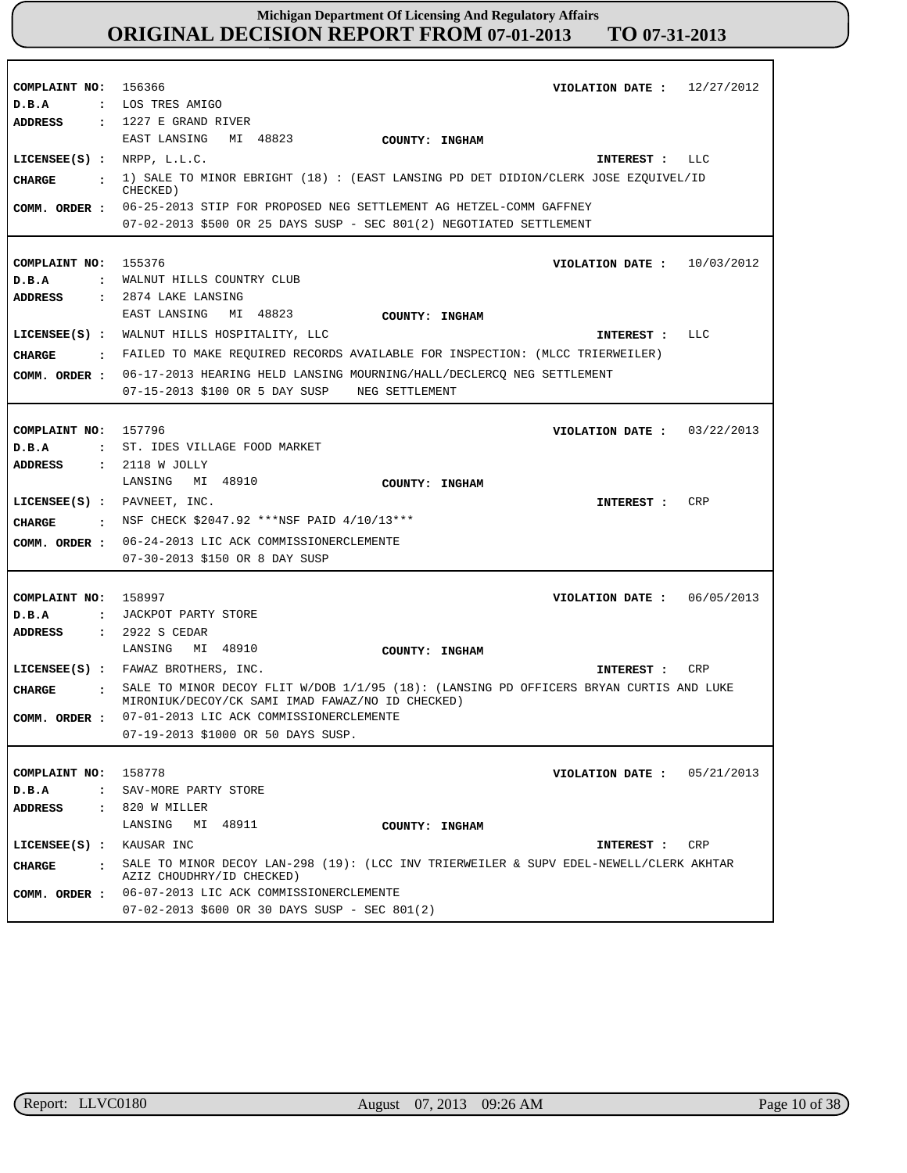| COMPLAINT NO: 156366<br>D.B.A<br><b>ADDRESS</b>                                                  | VIOLATION DATE: $12/27/2012$<br>: LOS TRES AMIGO<br>$: 1227 E$ GRAND RIVER                                                                                                                                                                                                                                                    |
|--------------------------------------------------------------------------------------------------|-------------------------------------------------------------------------------------------------------------------------------------------------------------------------------------------------------------------------------------------------------------------------------------------------------------------------------|
| LICENSEE $(S)$ : NRPP, $L.L.C.$<br><b>CHARGE</b><br>COMM. ORDER :                                | EAST LANSING<br>MI 48823<br>COUNTY: INGHAM<br>LLC<br>INTEREST :<br>: 1) SALE TO MINOR EBRIGHT (18) : (EAST LANSING PD DET DIDION/CLERK JOSE EZQUIVEL/ID<br>CHECKED)<br>06-25-2013 STIP FOR PROPOSED NEG SETTLEMENT AG HETZEL-COMM GAFFNEY<br>07-02-2013 \$500 OR 25 DAYS SUSP - SEC 801(2) NEGOTIATED SETTLEMENT              |
| COMPLAINT NO:<br>D.B.A<br><b>ADDRESS</b>                                                         | 155376<br>10/03/2012<br>VIOLATION DATE :<br>: WALNUT HILLS COUNTRY CLUB<br>: 2874 LAKE LANSING                                                                                                                                                                                                                                |
| <b>CHARGE</b><br>COMM. ORDER :                                                                   | EAST LANSING<br>MI 48823<br>COUNTY: INGHAM<br>LICENSEE(S) : WALNUT HILLS HOSPITALITY, LLC<br>LLC<br>INTEREST :<br>: FAILED TO MAKE REQUIRED RECORDS AVAILABLE FOR INSPECTION: (MLCC TRIERWEILER)<br>06-17-2013 HEARING HELD LANSING MOURNING/HALL/DECLERCQ NEG SETTLEMENT<br>07-15-2013 \$100 OR 5 DAY SUSP<br>NEG SETTLEMENT |
| COMPLAINT NO:<br>D.B.A<br>ADDRESS                                                                | 157796<br>VIOLATION DATE: $03/22/2013$<br>: ST. IDES VILLAGE FOOD MARKET<br>: 2118 W JOLLY<br>MI 48910<br>LANSING<br>COUNTY: INGHAM                                                                                                                                                                                           |
| $LICENSEE(S)$ : PAVNEET, INC.<br>CHARGE<br>COMM. ORDER :                                         | CRP<br>INTEREST :<br>: NSF CHECK \$2047.92 ***NSF PAID 4/10/13***<br>06-24-2013 LIC ACK COMMISSIONERCLEMENTE<br>07-30-2013 \$150 OR 8 DAY SUSP                                                                                                                                                                                |
| COMPLAINT NO: 158997<br>D.B.A<br>$\mathbf{r}$<br><b>ADDRESS</b><br><b>CHARGE</b><br>$\mathbf{r}$ | 06/05/2013<br>VIOLATION DATE :<br>JACKPOT PARTY STORE<br>: 2922 S CEDAR<br>LANSING<br>MI 48910<br>COUNTY: INGHAM<br>LICENSEE(S) : FAWAZ BROTHERS, INC.<br>CRP<br>INTEREST :<br>SALE TO MINOR DECOY FLIT W/DOB 1/1/95 (18): (LANSING PD OFFICERS BRYAN CURTIS AND LUKE<br>MIRONIUK/DECOY/CK SAMI IMAD FAWAZ/NO ID CHECKED)     |
| COMM. ORDER :                                                                                    | 07-01-2013 LIC ACK COMMISSIONERCLEMENTE<br>07-19-2013 \$1000 OR 50 DAYS SUSP.                                                                                                                                                                                                                                                 |
| COMPLAINT NO: 158778<br>D.B.A<br>ADDRESS                                                         | VIOLATION DATE: $05/21/2013$<br>: SAV-MORE PARTY STORE<br>$\,$ : 820 W MILLER<br>MI 48911<br>LANSING<br>COUNTY: INGHAM                                                                                                                                                                                                        |
| $LICENSEE(S)$ : KAUSAR INC<br>CHARGE<br>$\sim$ $\sim$ $\sim$<br>COMM. ORDER :                    | CRP<br>INTEREST :<br>SALE TO MINOR DECOY LAN-298 (19): (LCC INV TRIERWEILER & SUPV EDEL-NEWELL/CLERK AKHTAR<br>AZIZ CHOUDHRY/ID CHECKED)<br>06-07-2013 LIC ACK COMMISSIONERCLEMENTE<br>07-02-2013 \$600 OR 30 DAYS SUSP - SEC 801(2)                                                                                          |

г

٦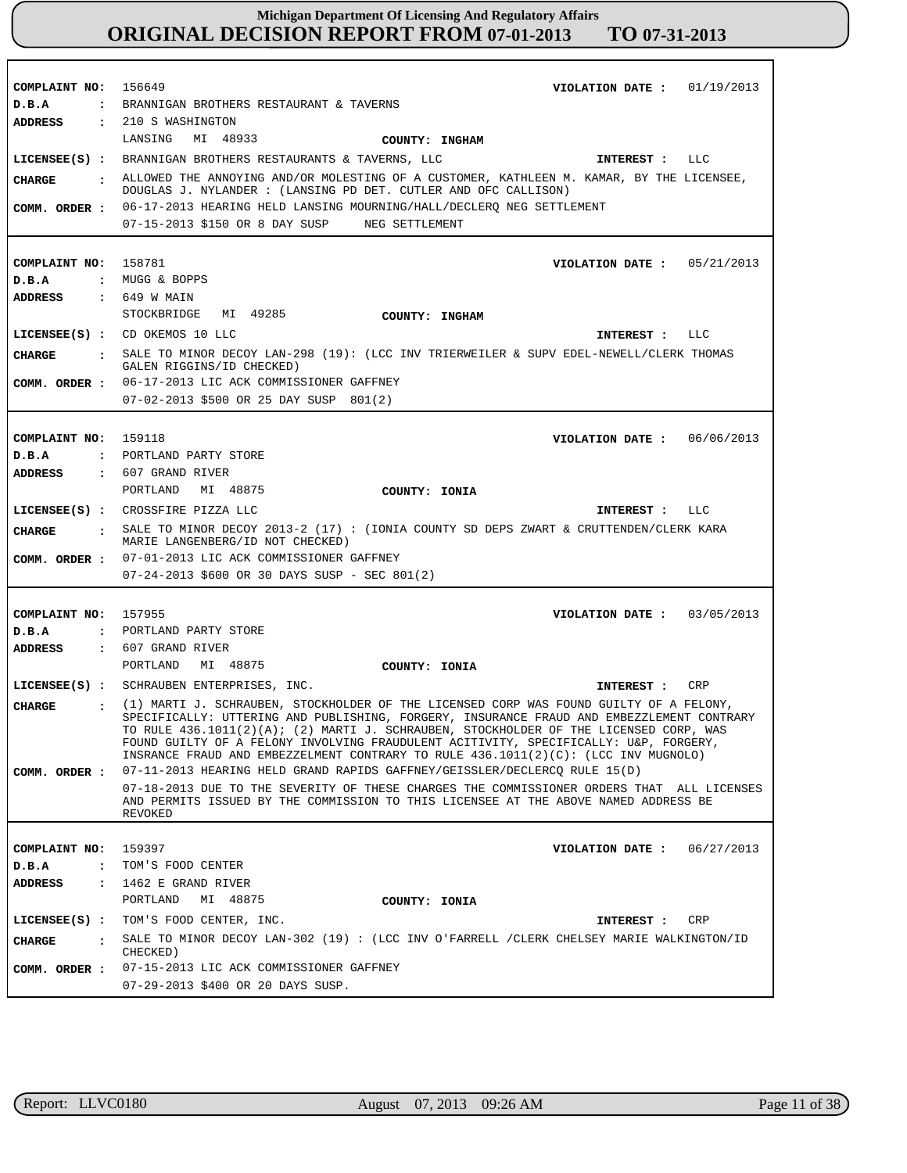**COMPLAINT NO: COMPLAINT NO:** 158781 **COMPLAINT NO: COMPLAINT NO:** 157955 **COMPLAINT NO:** 159397 156649 159118 **VIOLATION DATE : VIOLATION DATE : VIOLATION DATE : VIOLATION DATE : VIOLATION DATE :** 06/27/2013 01/19/2013 05/21/2013 06/06/2013 03/05/2013 **D.B.A : D.B.A : D.B.A : D.B.A : D.B.A :** BRANNIGAN BROTHERS RESTAURANT & TAVERNS MUGG & BOPPS PORTLAND PARTY STORE PORTLAND PARTY STORE TOM'S FOOD CENTER **ADDRESS : ADDRESS : ADDRESS : ADDRESS : ADDRESS :** 210 S WASHINGTON 649 W MAIN 607 GRAND RIVER 607 GRAND RIVER 1462 E GRAND RIVER LANSING MI 48933 STOCKBRIDGE MI 49285 PORTLAND MI 48875 PORTLAND MI 48875 PORTLAND MI 48875 06-17-2013 HEARING HELD LANSING MOURNING/HALL/DECLERQ NEG SETTLEMENT 07-15-2013 \$150 OR 8 DAY SUSP NEG SETTLEMENT 06-17-2013 LIC ACK COMMISSIONER GAFFNEY 07-02-2013 \$500 OR 25 DAY SUSP 801(2) 07-01-2013 LIC ACK COMMISSIONER GAFFNEY **COMM. ORDER :** 07-24-2013 \$600 OR 30 DAYS SUSP - SEC 801(2) 07-11-2013 HEARING HELD GRAND RAPIDS GAFFNEY/GEISSLER/DECLERCQ RULE 15(D) 07-18-2013 DUE TO THE SEVERITY OF THESE CHARGES THE COMMISSIONER ORDERS THAT ALL LICENSES AND PERMITS ISSUED BY THE COMMISSION TO THIS LICENSEE AT THE ABOVE NAMED ADDRESS BE REVOKED 07-15-2013 LIC ACK COMMISSIONER GAFFNEY 07-29-2013 \$400 OR 20 DAYS SUSP. **LICENSEE(S) :** BRANNIGAN BROTHERS RESTAURANTS & TAVERNS, LLC **LICENSEE(S) :** CD OKEMOS 10 LLC **LICENSEE(S) :** CROSSFIRE PIZZA LLC **LICENSEE(S) :** SCHRAUBEN ENTERPRISES, INC. **LICENSEE(S) :** TOM'S FOOD CENTER, INC. LLC LLC LLC CRP CRP **CHARGE : CHARGE : CHARGE : CHARGE : CHARGE :** ALLOWED THE ANNOYING AND/OR MOLESTING OF A CUSTOMER, KATHLEEN M. KAMAR, BY THE LICENSEE, DOUGLAS J. NYLANDER : (LANSING PD DET. CUTLER AND OFC CALLISON) SALE TO MINOR DECOY LAN-298 (19): (LCC INV TRIERWEILER & SUPV EDEL-NEWELL/CLERK THOMAS GALEN RIGGINS/ID CHECKED) SALE TO MINOR DECOY 2013-2 (17) : (IONIA COUNTY SD DEPS ZWART & CRUTTENDEN/CLERK KARA MARIE LANGENBERG/ID NOT CHECKED) (1) MARTI J. SCHRAUBEN, STOCKHOLDER OF THE LICENSED CORP WAS FOUND GUILTY OF A FELONY, SPECIFICALLY: UTTERING AND PUBLISHING, FORGERY, INSURANCE FRAUD AND EMBEZZLEMENT CONTRARY TO RULE 436.1011(2)(A); (2) MARTI J. SCHRAUBEN, STOCKHOLDER OF THE LICENSED CORP, WAS FOUND GUILTY OF A FELONY INVOLVING FRAUDULENT ACITIVITY, SPECIFICALLY: U&P, FORGERY, INSRANCE FRAUD AND EMBEZZELMENT CONTRARY TO RULE 436.1011(2)(C): (LCC INV MUGNOLO) SALE TO MINOR DECOY LAN-302 (19) : (LCC INV O'FARRELL /CLERK CHELSEY MARIE WALKINGTON/ID CHECKED) **INTEREST : INTEREST : INTEREST : INTEREST : INTEREST : COMM. ORDER : COMM. ORDER : COMM. ORDER : COMM. ORDER : COUNTY: INGHAM COUNTY: INGHAM COUNTY: IONIA COUNTY: IONIA COUNTY: IONIA**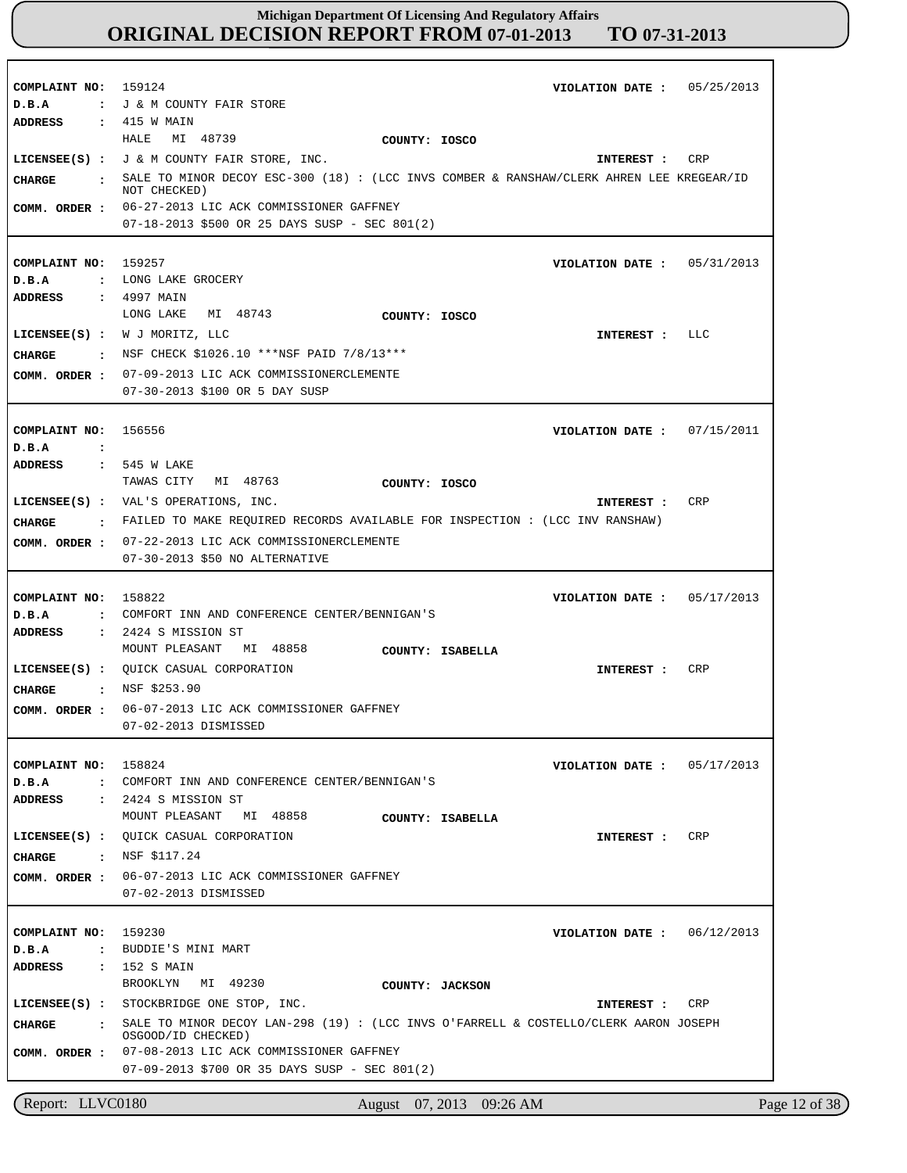| COMPLAINT NO: 159124<br>D.B.A                                | 05/25/2013<br>VIOLATION DATE :<br>: J & M COUNTY FAIR STORE                                                                                                                                                                                                                      |
|--------------------------------------------------------------|----------------------------------------------------------------------------------------------------------------------------------------------------------------------------------------------------------------------------------------------------------------------------------|
| ADDRESS<br>CHARGE<br>$\sim$ $\sim$<br>COMM. ORDER :          | : 415 W MAIN<br>MI 48739<br>HALE<br>COUNTY: IOSCO<br>LICENSEE(S) : J & M COUNTY FAIR STORE, INC.<br>CRP<br>INTEREST :<br>SALE TO MINOR DECOY ESC-300 (18) : (LCC INVS COMBER & RANSHAW/CLERK AHREN LEE KREGEAR/ID<br>NOT CHECKED)<br>06-27-2013 LIC ACK COMMISSIONER GAFFNEY     |
| COMPLAINT NO:<br>D.B.A                                       | $07-18-2013$ \$500 OR 25 DAYS SUSP - SEC 801(2)<br>159257<br>05/31/2013<br>VIOLATION DATE :<br>: LONG LAKE GROCERY                                                                                                                                                               |
| ADDRESS<br>CHARGE<br>$\ddot{\phantom{a}}$<br>COMM. ORDER :   | : 4997 MAIN<br>MI 48743<br>LONG LAKE<br>COUNTY: IOSCO<br>LICENSEE(S) : W J MORITZ, LLC<br>LLC<br>INTEREST :<br>NSF CHECK \$1026.10 ***NSF PAID 7/8/13***<br>07-09-2013 LIC ACK COMMISSIONERCLEMENTE<br>07-30-2013 \$100 OR 5 DAY SUSP                                            |
| COMPLAINT NO: 156556<br>D.B.A<br>$\cdot$ :<br><b>ADDRESS</b> | VIOLATION DATE: $07/15/2011$<br>: 545 W LAKE                                                                                                                                                                                                                                     |
| CHARGE<br>COMM. ORDER :                                      | TAWAS CITY<br>MI 48763<br>COUNTY: IOSCO<br>LICENSEE(S) : VAL'S OPERATIONS, INC.<br>CRP<br>INTEREST :<br>$\,$ . FAILED TO MAKE REQUIRED RECORDS AVAILABLE FOR INSPECTION : (LCC INV RANSHAW)<br>07-22-2013 LIC ACK COMMISSIONERCLEMENTE<br>07-30-2013 \$50 NO ALTERNATIVE         |
| COMPLAINT NO:<br>D.B.A<br>ADDRESS                            | 158822<br>VIOLATION DATE: $05/17/2013$<br>: COMFORT INN AND CONFERENCE CENTER/BENNIGAN'S<br>: 2424 S MISSION ST                                                                                                                                                                  |
| $LICENSEE(S)$ :<br>CHARGE<br>COMM. ORDER :                   | MOUNT PLEASANT MI 48858<br>COUNTY: ISABELLA<br>OUICK CASUAL CORPORATION<br>CRP<br>INTEREST :<br>: NSF \$253.90<br>06-07-2013 LIC ACK COMMISSIONER GAFFNEY<br>07-02-2013 DISMISSED                                                                                                |
| COMPLAINT NO: 158824<br>D.B.A<br><b>ADDRESS</b>              | VIOLATION DATE :<br>05/17/2013<br>: COMFORT INN AND CONFERENCE CENTER/BENNIGAN'S<br>: 2424 S MISSION ST                                                                                                                                                                          |
| CHARGE : NSF \$117.24<br>COMM. ORDER :                       | MOUNT PLEASANT<br>MI 48858<br>COUNTY: ISABELLA<br>LICENSEE(S) : QUICK CASUAL CORPORATION<br>CRP<br>INTEREST :<br>06-07-2013 LIC ACK COMMISSIONER GAFFNEY<br>07-02-2013 DISMISSED                                                                                                 |
| COMPLAINT NO: 159230<br>D.B.A<br>ADDRESS : 152 S MAIN        | 06/12/2013<br>VIOLATION DATE :<br>: BUDDIE'S MINI MART<br>BROOKLYN MI 49230<br>COUNTY: JACKSON                                                                                                                                                                                   |
| CIIARGE<br>COMM. ORDER :                                     | LICENSEE(S) : STOCKBRIDGE ONE STOP, INC.<br><b>CRP</b><br>INTEREST :<br>: SALE TO MINOR DECOY LAN-298 (19) : (LCC INVS O'FARRELL & COSTELLO/CLERK AARON JOSEPH<br>OSGOOD/ID CHECKED)<br>07-08-2013 LIC ACK COMMISSIONER GAFFNEY<br>07-09-2013 \$700 OR 35 DAYS SUSP - SEC 801(2) |

Report: LLVC0180 August 07, 2013 09:26 AM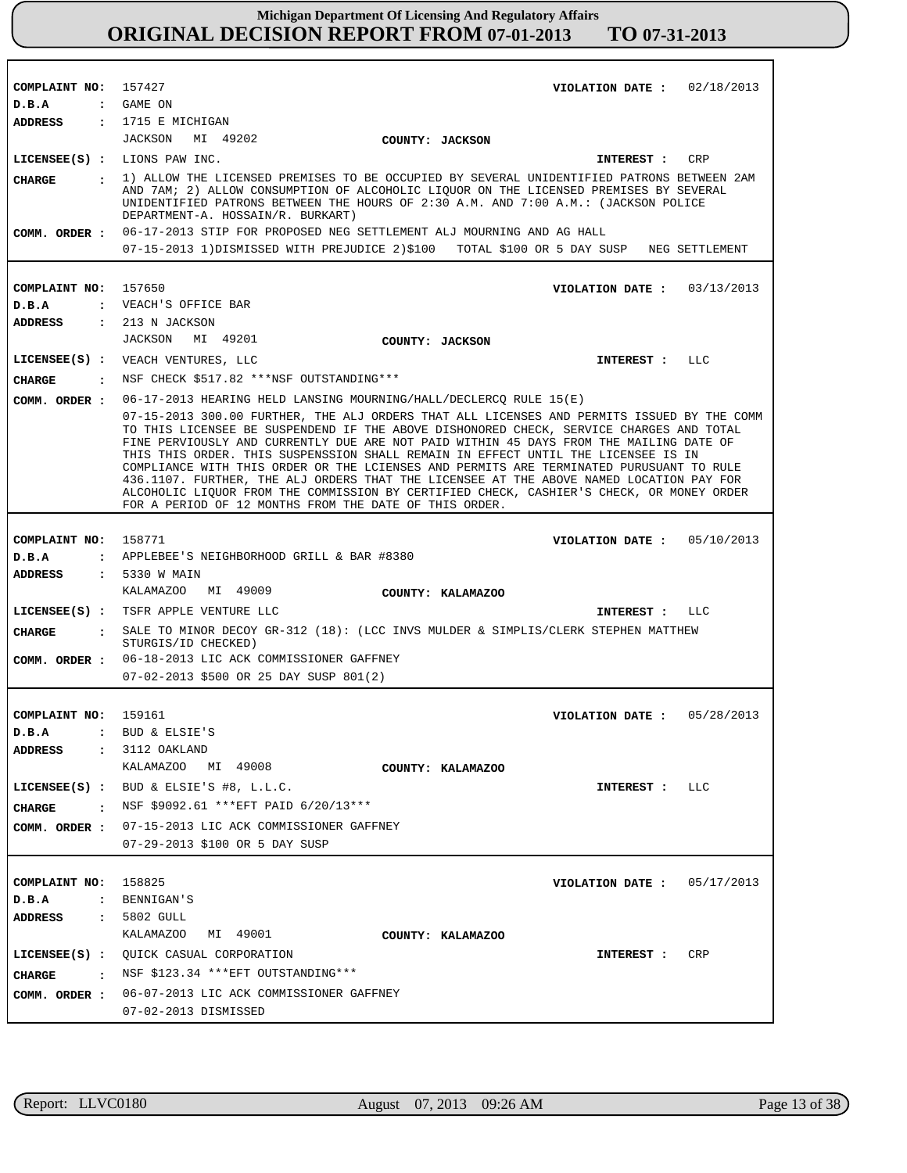| COMPLAINT NO: 157427    | VIOLATION DATE: $02/18/2013$                                                                                                                                                                                                                                                                                                                                                                                                                                                                                                                                                                                                                                                                                     |
|-------------------------|------------------------------------------------------------------------------------------------------------------------------------------------------------------------------------------------------------------------------------------------------------------------------------------------------------------------------------------------------------------------------------------------------------------------------------------------------------------------------------------------------------------------------------------------------------------------------------------------------------------------------------------------------------------------------------------------------------------|
| D.B.A                   | : GAME ON                                                                                                                                                                                                                                                                                                                                                                                                                                                                                                                                                                                                                                                                                                        |
| ADDRESS                 | $: 1715 E$ MICHIGAN                                                                                                                                                                                                                                                                                                                                                                                                                                                                                                                                                                                                                                                                                              |
|                         | JACKSON MI 49202<br><b>COUNTY: JACKSON</b>                                                                                                                                                                                                                                                                                                                                                                                                                                                                                                                                                                                                                                                                       |
|                         | $LICENSEE(S)$ : $LIONS$ PAW INC.<br>CRP<br>INTEREST :                                                                                                                                                                                                                                                                                                                                                                                                                                                                                                                                                                                                                                                            |
| <b>CHARGE</b>           | : 1) ALLOW THE LICENSED PREMISES TO BE OCCUPIED BY SEVERAL UNIDENTIFIED PATRONS BETWEEN 2AM                                                                                                                                                                                                                                                                                                                                                                                                                                                                                                                                                                                                                      |
|                         | AND 7AM; 2) ALLOW CONSUMPTION OF ALCOHOLIC LIQUOR ON THE LICENSED PREMISES BY SEVERAL<br>UNIDENTIFIED PATRONS BETWEEN THE HOURS OF 2:30 A.M. AND 7:00 A.M.: (JACKSON POLICE<br>DEPARTMENT-A. HOSSAIN/R. BURKART)                                                                                                                                                                                                                                                                                                                                                                                                                                                                                                 |
|                         | COMM. ORDER: 06-17-2013 STIP FOR PROPOSED NEG SETTLEMENT ALJ MOURNING AND AG HALL                                                                                                                                                                                                                                                                                                                                                                                                                                                                                                                                                                                                                                |
|                         | 07-15-2013 1)DISMISSED WITH PREJUDICE 2)\$100 TOTAL \$100 OR 5 DAY SUSP NEG SETTLEMENT                                                                                                                                                                                                                                                                                                                                                                                                                                                                                                                                                                                                                           |
|                         |                                                                                                                                                                                                                                                                                                                                                                                                                                                                                                                                                                                                                                                                                                                  |
| COMPLAINT NO:           | 157650<br>VIOLATION DATE: $03/13/2013$                                                                                                                                                                                                                                                                                                                                                                                                                                                                                                                                                                                                                                                                           |
| D.B.A                   | : VEACH'S OFFICE BAR                                                                                                                                                                                                                                                                                                                                                                                                                                                                                                                                                                                                                                                                                             |
| ADDRESS                 | $: 213$ N JACKSON                                                                                                                                                                                                                                                                                                                                                                                                                                                                                                                                                                                                                                                                                                |
|                         | JACKSON MI 49201<br>COUNTY: JACKSON                                                                                                                                                                                                                                                                                                                                                                                                                                                                                                                                                                                                                                                                              |
|                         | LICENSEE(S) : VEACH VENTURES, LLC<br>INTEREST : LLC                                                                                                                                                                                                                                                                                                                                                                                                                                                                                                                                                                                                                                                              |
| <b>CHARGE</b>           | : NSF CHECK \$517.82 ***NSF OUTSTANDING***                                                                                                                                                                                                                                                                                                                                                                                                                                                                                                                                                                                                                                                                       |
| COMM. ORDER :           | 06-17-2013 HEARING HELD LANSING MOURNING/HALL/DECLERCQ RULE 15(E)                                                                                                                                                                                                                                                                                                                                                                                                                                                                                                                                                                                                                                                |
|                         | 07-15-2013 300.00 FURTHER, THE ALJ ORDERS THAT ALL LICENSES AND PERMITS ISSUED BY THE COMM<br>TO THIS LICENSEE BE SUSPENDEND IF THE ABOVE DISHONORED CHECK, SERVICE CHARGES AND TOTAL<br>FINE PERVIOUSLY AND CURRENTLY DUE ARE NOT PAID WITHIN 45 DAYS FROM THE MAILING DATE OF<br>THIS THIS ORDER. THIS SUSPENSSION SHALL REMAIN IN EFFECT UNTIL THE LICENSEE IS IN<br>COMPLIANCE WITH THIS ORDER OR THE LCIENSES AND PERMITS ARE TERMINATED PURUSUANT TO RULE<br>436.1107. FURTHER, THE ALJ ORDERS THAT THE LICENSEE AT THE ABOVE NAMED LOCATION PAY FOR<br>ALCOHOLIC LIQUOR FROM THE COMMISSION BY CERTIFIED CHECK, CASHIER'S CHECK, OR MONEY ORDER<br>FOR A PERIOD OF 12 MONTHS FROM THE DATE OF THIS ORDER. |
|                         |                                                                                                                                                                                                                                                                                                                                                                                                                                                                                                                                                                                                                                                                                                                  |
| COMPLAINT NO: 158771    | VIOLATION DATE: $05/10/2013$                                                                                                                                                                                                                                                                                                                                                                                                                                                                                                                                                                                                                                                                                     |
| D.B.A                   | : APPLEBEE'S NEIGHBORHOOD GRILL & BAR #8380                                                                                                                                                                                                                                                                                                                                                                                                                                                                                                                                                                                                                                                                      |
| ADDRESS                 | : 5330 W MAIN                                                                                                                                                                                                                                                                                                                                                                                                                                                                                                                                                                                                                                                                                                    |
|                         | KALAMAZOO<br>MI 49009<br>COUNTY: KALAMAZOO                                                                                                                                                                                                                                                                                                                                                                                                                                                                                                                                                                                                                                                                       |
|                         | LICENSEE(S) : TSFR APPLE VENTURE LLC<br>LLC<br>INTEREST :                                                                                                                                                                                                                                                                                                                                                                                                                                                                                                                                                                                                                                                        |
| <b>CHARGE</b>           | : SALE TO MINOR DECOY GR-312 (18): (LCC INVS MULDER & SIMPLIS/CLERK STEPHEN MATTHEW<br>STURGIS/ID CHECKED)                                                                                                                                                                                                                                                                                                                                                                                                                                                                                                                                                                                                       |
|                         | COMM. ORDER : 06-18-2013 LIC ACK COMMISSIONER GAFFNEY                                                                                                                                                                                                                                                                                                                                                                                                                                                                                                                                                                                                                                                            |
|                         | 07-02-2013 \$500 OR 25 DAY SUSP 801(2)                                                                                                                                                                                                                                                                                                                                                                                                                                                                                                                                                                                                                                                                           |
|                         |                                                                                                                                                                                                                                                                                                                                                                                                                                                                                                                                                                                                                                                                                                                  |
| COMPLAINT NO:           | 159161<br>VIOLATION DATE: 05/28/2013                                                                                                                                                                                                                                                                                                                                                                                                                                                                                                                                                                                                                                                                             |
| D.B.A                   | BUD & ELSIE'S                                                                                                                                                                                                                                                                                                                                                                                                                                                                                                                                                                                                                                                                                                    |
| <b>ADDRESS</b>          | $: 3112$ OAKLAND<br>KALAMAZOO MI 49008<br>COUNTY: KALAMAZOO                                                                                                                                                                                                                                                                                                                                                                                                                                                                                                                                                                                                                                                      |
|                         |                                                                                                                                                                                                                                                                                                                                                                                                                                                                                                                                                                                                                                                                                                                  |
|                         | LICENSEE $(S)$ : BUD & ELSIE'S #8, L.L.C.<br>INTEREST : LLC                                                                                                                                                                                                                                                                                                                                                                                                                                                                                                                                                                                                                                                      |
| CHARGE                  | : NSF \$9092.61 *** EFT PAID 6/20/13***                                                                                                                                                                                                                                                                                                                                                                                                                                                                                                                                                                                                                                                                          |
|                         | COMM. ORDER : 07-15-2013 LIC ACK COMMISSIONER GAFFNEY                                                                                                                                                                                                                                                                                                                                                                                                                                                                                                                                                                                                                                                            |
|                         | 07-29-2013 \$100 OR 5 DAY SUSP                                                                                                                                                                                                                                                                                                                                                                                                                                                                                                                                                                                                                                                                                   |
|                         |                                                                                                                                                                                                                                                                                                                                                                                                                                                                                                                                                                                                                                                                                                                  |
| COMPLAINT NO: 158825    | VIOLATION DATE: $05/17/2013$<br>: BENNIGAN'S                                                                                                                                                                                                                                                                                                                                                                                                                                                                                                                                                                                                                                                                     |
| D.B.A<br><b>ADDRESS</b> | $: 5802$ GULL                                                                                                                                                                                                                                                                                                                                                                                                                                                                                                                                                                                                                                                                                                    |
|                         | KALAMAZOO MI 49001<br>COUNTY: KALAMAZOO                                                                                                                                                                                                                                                                                                                                                                                                                                                                                                                                                                                                                                                                          |
|                         |                                                                                                                                                                                                                                                                                                                                                                                                                                                                                                                                                                                                                                                                                                                  |
|                         |                                                                                                                                                                                                                                                                                                                                                                                                                                                                                                                                                                                                                                                                                                                  |
|                         | LICENSEE(S) : QUICK CASUAL CORPORATION<br>CRP<br>INTEREST :                                                                                                                                                                                                                                                                                                                                                                                                                                                                                                                                                                                                                                                      |
| CHARGE                  | : NSF \$123.34 ***EFT OUTSTANDING***                                                                                                                                                                                                                                                                                                                                                                                                                                                                                                                                                                                                                                                                             |
| COMM. ORDER :           | 06-07-2013 LIC ACK COMMISSIONER GAFFNEY<br>07-02-2013 DISMISSED                                                                                                                                                                                                                                                                                                                                                                                                                                                                                                                                                                                                                                                  |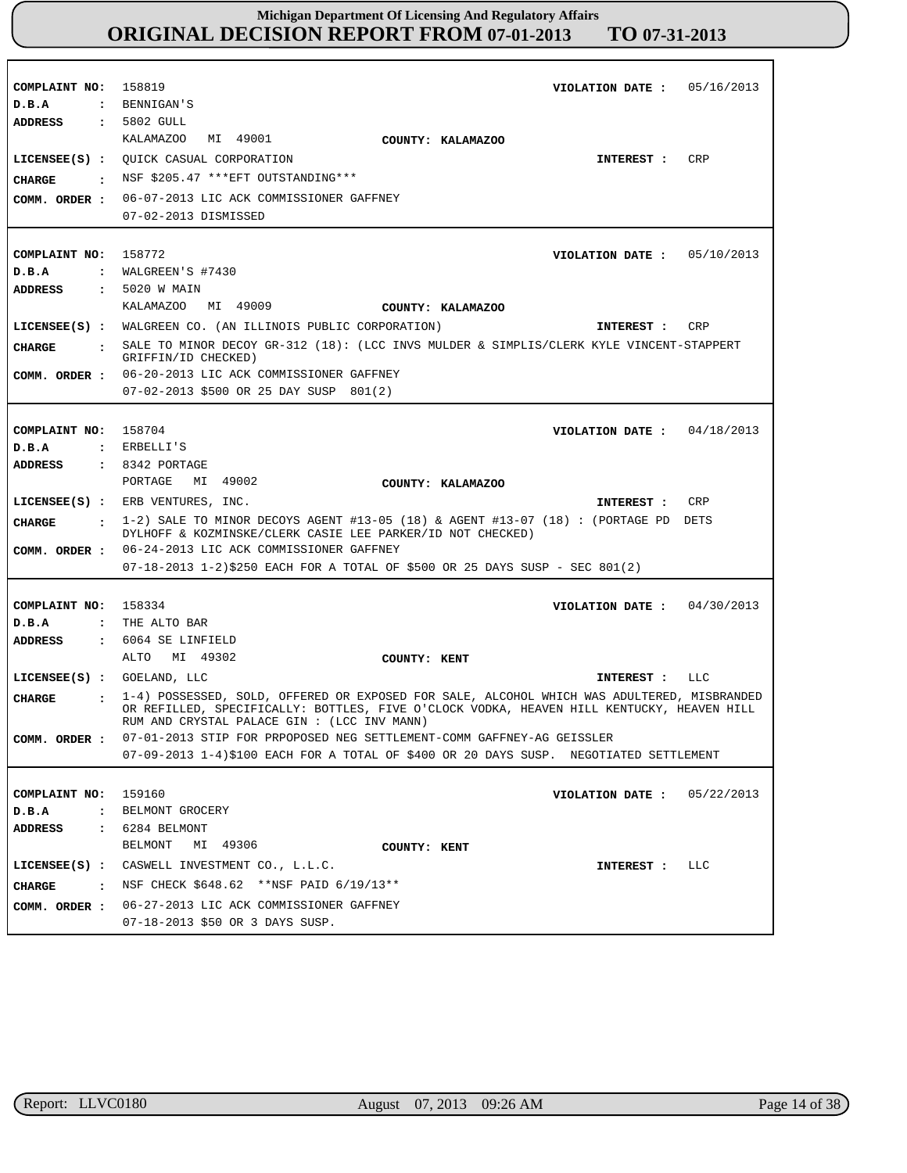| COMPLAINT NO:<br>D.B.A               | 158819<br>VIOLATION DATE: $05/16/2013$<br>: BENNIGAN'S                                                                                                         |
|--------------------------------------|----------------------------------------------------------------------------------------------------------------------------------------------------------------|
| ADDRESS                              | : 5802 GULL                                                                                                                                                    |
|                                      | MI 49001<br>KALAMAZOO<br>COUNTY: KALAMAZOO                                                                                                                     |
|                                      | <b>CRP</b><br>LICENSEE(S) : QUICK CASUAL CORPORATION<br>INTEREST :                                                                                             |
| CIIARGE<br>$\sim$ 1.000 $\pm$        | NSF \$205.47 ***EFT OUTSTANDING***                                                                                                                             |
|                                      | 06-07-2013 LIC ACK COMMISSIONER GAFFNEY                                                                                                                        |
| COMM. ORDER :                        | 07-02-2013 DISMISSED                                                                                                                                           |
|                                      |                                                                                                                                                                |
| COMPLAINT NO: 158772                 | VIOLATION DATE: $05/10/2013$                                                                                                                                   |
| D.B.A                                | : WALGREEN'S $\#7430$                                                                                                                                          |
| <b>ADDRESS</b>                       | : 5020 W MAIN                                                                                                                                                  |
|                                      | KALAMAZOO MI 49009<br>COUNTY: KALAMAZOO                                                                                                                        |
|                                      | LICENSEE(S) : WALGREEN CO. (AN ILLINOIS PUBLIC CORPORATION)<br>CRP<br>INTEREST :                                                                               |
| <b>CHARGE</b>                        | : SALE TO MINOR DECOY GR-312 (18): (LCC INVS MULDER & SIMPLIS/CLERK KYLE VINCENT-STAPPERT                                                                      |
|                                      | GRIFFIN/ID CHECKED)                                                                                                                                            |
|                                      | COMM. ORDER : 06-20-2013 LIC ACK COMMISSIONER GAFFNEY                                                                                                          |
|                                      | 07-02-2013 \$500 OR 25 DAY SUSP 801(2)                                                                                                                         |
|                                      |                                                                                                                                                                |
| COMPLAINT NO: 158704                 | VIOLATION DATE: $04/18/2013$                                                                                                                                   |
| D.B.A                                | : ERBELLI'S                                                                                                                                                    |
| ADDRESS                              | $: 8342$ PORTAGE                                                                                                                                               |
|                                      | MI 49002<br>PORTAGE<br>COUNTY: KALAMAZOO                                                                                                                       |
|                                      | LICENSEE(S) : ERB VENTURES, INC.<br>CRP<br>INTEREST :                                                                                                          |
|                                      |                                                                                                                                                                |
| <b>CHARGE</b>                        | $\pm$ 1-2) SALE TO MINOR DECOYS AGENT #13-05 (18) & AGENT #13-07 (18) : (PORTAGE PD DETS<br>DYLHOFF & KOZMINSKE/CLERK CASIE LEE PARKER/ID NOT CHECKED)         |
|                                      | COMM. ORDER : 06-24-2013 LIC ACK COMMISSIONER GAFFNEY                                                                                                          |
|                                      | $07-18-2013$ 1-2)\$250 EACH FOR A TOTAL OF \$500 OR 25 DAYS SUSP - SEC 801(2)                                                                                  |
|                                      |                                                                                                                                                                |
| COMPLAINT NO:                        | 158334<br>VIOLATION DATE: $04/30/2013$                                                                                                                         |
| D.B.A<br>$\ddot{\cdot}$              | THE ALTO BAR                                                                                                                                                   |
| <b>ADDRESS</b>                       | $: 6064$ SE LINFIELD                                                                                                                                           |
|                                      | ALTO MI 49302<br>COUNTY: KENT                                                                                                                                  |
| LICENSEE(S) : GOELAND, LLC           | INTEREST : LLC                                                                                                                                                 |
| <b>CHARGE</b><br>$\ddot{\mathbf{r}}$ | 1-4) POSSESSED, SOLD, OFFERED OR EXPOSED FOR SALE, ALCOHOL WHICH WAS ADULTERED, MISBRANDED                                                                     |
|                                      | OR REFILLED, SPECIFICALLY: BOTTLES, FIVE O'CLOCK VODKA, HEAVEN HILL KENTUCKY, HEAVEN HILL                                                                      |
|                                      | RUM AND CRYSTAL PALACE GIN : (LCC INV MANN)                                                                                                                    |
| COMM. ORDER :                        | 07-01-2013 STIP FOR PRPOPOSED NEG SETTLEMENT-COMM GAFFNEY-AG GEISSLER<br>07-09-2013 1-4)\$100 EACH FOR A TOTAL OF \$400 OR 20 DAYS SUSP. NEGOTIATED SETTLEMENT |
|                                      |                                                                                                                                                                |
| COMPLAINT NO:                        | 159160<br>VIOLATION DATE: $05/22/2013$                                                                                                                         |
| D.B.A<br>$\ddot{\cdot}$              | BELMONT GROCERY                                                                                                                                                |
| <b>ADDRESS</b>                       | $: 6284$ BELMONT                                                                                                                                               |
|                                      | MI 49306<br>BELMONT<br>COUNTY: KENT                                                                                                                            |
|                                      | LICENSEE(S) : CASWELL INVESTMENT CO., L.L.C.<br>LLC<br>INTEREST :                                                                                              |
|                                      | $\cdot$ NSF CHECK \$648.62 **NSF PAID 6/19/13**                                                                                                                |
| <b>CHARGE</b><br>COMM. ORDER :       | 06-27-2013 LIC ACK COMMISSIONER GAFFNEY                                                                                                                        |

r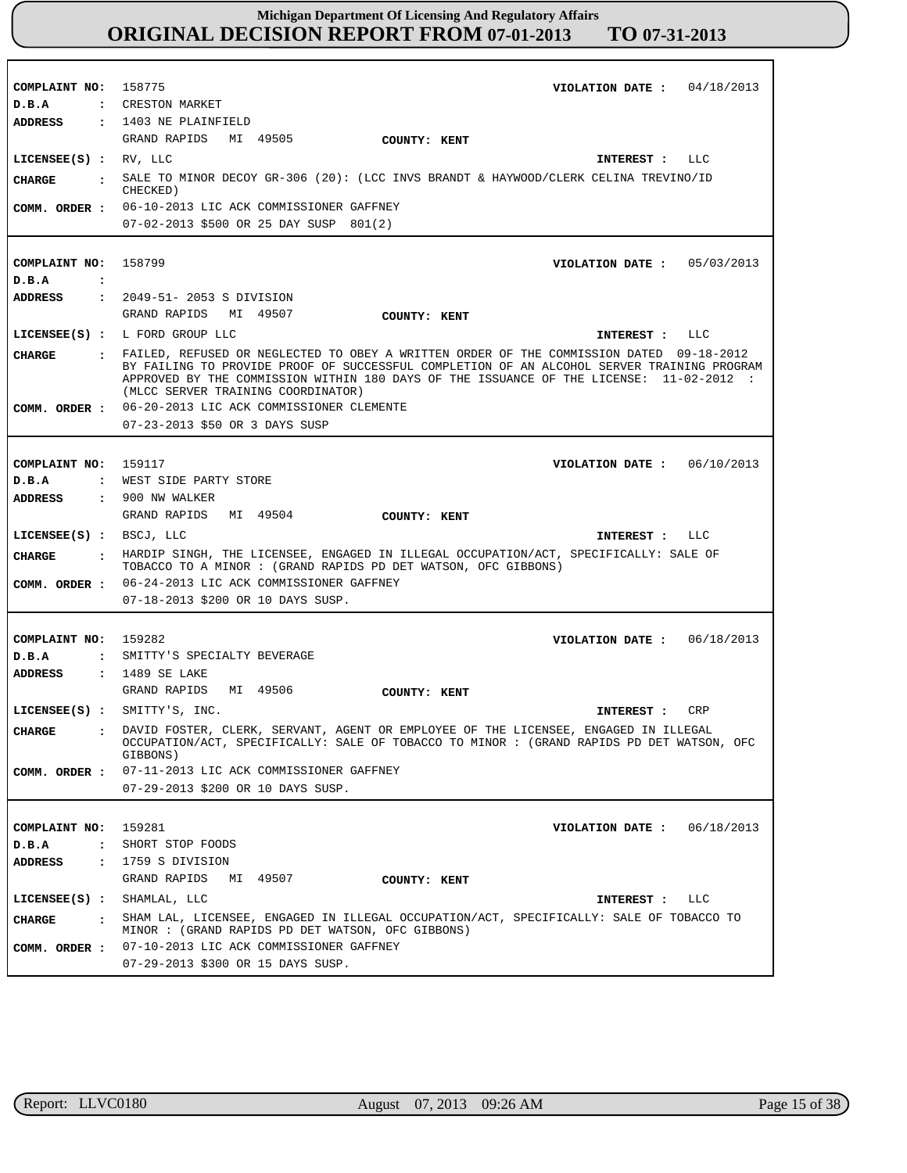| COMPLAINT NO:                  |                                                                                                                                                                                                                             |
|--------------------------------|-----------------------------------------------------------------------------------------------------------------------------------------------------------------------------------------------------------------------------|
|                                | 158775<br>VIOLATION DATE: $04/18/2013$                                                                                                                                                                                      |
| D.B.A                          | : CRESTON MARKET                                                                                                                                                                                                            |
| ADDRESS                        | : 1403 NE PLAINFIELD                                                                                                                                                                                                        |
|                                | GRAND RAPIDS MI 49505<br>COUNTY: KENT                                                                                                                                                                                       |
| LICENSEE $(S)$ : RV, LLC       | INTEREST :<br>LLC                                                                                                                                                                                                           |
| <b>CHARGE</b><br>$\sim$ $\sim$ | SALE TO MINOR DECOY GR-306 (20): (LCC INVS BRANDT & HAYWOOD/CLERK CELINA TREVINO/ID<br>CHECKED)                                                                                                                             |
|                                | COMM. ORDER : 06-10-2013 LIC ACK COMMISSIONER GAFFNEY                                                                                                                                                                       |
|                                | 07-02-2013 \$500 OR 25 DAY SUSP 801(2)                                                                                                                                                                                      |
|                                |                                                                                                                                                                                                                             |
| COMPLAINT NO:                  | 158799<br>VIOLATION DATE: $05/03/2013$                                                                                                                                                                                      |
| D.B.A                          | $\ddot{\phantom{a}}$                                                                                                                                                                                                        |
| <b>ADDRESS</b>                 | : 2049-51- 2053 S DIVISION                                                                                                                                                                                                  |
|                                | GRAND RAPIDS MI 49507<br>COUNTY: KENT                                                                                                                                                                                       |
|                                | LICENSE (S) : L FORD GROUP LLC<br>INTEREST : LLC                                                                                                                                                                            |
|                                | : FAILED, REFUSED OR NEGLECTED TO OBEY A WRITTEN ORDER OF THE COMMISSION DATED 09-18-2012                                                                                                                                   |
| <b>CHARGE</b>                  | BY FAILING TO PROVIDE PROOF OF SUCCESSFUL COMPLETION OF AN ALCOHOL SERVER TRAINING PROGRAM<br>APPROVED BY THE COMMISSION WITHIN 180 DAYS OF THE ISSUANCE OF THE LICENSE: 11-02-2012 :<br>(MLCC SERVER TRAINING COORDINATOR) |
|                                | COMM. ORDER : 06-20-2013 LIC ACK COMMISSIONER CLEMENTE                                                                                                                                                                      |
|                                | 07-23-2013 \$50 OR 3 DAYS SUSP                                                                                                                                                                                              |
|                                |                                                                                                                                                                                                                             |
| COMPLAINT NO: 159117           | VIOLATION DATE: $06/10/2013$                                                                                                                                                                                                |
| D.B.A                          | WEST SIDE PARTY STORE<br>$\mathbf{r}$                                                                                                                                                                                       |
| ADDRESS                        | : 900 NW WALKER                                                                                                                                                                                                             |
|                                | GRAND RAPIDS<br>MI 49504<br>COUNTY: KENT                                                                                                                                                                                    |
| LICENSEE(S) : BSCJ, LLC        | INTEREST : LLC                                                                                                                                                                                                              |
| CHARGE                         |                                                                                                                                                                                                                             |
|                                | : HARDIP SINGH, THE LICENSEE, ENGAGED IN ILLEGAL OCCUPATION/ACT, SPECIFICALLY: SALE OF<br>TOBACCO TO A MINOR: (GRAND RAPIDS PD DET WATSON, OFC GIBBONS)                                                                     |
|                                | COMM. ORDER : 06-24-2013 LIC ACK COMMISSIONER GAFFNEY                                                                                                                                                                       |
|                                | 07-18-2013 \$200 OR 10 DAYS SUSP.                                                                                                                                                                                           |
|                                |                                                                                                                                                                                                                             |
|                                |                                                                                                                                                                                                                             |
| COMPLAINT NO: 159282<br>D.B.A  | VIOLATION DATE: $06/18/2013$<br>: SMITTY'S SPECIALTY BEVERAGE                                                                                                                                                               |
|                                |                                                                                                                                                                                                                             |
| ADDRESS                        | : 1489 SE LAKE<br>GRAND RAPIDS<br>MI 49506                                                                                                                                                                                  |
|                                | COUNTY: KENT                                                                                                                                                                                                                |
|                                | LICENSEE(S) : SMITTY'S, INC.<br>CRP<br>INTEREST :                                                                                                                                                                           |
| <b>CHARGE</b>                  | : DAVID FOSTER, CLERK, SERVANT, AGENT OR EMPLOYEE OF THE LICENSEE, ENGAGED IN ILLEGAL<br>OCCUPATION/ACT, SPECIFICALLY: SALE OF TOBACCO TO MINOR : (GRAND RAPIDS PD DET WATSON, OFC<br>GIBBONS)                              |
| COMM. ORDER :                  | 07-11-2013 LIC ACK COMMISSIONER GAFFNEY                                                                                                                                                                                     |
|                                | 07-29-2013 \$200 OR 10 DAYS SUSP.                                                                                                                                                                                           |
|                                |                                                                                                                                                                                                                             |
| COMPLAINT NO:                  | 159281<br>VIOLATION DATE: $06/18/2013$                                                                                                                                                                                      |
| D.B.A                          | SHORT STOP FOODS<br>$\ddot{\phantom{a}}$                                                                                                                                                                                    |
| ADDRESS<br>$\mathbf{r}$        | 1759 S DIVISION                                                                                                                                                                                                             |
|                                | GRAND RAPIDS<br>MI 49507<br>COUNTY: KENT                                                                                                                                                                                    |
|                                | LICENSEE(S) : SHAMLAL, LLC                                                                                                                                                                                                  |
|                                | INTEREST : LLC                                                                                                                                                                                                              |
| CHARGE<br>$\sim$ $\sim$        | SHAM LAL, LICENSEE, ENGAGED IN ILLEGAL OCCUPATION/ACT, SPECIFICALLY: SALE OF TOBACCO TO<br>MINOR : (GRAND RAPIDS PD DET WATSON, OFC GIBBONS)                                                                                |
|                                | COMM. ORDER : 07-10-2013 LIC ACK COMMISSIONER GAFFNEY<br>07-29-2013 \$300 OR 15 DAYS SUSP.                                                                                                                                  |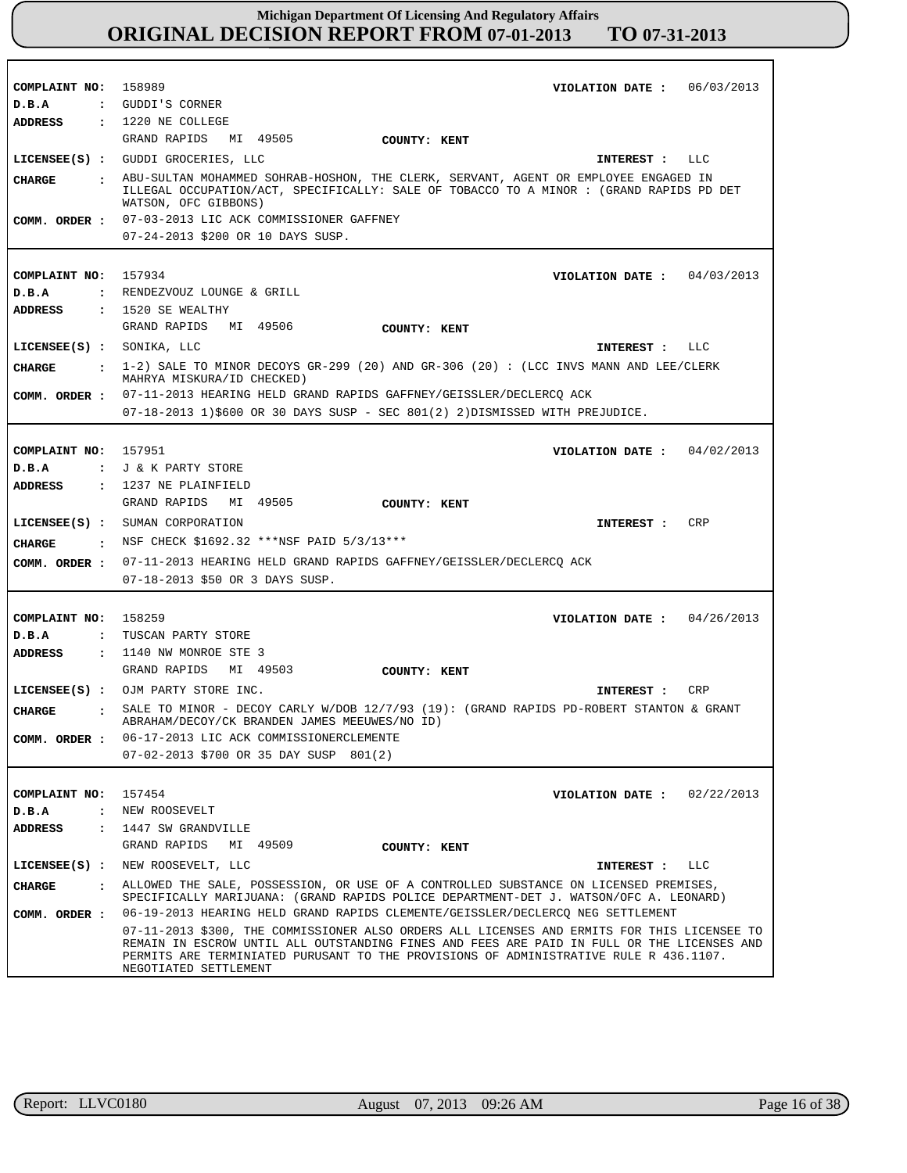| COMPLAINT NO:                 | 158989<br>06/03/2013<br>VIOLATION DATE :                                                                                                                                                                                                                                                                    |
|-------------------------------|-------------------------------------------------------------------------------------------------------------------------------------------------------------------------------------------------------------------------------------------------------------------------------------------------------------|
| D.B.A                         | : GUDDI'S CORNER                                                                                                                                                                                                                                                                                            |
| ADDRESS                       | : 1220 NE COLLEGE                                                                                                                                                                                                                                                                                           |
|                               | GRAND RAPIDS MI 49505<br>COUNTY: KENT                                                                                                                                                                                                                                                                       |
|                               | LICENSEE(S) : GUDDI GROCERIES, LLC<br>INTEREST : LLC                                                                                                                                                                                                                                                        |
| <b>CHARGE</b><br>$\sim$ 1.1   | ABU-SULTAN MOHAMMED SOHRAB-HOSHON, THE CLERK, SERVANT, AGENT OR EMPLOYEE ENGAGED IN<br>ILLEGAL OCCUPATION/ACT, SPECIFICALLY: SALE OF TOBACCO TO A MINOR : (GRAND RAPIDS PD DET<br>WATSON, OFC GIBBONS)                                                                                                      |
|                               | COMM. ORDER : 07-03-2013 LIC ACK COMMISSIONER GAFFNEY                                                                                                                                                                                                                                                       |
|                               | 07-24-2013 \$200 OR 10 DAYS SUSP.                                                                                                                                                                                                                                                                           |
|                               |                                                                                                                                                                                                                                                                                                             |
| COMPLAINT NO:                 | 157934<br>VIOLATION DATE: $04/03/2013$                                                                                                                                                                                                                                                                      |
| D.B.A                         | : RENDEZVOUZ LOUNGE & GRILL                                                                                                                                                                                                                                                                                 |
| ADDRESS                       | : 1520 SE WEALTHY                                                                                                                                                                                                                                                                                           |
|                               | GRAND RAPIDS<br>MI 49506<br>COUNTY: KENT                                                                                                                                                                                                                                                                    |
| $LICENSEE(S)$ : SONIKA, LLC   | LLC<br>INTEREST :                                                                                                                                                                                                                                                                                           |
| CIIARGE<br>$\sim$ 1.          | 1-2) SALE TO MINOR DECOYS GR-299 (20) AND GR-306 (20): (LCC INVS MANN AND LEE/CLERK<br>MAHRYA MISKURA/ID CHECKED)                                                                                                                                                                                           |
|                               | COMM. ORDER: 07-11-2013 HEARING HELD GRAND RAPIDS GAFFNEY/GEISSLER/DECLERCQ ACK<br>$07-18-2013$ 1)\$600 OR 30 DAYS SUSP - SEC 801(2) 2)DISMISSED WITH PREJUDICE.                                                                                                                                            |
|                               |                                                                                                                                                                                                                                                                                                             |
| COMPLAINT NO: 157951          | VIOLATION DATE: $04/02/2013$                                                                                                                                                                                                                                                                                |
| D.B.A                         | : J & K PARTY STORE                                                                                                                                                                                                                                                                                         |
| ADDRESS                       | $: 1237$ NE PLAINFIELD                                                                                                                                                                                                                                                                                      |
|                               | GRAND RAPIDS<br>MI 49505<br>COUNTY: KENT                                                                                                                                                                                                                                                                    |
|                               | <b>CRP</b><br>LICENSEE(S) : SUMAN CORPORATION<br>INTEREST :                                                                                                                                                                                                                                                 |
| CIIARGE                       | : NSF CHECK \$1692.32 ***NSF PAID 5/3/13***                                                                                                                                                                                                                                                                 |
| COMM. ORDER :                 | 07-11-2013 HEARING HELD GRAND RAPIDS GAFFNEY/GEISSLER/DECLERCQ ACK                                                                                                                                                                                                                                          |
|                               | 07-18-2013 \$50 OR 3 DAYS SUSP.                                                                                                                                                                                                                                                                             |
|                               |                                                                                                                                                                                                                                                                                                             |
| COMPLAINT NO:                 | 158259<br>VIOLATION DATE: $04/26/2013$                                                                                                                                                                                                                                                                      |
| D.B.A<br>$\ddot{\phantom{a}}$ | TUSCAN PARTY STORE                                                                                                                                                                                                                                                                                          |
| <b>ADDRESS</b>                | : 1140 NW MONROE STE 3                                                                                                                                                                                                                                                                                      |
|                               | GRAND RAPIDS MI 49503<br>COUNTY: KENT                                                                                                                                                                                                                                                                       |
|                               | LICENSEE(S) : OJM PARTY STORE INC.<br>CRP<br>INTEREST :                                                                                                                                                                                                                                                     |
| <b>CIIARGE</b>                | SALE TO MINOR - DECOY CARLY W/DOB 12/7/93 (19): (GRAND RAPIDS PD-ROBERT STANTON & GRANT<br>ABRAHAM/DECOY/CK BRANDEN JAMES MEEUWES/NO ID)                                                                                                                                                                    |
| COMM. ORDER :                 | 06-17-2013 LIC ACK COMMISSIONERCLEMENTE                                                                                                                                                                                                                                                                     |
|                               | 07-02-2013 \$700 OR 35 DAY SUSP 801(2)                                                                                                                                                                                                                                                                      |
|                               |                                                                                                                                                                                                                                                                                                             |
| COMPLAINT NO: 157454          | VIOLATION DATE: $02/22/2013$                                                                                                                                                                                                                                                                                |
| D.B.A                         | : NEW ROOSEVELT                                                                                                                                                                                                                                                                                             |
| ADDRESS                       | : 1447 SW GRANDVILLE                                                                                                                                                                                                                                                                                        |
|                               | GRAND RAPIDS MI 49509<br>COUNTY: KENT                                                                                                                                                                                                                                                                       |
|                               | LICENSEE(S) : NEW ROOSEVELT, LLC<br>INTEREST : LLC                                                                                                                                                                                                                                                          |
| <b>CHARGE</b>                 | : ALLOWED THE SALE, POSSESSION, OR USE OF A CONTROLLED SUBSTANCE ON LICENSED PREMISES,<br>SPECIFICALLY MARIJUANA: (GRAND RAPIDS POLICE DEPARTMENT-DET J. WATSON/OFC A. LEONARD)                                                                                                                             |
| COMM. ORDER :                 | 06-19-2013 HEARING HELD GRAND RAPIDS CLEMENTE/GEISSLER/DECLERCQ NEG SETTLEMENT                                                                                                                                                                                                                              |
|                               | 07-11-2013 \$300, THE COMMISSIONER ALSO ORDERS ALL LICENSES AND ERMITS FOR THIS LICENSEE TO<br>REMAIN IN ESCROW UNTIL ALL OUTSTANDING FINES AND FEES ARE PAID IN FULL OR THE LICENSES AND<br>PERMITS ARE TERMINIATED PURUSANT TO THE PROVISIONS OF ADMINISTRATIVE RULE R 436.1107.<br>NEGOTIATED SETTLEMENT |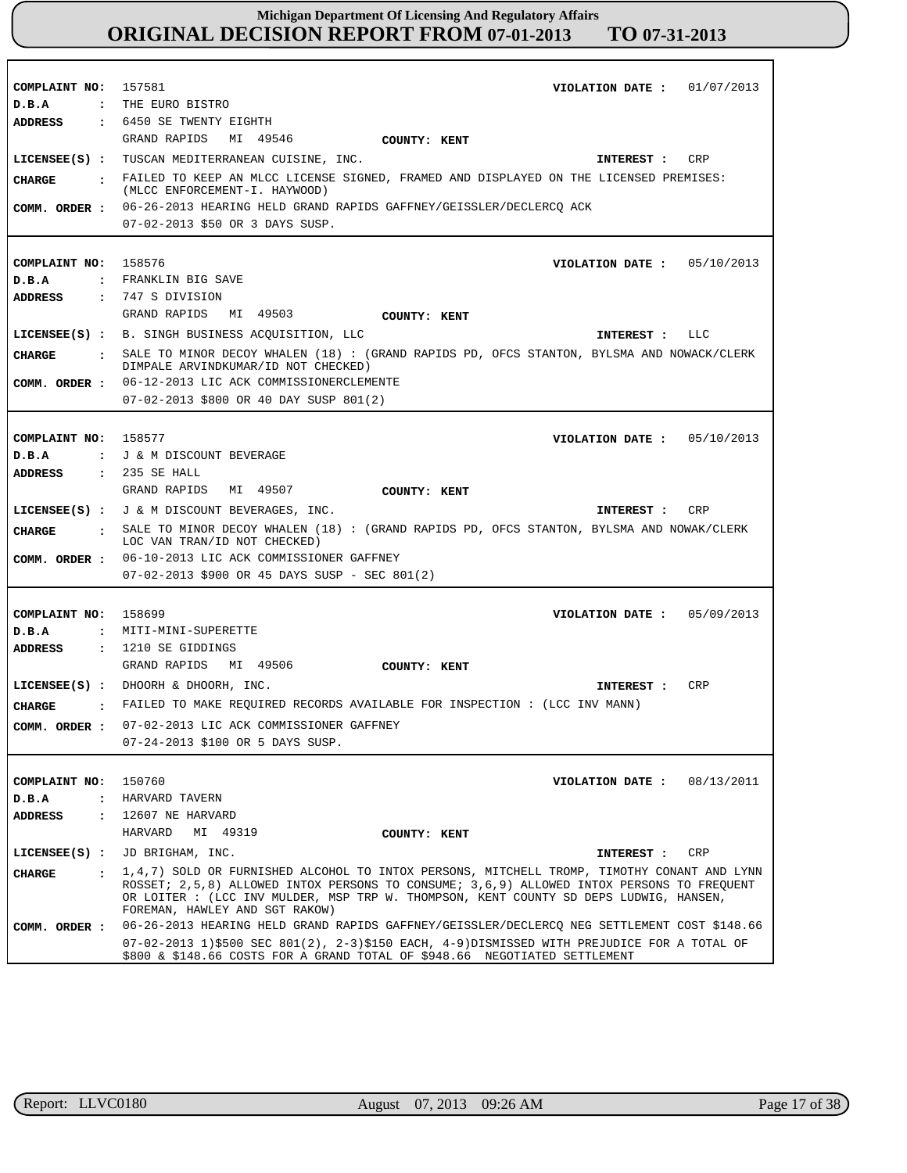| COMPLAINT NO: 157581<br>D.B.A | VIOLATION DATE: $01/07/2013$<br>: THE EURO BISTRO                                                                                                                                                                    |
|-------------------------------|----------------------------------------------------------------------------------------------------------------------------------------------------------------------------------------------------------------------|
| ADDRESS                       | : 6450 SE TWENTY EIGHTH                                                                                                                                                                                              |
|                               | GRAND RAPIDS MI 49546<br>COUNTY: KENT                                                                                                                                                                                |
|                               | LICENSEE(S) : TUSCAN MEDITERRANEAN CUISINE, INC.<br>CRP<br>INTEREST :                                                                                                                                                |
|                               | FAILED TO KEEP AN MLCC LICENSE SIGNED, FRAMED AND DISPLAYED ON THE LICENSED PREMISES:                                                                                                                                |
| CHARGE                        | (MLCC ENFORCEMENT-I. HAYWOOD)                                                                                                                                                                                        |
| COMM. ORDER :                 | 06-26-2013 HEARING HELD GRAND RAPIDS GAFFNEY/GEISSLER/DECLERCQ ACK                                                                                                                                                   |
|                               | 07-02-2013 \$50 OR 3 DAYS SUSP.                                                                                                                                                                                      |
|                               |                                                                                                                                                                                                                      |
| COMPLAINT NO: 158576          | VIOLATION DATE: $05/10/2013$                                                                                                                                                                                         |
| D.B.A                         | : FRANKLIN BIG SAVE                                                                                                                                                                                                  |
| ADDRESS                       | $: 747 S$ DIVISION                                                                                                                                                                                                   |
|                               | GRAND RAPIDS MI 49503<br>COUNTY: KENT                                                                                                                                                                                |
|                               | LICENSEE(S) : B. SINGH BUSINESS ACQUISITION, LLC<br>INTEREST : LLC                                                                                                                                                   |
| CHARGE<br>$\ddot{\cdot}$      | SALE TO MINOR DECOY WHALEN (18) : (GRAND RAPIDS PD, OFCS STANTON, BYLSMA AND NOWACK/CLERK                                                                                                                            |
|                               | DIMPALE ARVINDKUMAR/ID NOT CHECKED)                                                                                                                                                                                  |
| COMM. ORDER :                 | 06-12-2013 LIC ACK COMMISSIONERCLEMENTE                                                                                                                                                                              |
|                               | 07-02-2013 \$800 OR 40 DAY SUSP 801(2)                                                                                                                                                                               |
|                               |                                                                                                                                                                                                                      |
| COMPLAINT NO: 158577          | VIOLATION DATE: $05/10/2013$                                                                                                                                                                                         |
| D.B.A                         | : J & M DISCOUNT BEVERAGE                                                                                                                                                                                            |
| ADDRESS                       | : 235 SE HALL                                                                                                                                                                                                        |
|                               | GRAND RAPIDS MI 49507<br>COUNTY: KENT                                                                                                                                                                                |
|                               | LICENSEE(S) : J & M DISCOUNT BEVERAGES, INC.<br>CRP<br>INTEREST :                                                                                                                                                    |
| CHARGE<br>$\mathbf{r}$        | SALE TO MINOR DECOY WHALEN (18) : (GRAND RAPIDS PD, OFCS STANTON, BYLSMA AND NOWAK/CLERK<br>LOC VAN TRAN/ID NOT CHECKED)                                                                                             |
| COMM. ORDER :                 | 06-10-2013 LIC ACK COMMISSIONER GAFFNEY                                                                                                                                                                              |
|                               | $07-02-2013$ \$900 OR 45 DAYS SUSP - SEC 801(2)                                                                                                                                                                      |
|                               |                                                                                                                                                                                                                      |
| COMPLAINT NO: 158699          | 05/09/2013<br>VIOLATION DATE :                                                                                                                                                                                       |
| D.B.A                         | : MITI-MINI-SUPERETTE                                                                                                                                                                                                |
| ADDRESS                       | $: 1210$ SE GIDDINGS                                                                                                                                                                                                 |
|                               | GRAND RAPIDS MI 49506<br><b>COUNTY: KENT</b>                                                                                                                                                                         |
|                               | LICENSEE(S) : DHOORH & DHOORH, INC.<br>CRP<br><b>INTEREST :</b>                                                                                                                                                      |
| CHARGE                        | : FAILED TO MAKE REQUIRED RECORDS AVAILABLE FOR INSPECTION : (LCC INV MANN)                                                                                                                                          |
| COMM. ORDER :                 | 07-02-2013 LIC ACK COMMISSIONER GAFFNEY                                                                                                                                                                              |
|                               | 07-24-2013 \$100 OR 5 DAYS SUSP.                                                                                                                                                                                     |
|                               |                                                                                                                                                                                                                      |
| COMPLAINT NO:                 | 150760<br>08/13/2011<br>VIOLATION DATE :                                                                                                                                                                             |
| D.B.A<br>$\mathbf{r}$         | HARVARD TAVERN                                                                                                                                                                                                       |
| <b>ADDRESS</b>                | : 12607 NE HARVARD                                                                                                                                                                                                   |
|                               | HARVARD<br>MI 49319<br>COUNTY: KENT                                                                                                                                                                                  |
| $LICENSEE(S)$ :               | JD BRIGHAM, INC.<br>INTEREST :<br>CRP                                                                                                                                                                                |
| <b>CHARGE</b><br>$\mathbf{r}$ | 1,4,7) SOLD OR FURNISHED ALCOHOL TO INTOX PERSONS, MITCHELL TROMP, TIMOTHY CONANT AND LYNN                                                                                                                           |
|                               | ROSSET; 2,5,8) ALLOWED INTOX PERSONS TO CONSUME; 3,6,9) ALLOWED INTOX PERSONS TO FREOUENT<br>OR LOITER : (LCC INV MULDER, MSP TRP W. THOMPSON, KENT COUNTY SD DEPS LUDWIG, HANSEN,<br>FOREMAN, HAWLEY AND SGT RAKOW) |
| COMM. ORDER :                 |                                                                                                                                                                                                                      |
|                               | 06-26-2013 HEARING HELD GRAND RAPIDS GAFFNEY/GEISSLER/DECLERCQ NEG SETTLEMENT COST \$148.66                                                                                                                          |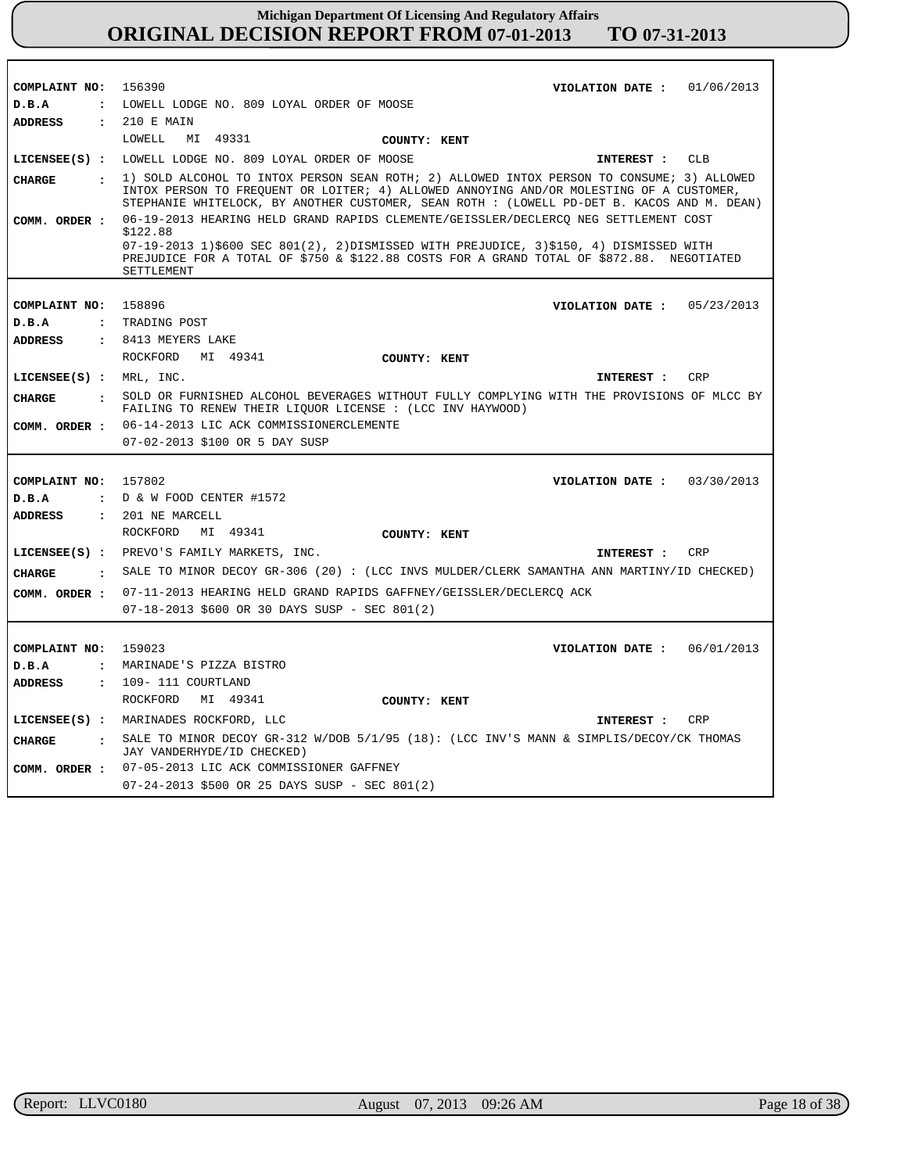| COMPLAINT NO:                                                                      | 156390<br>01/06/2013<br>VIOLATION DATE :                                                                                                                                                                                                                                                            |
|------------------------------------------------------------------------------------|-----------------------------------------------------------------------------------------------------------------------------------------------------------------------------------------------------------------------------------------------------------------------------------------------------|
| D.B.A<br>$\ddot{\phantom{a}}$                                                      | LOWELL LODGE NO. 809 LOYAL ORDER OF MOOSE                                                                                                                                                                                                                                                           |
| <b>ADDRESS</b>                                                                     | : 210 E MAIN                                                                                                                                                                                                                                                                                        |
|                                                                                    | LOWELL<br>MI 49331<br>COUNTY: KENT                                                                                                                                                                                                                                                                  |
|                                                                                    | LICENSEE(S) : LOWELL LODGE NO. 809 LOYAL ORDER OF MOOSE<br><b>CLB</b><br>INTEREST :                                                                                                                                                                                                                 |
| <b>CHARGE</b><br>$\ddot{\phantom{a}}$                                              | 1) SOLD ALCOHOL TO INTOX PERSON SEAN ROTH; 2) ALLOWED INTOX PERSON TO CONSUME; 3) ALLOWED<br>INTOX PERSON TO FREOUENT OR LOITER; 4) ALLOWED ANNOYING AND/OR MOLESTING OF A CUSTOMER,<br>STEPHANIE WHITELOCK, BY ANOTHER CUSTOMER, SEAN ROTH : (LOWELL PD-DET B. KACOS AND M. DEAN)                  |
| COMM. ORDER :                                                                      | 06-19-2013 HEARING HELD GRAND RAPIDS CLEMENTE/GEISSLER/DECLERCO NEG SETTLEMENT COST<br>\$122.88<br>07-19-2013 1)\$600 SEC 801(2), 2)DISMISSED WITH PREJUDICE, 3)\$150, 4) DISMISSED WITH<br>PREJUDICE FOR A TOTAL OF \$750 & \$122.88 COSTS FOR A GRAND TOTAL OF \$872.88. NEGOTIATED<br>SETTLEMENT |
| COMPLAINT NO:<br>D.B.A<br>$\ddot{\cdot}$<br><b>ADDRESS</b><br>$\ddot{\phantom{a}}$ | 158896<br>VIOLATION DATE :<br>05/23/2013<br>TRADING POST<br>8413 MEYERS LAKE<br>ROCKFORD<br>MI 49341<br>COUNTY: KENT                                                                                                                                                                                |
| LICENSEE(S) : <b>MRL</b> , <b>INC</b> .                                            | <b>CRP</b><br>INTEREST :                                                                                                                                                                                                                                                                            |
| CHARGE<br>$\ddot{\phantom{a}}$                                                     | SOLD OR FURNISHED ALCOHOL BEVERAGES WITHOUT FULLY COMPLYING WITH THE PROVISIONS OF MLCC BY<br>FAILING TO RENEW THEIR LIQUOR LICENSE : (LCC INV HAYWOOD)                                                                                                                                             |
|                                                                                    | 06-14-2013 LIC ACK COMMISSIONERCLEMENTE                                                                                                                                                                                                                                                             |
| COMM. ORDER :                                                                      | 07-02-2013 \$100 OR 5 DAY SUSP                                                                                                                                                                                                                                                                      |
| COMPLAINT NO:<br>D.B.A<br><b>ADDRESS</b>                                           | 157802<br>VIOLATION DATE: $03/30/2013$<br>$\cdot$ D & W FOOD CENTER #1572<br>: 201 NE MARCELL                                                                                                                                                                                                       |
|                                                                                    | ROCKFORD<br>MI 49341<br>COUNTY: KENT                                                                                                                                                                                                                                                                |
|                                                                                    | LICENSEE(S) : PREVO'S FAMILY MARKETS, INC.<br><b>CRP</b><br>INTEREST :                                                                                                                                                                                                                              |
| <b>CHARGE</b><br>$\mathbf{r}$                                                      | SALE TO MINOR DECOY GR-306 (20): (LCC INVS MULDER/CLERK SAMANTHA ANN MARTINY/ID CHECKED)                                                                                                                                                                                                            |
| COMM. ORDER :                                                                      | 07-11-2013 HEARING HELD GRAND RAPIDS GAFFNEY/GEISSLER/DECLERCQ ACK<br>07-18-2013 \$600 OR 30 DAYS SUSP - SEC 801(2)                                                                                                                                                                                 |
| COMPLAINT NO:<br>D.B.A<br>$\ddot{\phantom{a}}$                                     | 159023<br>06/01/2013<br>VIOLATION DATE :<br>MARINADE'S PIZZA BISTRO                                                                                                                                                                                                                                 |
| <b>ADDRESS</b>                                                                     | $: 109 - 111$ COURTLAND                                                                                                                                                                                                                                                                             |
|                                                                                    | ROCKFORD<br>MI 49341<br>COUNTY: KENT                                                                                                                                                                                                                                                                |
|                                                                                    | LICENSEE(S) : MARINADES ROCKFORD, LLC<br>INTEREST :<br>CRP                                                                                                                                                                                                                                          |
| <b>CHARGE</b>                                                                      | : SALE TO MINOR DECOY GR-312 W/DOB 5/1/95 (18): (LCC INV'S MANN & SIMPLIS/DECOY/CK THOMAS<br>JAY VANDERHYDE/ID CHECKED)                                                                                                                                                                             |
| COMM. ORDER :                                                                      | 07-05-2013 LIC ACK COMMISSIONER GAFFNEY<br>07-24-2013 \$500 OR 25 DAYS SUSP - SEC 801(2)                                                                                                                                                                                                            |

Г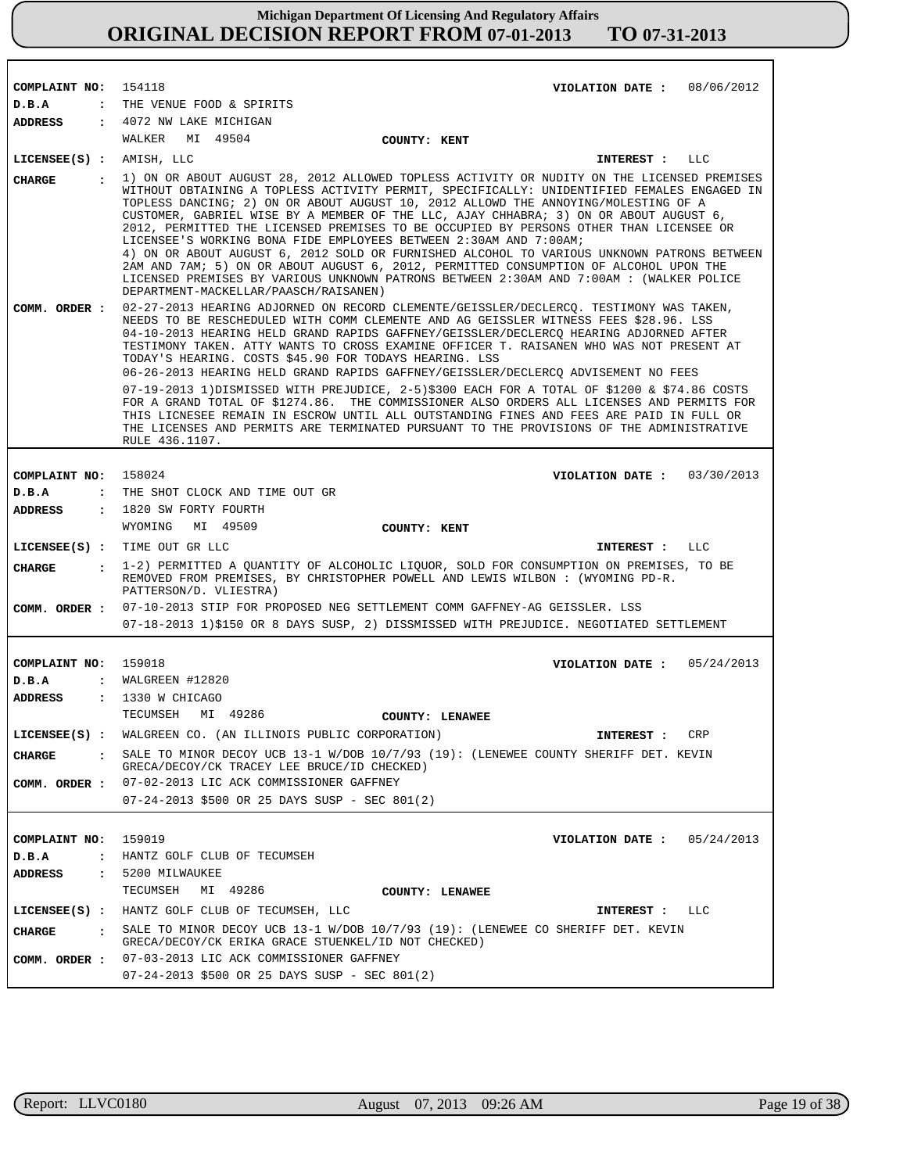| COMPLAINT NO: 154118       | VIOLATION DATE : $08/06/2012$                                                                                                                                                                                                                                                                                                                                                                                                                                                                                                                                                                                                                                                                                                                                                                                                                                                                                          |
|----------------------------|------------------------------------------------------------------------------------------------------------------------------------------------------------------------------------------------------------------------------------------------------------------------------------------------------------------------------------------------------------------------------------------------------------------------------------------------------------------------------------------------------------------------------------------------------------------------------------------------------------------------------------------------------------------------------------------------------------------------------------------------------------------------------------------------------------------------------------------------------------------------------------------------------------------------|
| D.B.A                      | : THE VENUE FOOD & SPIRITS                                                                                                                                                                                                                                                                                                                                                                                                                                                                                                                                                                                                                                                                                                                                                                                                                                                                                             |
| <b>ADDRESS</b>             | : 4072 NW LAKE MICHIGAN                                                                                                                                                                                                                                                                                                                                                                                                                                                                                                                                                                                                                                                                                                                                                                                                                                                                                                |
|                            | WALKER<br>MI 49504                                                                                                                                                                                                                                                                                                                                                                                                                                                                                                                                                                                                                                                                                                                                                                                                                                                                                                     |
|                            | COUNTY: KENT                                                                                                                                                                                                                                                                                                                                                                                                                                                                                                                                                                                                                                                                                                                                                                                                                                                                                                           |
| $LICENSEE(S)$ : AMISH, LLC | INTEREST : LLC                                                                                                                                                                                                                                                                                                                                                                                                                                                                                                                                                                                                                                                                                                                                                                                                                                                                                                         |
| <b>CHARGE</b>              | : 1) ON OR ABOUT AUGUST 28, 2012 ALLOWED TOPLESS ACTIVITY OR NUDITY ON THE LICENSED PREMISES<br>WITHOUT OBTAINING A TOPLESS ACTIVITY PERMIT, SPECIFICALLY: UNIDENTIFIED FEMALES ENGAGED IN<br>TOPLESS DANCING; 2) ON OR ABOUT AUGUST 10, 2012 ALLOWD THE ANNOYING/MOLESTING OF A<br>CUSTOMER, GABRIEL WISE BY A MEMBER OF THE LLC, AJAY CHHABRA; 3) ON OR ABOUT AUGUST 6,<br>2012, PERMITTED THE LICENSED PREMISES TO BE OCCUPIED BY PERSONS OTHER THAN LICENSEE OR<br>LICENSEE'S WORKING BONA FIDE EMPLOYEES BETWEEN 2:30AM AND 7:00AM;<br>4) ON OR ABOUT AUGUST 6, 2012 SOLD OR FURNISHED ALCOHOL TO VARIOUS UNKNOWN PATRONS BETWEEN<br>2AM AND 7AM; 5) ON OR ABOUT AUGUST 6, 2012, PERMITTED CONSUMPTION OF ALCOHOL UPON THE<br>LICENSED PREMISES BY VARIOUS UNKNOWN PATRONS BETWEEN 2:30AM AND 7:00AM : (WALKER POLICE<br>DEPARTMENT-MACKELLAR/PAASCH/RAISANEN)                                                    |
| COMM. ORDER :              | 02-27-2013 HEARING ADJORNED ON RECORD CLEMENTE/GEISSLER/DECLERCQ. TESTIMONY WAS TAKEN,<br>NEEDS TO BE RESCHEDULED WITH COMM CLEMENTE AND AG GEISSLER WITNESS FEES \$28.96. LSS<br>04-10-2013 HEARING HELD GRAND RAPIDS GAFFNEY/GEISSLER/DECLERCO HEARING ADJORNED AFTER<br>TESTIMONY TAKEN. ATTY WANTS TO CROSS EXAMINE OFFICER T. RAISANEN WHO WAS NOT PRESENT AT<br>TODAY'S HEARING. COSTS \$45.90 FOR TODAYS HEARING. LSS<br>06-26-2013 HEARING HELD GRAND RAPIDS GAFFNEY/GEISSLER/DECLERCQ ADVISEMENT NO FEES<br>07-19-2013 1)DISMISSED WITH PREJUDICE, 2-5)\$300 EACH FOR A TOTAL OF \$1200 & \$74.86 COSTS<br>FOR A GRAND TOTAL OF \$1274.86. THE COMMISSIONER ALSO ORDERS ALL LICENSES AND PERMITS FOR<br>THIS LICNESEE REMAIN IN ESCROW UNTIL ALL OUTSTANDING FINES AND FEES ARE PAID IN FULL OR<br>THE LICENSES AND PERMITS ARE TERMINATED PURSUANT TO THE PROVISIONS OF THE ADMINISTRATIVE<br>RULE 436.1107. |
|                            |                                                                                                                                                                                                                                                                                                                                                                                                                                                                                                                                                                                                                                                                                                                                                                                                                                                                                                                        |
| COMPLAINT NO: 158024       | VIOLATION DATE: $03/30/2013$                                                                                                                                                                                                                                                                                                                                                                                                                                                                                                                                                                                                                                                                                                                                                                                                                                                                                           |
| D.B.A                      | : THE SHOT CLOCK AND TIME OUT GR                                                                                                                                                                                                                                                                                                                                                                                                                                                                                                                                                                                                                                                                                                                                                                                                                                                                                       |
| ADDRESS                    | : 1820 SW FORTY FOURTH                                                                                                                                                                                                                                                                                                                                                                                                                                                                                                                                                                                                                                                                                                                                                                                                                                                                                                 |
|                            | WYOMING MI 49509<br>COUNTY: KENT                                                                                                                                                                                                                                                                                                                                                                                                                                                                                                                                                                                                                                                                                                                                                                                                                                                                                       |
|                            | LICENSEE(S) : TIME OUT GR LLC<br>INTEREST : LLC                                                                                                                                                                                                                                                                                                                                                                                                                                                                                                                                                                                                                                                                                                                                                                                                                                                                        |
| CIIARGE                    | : 1-2) PERMITTED A QUANTITY OF ALCOHOLIC LIQUOR, SOLD FOR CONSUMPTION ON PREMISES, TO BE                                                                                                                                                                                                                                                                                                                                                                                                                                                                                                                                                                                                                                                                                                                                                                                                                               |
|                            | REMOVED FROM PREMISES, BY CHRISTOPHER POWELL AND LEWIS WILBON : (WYOMING PD-R.<br>PATTERSON/D. VLIESTRA)                                                                                                                                                                                                                                                                                                                                                                                                                                                                                                                                                                                                                                                                                                                                                                                                               |
| COMM. ORDER :              | 07-10-2013 STIP FOR PROPOSED NEG SETTLEMENT COMM GAFFNEY-AG GEISSLER. LSS                                                                                                                                                                                                                                                                                                                                                                                                                                                                                                                                                                                                                                                                                                                                                                                                                                              |
|                            | 07-18-2013 1)\$150 OR 8 DAYS SUSP, 2) DISSMISSED WITH PREJUDICE. NEGOTIATED SETTLEMENT                                                                                                                                                                                                                                                                                                                                                                                                                                                                                                                                                                                                                                                                                                                                                                                                                                 |
|                            |                                                                                                                                                                                                                                                                                                                                                                                                                                                                                                                                                                                                                                                                                                                                                                                                                                                                                                                        |
| COMPLAINT NO: 159018       | VIOLATION DATE: $05/24/2013$                                                                                                                                                                                                                                                                                                                                                                                                                                                                                                                                                                                                                                                                                                                                                                                                                                                                                           |
| D.B.A                      | $:$ WALGREEN #12820                                                                                                                                                                                                                                                                                                                                                                                                                                                                                                                                                                                                                                                                                                                                                                                                                                                                                                    |
| <b>ADDRESS</b>             | $: 1330$ W CHICAGO                                                                                                                                                                                                                                                                                                                                                                                                                                                                                                                                                                                                                                                                                                                                                                                                                                                                                                     |
|                            | TECUMSEH MI 49286<br><b>COUNTY: LENAWEE</b>                                                                                                                                                                                                                                                                                                                                                                                                                                                                                                                                                                                                                                                                                                                                                                                                                                                                            |
|                            | LICENSEE(S) : WALGREEN CO. (AN ILLINOIS PUBLIC CORPORATION)<br>CRP<br>INTEREST :                                                                                                                                                                                                                                                                                                                                                                                                                                                                                                                                                                                                                                                                                                                                                                                                                                       |
| <b>CHARGE</b>              | SALE TO MINOR DECOY UCB 13-1 W/DOB 10/7/93 (19): (LENEWEE COUNTY SHERIFF DET. KEVIN<br>GRECA/DECOY/CK TRACEY LEE BRUCE/ID CHECKED)                                                                                                                                                                                                                                                                                                                                                                                                                                                                                                                                                                                                                                                                                                                                                                                     |
|                            | COMM. ORDER : 07-02-2013 LIC ACK COMMISSIONER GAFFNEY                                                                                                                                                                                                                                                                                                                                                                                                                                                                                                                                                                                                                                                                                                                                                                                                                                                                  |
|                            | 07-24-2013 \$500 OR 25 DAYS SUSP - SEC 801(2)                                                                                                                                                                                                                                                                                                                                                                                                                                                                                                                                                                                                                                                                                                                                                                                                                                                                          |
|                            |                                                                                                                                                                                                                                                                                                                                                                                                                                                                                                                                                                                                                                                                                                                                                                                                                                                                                                                        |
| COMPLAINT NO:              | 159019<br>VIOLATION DATE: $05/24/2013$                                                                                                                                                                                                                                                                                                                                                                                                                                                                                                                                                                                                                                                                                                                                                                                                                                                                                 |
| D.B.A                      | : HANTZ GOLF CLUB OF TECUMSEH                                                                                                                                                                                                                                                                                                                                                                                                                                                                                                                                                                                                                                                                                                                                                                                                                                                                                          |
| ADDRESS                    | : 5200 MILWAUKEE                                                                                                                                                                                                                                                                                                                                                                                                                                                                                                                                                                                                                                                                                                                                                                                                                                                                                                       |
|                            | TECUMSEH<br>MI 49286<br>COUNTY: LENAWEE                                                                                                                                                                                                                                                                                                                                                                                                                                                                                                                                                                                                                                                                                                                                                                                                                                                                                |
|                            | LICENSEE(S) : HANTZ GOLF CLUB OF TECUMSEH, LLC                                                                                                                                                                                                                                                                                                                                                                                                                                                                                                                                                                                                                                                                                                                                                                                                                                                                         |
| CIIARGE                    | INTEREST : LLC<br>: SALE TO MINOR DECOY UCB 13-1 W/DOB 10/7/93 (19): (LENEWEE CO SHERIFF DET. KEVIN                                                                                                                                                                                                                                                                                                                                                                                                                                                                                                                                                                                                                                                                                                                                                                                                                    |
|                            | GRECA/DECOY/CK ERIKA GRACE STUENKEL/ID NOT CHECKED)                                                                                                                                                                                                                                                                                                                                                                                                                                                                                                                                                                                                                                                                                                                                                                                                                                                                    |
|                            | COMM. ORDER : 07-03-2013 LIC ACK COMMISSIONER GAFFNEY<br>07-24-2013 \$500 OR 25 DAYS SUSP - SEC 801(2)                                                                                                                                                                                                                                                                                                                                                                                                                                                                                                                                                                                                                                                                                                                                                                                                                 |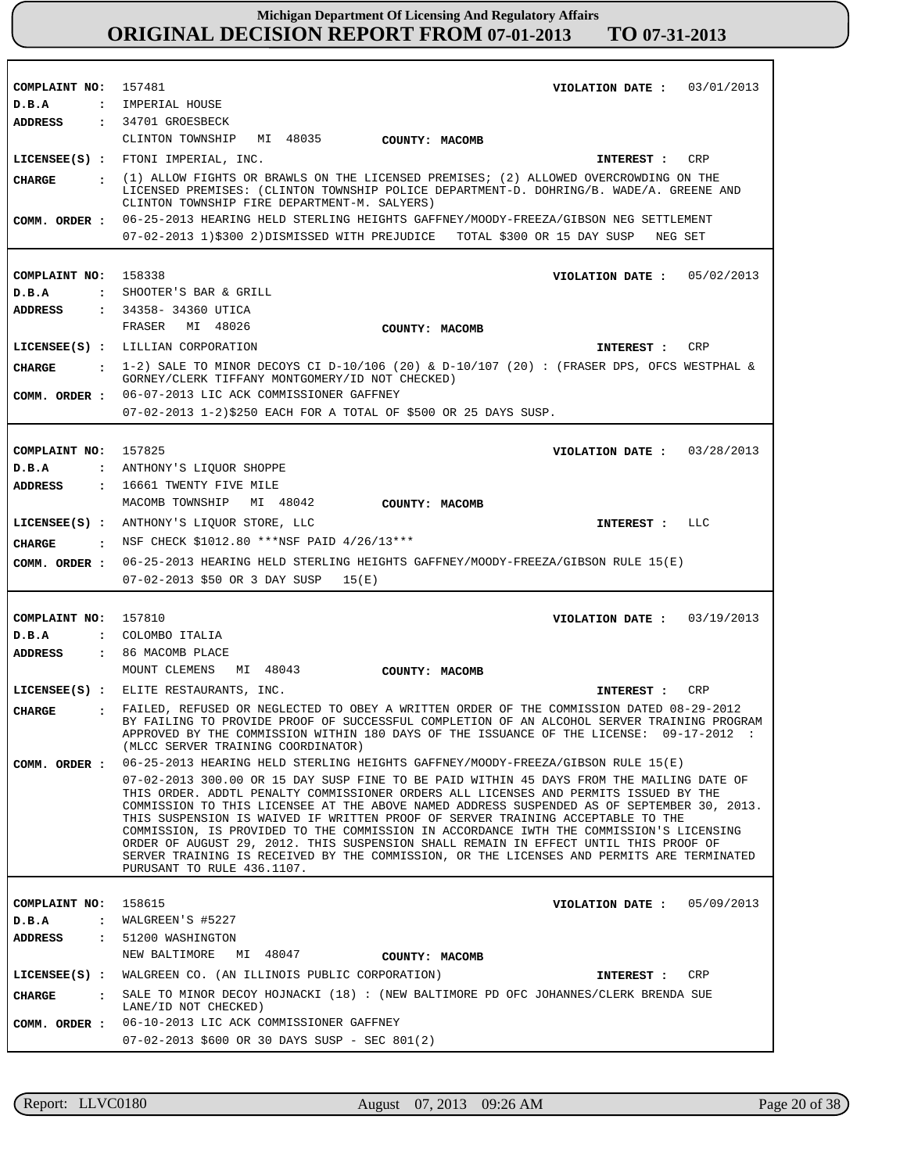| COMPLAINT NO:              | 157481<br>03/01/2013<br>VIOLATION DATE :                                                                                                                                                                                                                                                                                                                                                                                                                                                                                                                                                                                                                                        |
|----------------------------|---------------------------------------------------------------------------------------------------------------------------------------------------------------------------------------------------------------------------------------------------------------------------------------------------------------------------------------------------------------------------------------------------------------------------------------------------------------------------------------------------------------------------------------------------------------------------------------------------------------------------------------------------------------------------------|
| D.B.A                      | : IMPERIAL HOUSE                                                                                                                                                                                                                                                                                                                                                                                                                                                                                                                                                                                                                                                                |
| <b>ADDRESS</b>             | : 34701 GROESBECK                                                                                                                                                                                                                                                                                                                                                                                                                                                                                                                                                                                                                                                               |
|                            | CLINTON TOWNSHIP MI 48035<br>COUNTY: MACOMB                                                                                                                                                                                                                                                                                                                                                                                                                                                                                                                                                                                                                                     |
|                            | LICENSEE(S) : FTONI IMPERIAL, INC.<br><b>CRP</b><br>INTEREST :                                                                                                                                                                                                                                                                                                                                                                                                                                                                                                                                                                                                                  |
| CHARGE<br>$\mathbf{r}$     | (1) ALLOW FIGHTS OR BRAWLS ON THE LICENSED PREMISES; (2) ALLOWED OVERCROWDING ON THE<br>LICENSED PREMISES: (CLINTON TOWNSHIP POLICE DEPARTMENT-D. DOHRING/B. WADE/A. GREENE AND<br>CLINTON TOWNSHIP FIRE DEPARTMENT-M. SALYERS)                                                                                                                                                                                                                                                                                                                                                                                                                                                 |
| COMM. ORDER :              | 06-25-2013 HEARING HELD STERLING HEIGHTS GAFFNEY/MOODY-FREEZA/GIBSON NEG SETTLEMENT<br>07-02-2013 1)\$300 2)DISMISSED WITH PREJUDICE<br>TOTAL \$300 OR 15 DAY SUSP<br>NEG SET                                                                                                                                                                                                                                                                                                                                                                                                                                                                                                   |
|                            |                                                                                                                                                                                                                                                                                                                                                                                                                                                                                                                                                                                                                                                                                 |
| COMPLAINT NO:              | 158338<br>05/02/2013<br>VIOLATION DATE :                                                                                                                                                                                                                                                                                                                                                                                                                                                                                                                                                                                                                                        |
| D.B.A<br>$\mathbf{r}$      | SHOOTER'S BAR & GRILL                                                                                                                                                                                                                                                                                                                                                                                                                                                                                                                                                                                                                                                           |
| ADDRESS                    | : 34358-34360 UTICA                                                                                                                                                                                                                                                                                                                                                                                                                                                                                                                                                                                                                                                             |
|                            | MI 48026<br>FRASER<br>COUNTY: MACOMB                                                                                                                                                                                                                                                                                                                                                                                                                                                                                                                                                                                                                                            |
|                            | LICENSEE(S) : LILLIAN CORPORATION<br><b>CRP</b><br>INTEREST :                                                                                                                                                                                                                                                                                                                                                                                                                                                                                                                                                                                                                   |
| <b>CHARGE</b><br>$\bullet$ | 1-2) SALE TO MINOR DECOYS CI D-10/106 (20) & D-10/107 (20) : (FRASER DPS, OFCS WESTPHAL &                                                                                                                                                                                                                                                                                                                                                                                                                                                                                                                                                                                       |
|                            | GORNEY/CLERK TIFFANY MONTGOMERY/ID NOT CHECKED)                                                                                                                                                                                                                                                                                                                                                                                                                                                                                                                                                                                                                                 |
|                            | COMM. ORDER : 06-07-2013 LIC ACK COMMISSIONER GAFFNEY                                                                                                                                                                                                                                                                                                                                                                                                                                                                                                                                                                                                                           |
|                            | 07-02-2013 1-2)\$250 EACH FOR A TOTAL OF \$500 OR 25 DAYS SUSP.                                                                                                                                                                                                                                                                                                                                                                                                                                                                                                                                                                                                                 |
|                            |                                                                                                                                                                                                                                                                                                                                                                                                                                                                                                                                                                                                                                                                                 |
| COMPLAINT NO: 157825       | VIOLATION DATE : $03/28/2013$                                                                                                                                                                                                                                                                                                                                                                                                                                                                                                                                                                                                                                                   |
| D.B.A                      | : ANTHONY'S LIQUOR SHOPPE                                                                                                                                                                                                                                                                                                                                                                                                                                                                                                                                                                                                                                                       |
| ADDRESS                    | : 16661 TWENTY FIVE MILE<br>MACOMB TOWNSHIP MI 48042<br>COUNTY: MACOMB                                                                                                                                                                                                                                                                                                                                                                                                                                                                                                                                                                                                          |
|                            | LICENSEE(S) : ANTHONY'S LIQUOR STORE, LLC                                                                                                                                                                                                                                                                                                                                                                                                                                                                                                                                                                                                                                       |
|                            | INTEREST : LLC                                                                                                                                                                                                                                                                                                                                                                                                                                                                                                                                                                                                                                                                  |
| CHARGE                     | : NSF CHECK \$1012.80 ***NSF PAID 4/26/13***                                                                                                                                                                                                                                                                                                                                                                                                                                                                                                                                                                                                                                    |
| COMM. ORDER :              | 06-25-2013 HEARING HELD STERLING HEIGHTS GAFFNEY/MOODY-FREEZA/GIBSON RULE 15(E)                                                                                                                                                                                                                                                                                                                                                                                                                                                                                                                                                                                                 |
|                            | 07-02-2013 \$50 OR 3 DAY SUSP<br>15(E)                                                                                                                                                                                                                                                                                                                                                                                                                                                                                                                                                                                                                                          |
| COMPLAINT NO:              | 157810<br>03/19/2013<br>VIOLATION DATE :                                                                                                                                                                                                                                                                                                                                                                                                                                                                                                                                                                                                                                        |
| D.B.A                      | : COLOMBO ITALIA                                                                                                                                                                                                                                                                                                                                                                                                                                                                                                                                                                                                                                                                |
| ADDRESS                    | : 86 MACOMB PLACE                                                                                                                                                                                                                                                                                                                                                                                                                                                                                                                                                                                                                                                               |
|                            | MOUNT CLEMENS<br>MI 48043<br>COUNTY: MACOMB                                                                                                                                                                                                                                                                                                                                                                                                                                                                                                                                                                                                                                     |
|                            | LICENSEE(S) : ELITE RESTAURANTS, INC.<br>CRP<br>INTEREST :                                                                                                                                                                                                                                                                                                                                                                                                                                                                                                                                                                                                                      |
| <b>CHARGE</b>              | : FAILED, REFUSED OR NEGLECTED TO OBEY A WRITTEN ORDER OF THE COMMISSION DATED 08-29-2012<br>BY FAILING TO PROVIDE PROOF OF SUCCESSFUL COMPLETION OF AN ALCOHOL SERVER TRAINING PROGRAM<br>APPROVED BY THE COMMISSION WITHIN 180 DAYS OF THE ISSUANCE OF THE LICENSE: 09-17-2012 :<br>(MLCC SERVER TRAINING COORDINATOR)                                                                                                                                                                                                                                                                                                                                                        |
| COMM. ORDER :              | 06-25-2013 HEARING HELD STERLING HEIGHTS GAFFNEY/MOODY-FREEZA/GIBSON RULE 15(E)                                                                                                                                                                                                                                                                                                                                                                                                                                                                                                                                                                                                 |
|                            | 07-02-2013 300.00 OR 15 DAY SUSP FINE TO BE PAID WITHIN 45 DAYS FROM THE MAILING DATE OF<br>THIS ORDER. ADDTL PENALTY COMMISSIONER ORDERS ALL LICENSES AND PERMITS ISSUED BY THE<br>COMMISSION TO THIS LICENSEE AT THE ABOVE NAMED ADDRESS SUSPENDED AS OF SEPTEMBER 30, 2013.<br>THIS SUSPENSION IS WAIVED IF WRITTEN PROOF OF SERVER TRAINING ACCEPTABLE TO THE<br>COMMISSION, IS PROVIDED TO THE COMMISSION IN ACCORDANCE IWTH THE COMMISSION'S LICENSING<br>ORDER OF AUGUST 29, 2012. THIS SUSPENSION SHALL REMAIN IN EFFECT UNTIL THIS PROOF OF<br>SERVER TRAINING IS RECEIVED BY THE COMMISSION, OR THE LICENSES AND PERMITS ARE TERMINATED<br>PURUSANT TO RULE 436.1107. |
|                            |                                                                                                                                                                                                                                                                                                                                                                                                                                                                                                                                                                                                                                                                                 |
| COMPLAINT NO:              | 158615<br>VIOLATION DATE: $05/09/2013$                                                                                                                                                                                                                                                                                                                                                                                                                                                                                                                                                                                                                                          |
| D.B.A                      | : WALGREEN'S $#5227$                                                                                                                                                                                                                                                                                                                                                                                                                                                                                                                                                                                                                                                            |
| ADDRESS                    | : 51200 WASHINGTON                                                                                                                                                                                                                                                                                                                                                                                                                                                                                                                                                                                                                                                              |
|                            | NEW BALTIMORE MI 48047<br>COUNTY: MACOMB                                                                                                                                                                                                                                                                                                                                                                                                                                                                                                                                                                                                                                        |
|                            | LICENSEE(S) : WALGREEN CO. (AN ILLINOIS PUBLIC CORPORATION)<br>CRP<br><b>INTEREST :</b>                                                                                                                                                                                                                                                                                                                                                                                                                                                                                                                                                                                         |
| CHARGE                     | : SALE TO MINOR DECOY HOJNACKI (18) : (NEW BALTIMORE PD OFC JOHANNES/CLERK BRENDA SUE<br>LANE/ID NOT CHECKED)                                                                                                                                                                                                                                                                                                                                                                                                                                                                                                                                                                   |
|                            | COMM. ORDER : 06-10-2013 LIC ACK COMMISSIONER GAFFNEY<br>$07-02-2013$ \$600 OR 30 DAYS SUSP - SEC 801(2)                                                                                                                                                                                                                                                                                                                                                                                                                                                                                                                                                                        |

Report: LLVC0180 August 07, 2013 09:26 AM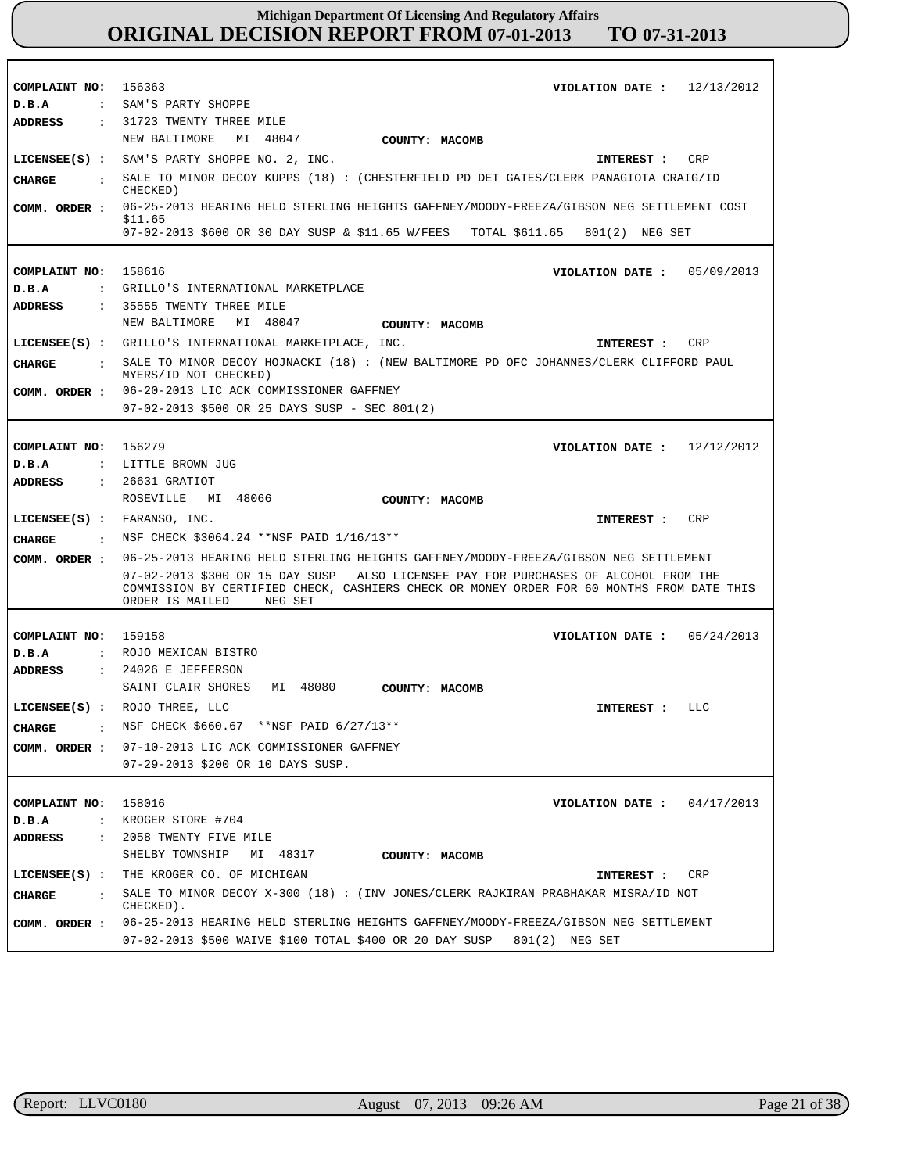| COMPLAINT NO: 156363<br>D.B.A          | 12/13/2012<br>VIOLATION DATE :<br>: SAM'S PARTY SHOPPE                                                                                                                                                         |
|----------------------------------------|----------------------------------------------------------------------------------------------------------------------------------------------------------------------------------------------------------------|
| <b>ADDRESS</b>                         | : 31723 TWENTY THREE MILE                                                                                                                                                                                      |
|                                        | NEW BALTIMORE<br>MI 48047<br>COUNTY: MACOMB                                                                                                                                                                    |
|                                        | LICENSEE(S) : SAM'S PARTY SHOPPE NO. 2, INC.<br><b>CRP</b><br>INTEREST :                                                                                                                                       |
|                                        | SALE TO MINOR DECOY KUPPS (18): (CHESTERFIELD PD DET GATES/CLERK PANAGIOTA CRAIG/ID                                                                                                                            |
| CIIARGE<br>$\ddot{\phantom{a}}$        | CHECKED)                                                                                                                                                                                                       |
| COMM. ORDER :                          | 06-25-2013 HEARING HELD STERLING HEIGHTS GAFFNEY/MOODY-FREEZA/GIBSON NEG SETTLEMENT COST<br>\$11.65                                                                                                            |
|                                        | 07-02-2013 \$600 OR 30 DAY SUSP & \$11.65 W/FEES TOTAL \$611.65 801(2) NEG SET                                                                                                                                 |
|                                        |                                                                                                                                                                                                                |
| COMPLAINT NO:                          | 158616<br>VIOLATION DATE :<br>05/09/2013                                                                                                                                                                       |
| D.B.A<br>$\mathbf{r}$                  | GRILLO'S INTERNATIONAL MARKETPLACE                                                                                                                                                                             |
| <b>ADDRESS</b>                         | : 35555 TWENTY THREE MILE                                                                                                                                                                                      |
|                                        | MI 48047<br>NEW BALTIMORE<br>COUNTY: MACOMB                                                                                                                                                                    |
|                                        | LICENSEE(S) : GRILLO'S INTERNATIONAL MARKETPLACE, INC.<br>CRP<br>INTEREST :                                                                                                                                    |
| <b>CHARGE</b><br>$\mathbf{r}$          | SALE TO MINOR DECOY HOJNACKI (18): (NEW BALTIMORE PD OFC JOHANNES/CLERK CLIFFORD PAUL<br>MYERS/ID NOT CHECKED)                                                                                                 |
| COMM. ORDER :                          | 06-20-2013 LIC ACK COMMISSIONER GAFFNEY                                                                                                                                                                        |
|                                        | 07-02-2013 \$500 OR 25 DAYS SUSP - SEC 801(2)                                                                                                                                                                  |
|                                        |                                                                                                                                                                                                                |
| COMPLAINT NO:                          | 156279<br>12/12/2012<br>VIOLATION DATE :                                                                                                                                                                       |
| D.B.A<br>$\ddot{\cdot}$                | LITTLE BROWN JUG                                                                                                                                                                                               |
| <b>ADDRESS</b><br>$\mathbf{r}$         | 26631 GRATIOT                                                                                                                                                                                                  |
|                                        | MI 48066<br>ROSEVILLE<br>COUNTY: MACOMB                                                                                                                                                                        |
| $LICENSEE(S)$ :                        | FARANSO, INC.<br>CRP<br>INTEREST :                                                                                                                                                                             |
| CHARGE<br>$\sim$ $\sim$ $\sim$         | NSF CHECK \$3064.24 **NSF PAID 1/16/13**                                                                                                                                                                       |
| COMM. ORDER :                          | 06-25-2013 HEARING HELD STERLING HEIGHTS GAFFNEY/MOODY-FREEZA/GIBSON NEG SETTLEMENT                                                                                                                            |
|                                        | 07-02-2013 \$300 OR 15 DAY SUSP ALSO LICENSEE PAY FOR PURCHASES OF ALCOHOL FROM THE<br>COMMISSION BY CERTIFIED CHECK, CASHIERS CHECK OR MONEY ORDER FOR 60 MONTHS FROM DATE THIS<br>ORDER IS MAILED<br>NEG SET |
|                                        |                                                                                                                                                                                                                |
| COMPLAINT NO:                          | 159158<br>VIOLATION DATE :<br>05/24/2013                                                                                                                                                                       |
| D.B.A                                  | : ROJO MEXICAN BISTRO                                                                                                                                                                                          |
| <b>ADDRESS</b>                         | $: 24026$ E JEFFERSON                                                                                                                                                                                          |
|                                        | SAINT CLAIR SHORES<br>MI 48080<br>COUNTY: MACOMB                                                                                                                                                               |
|                                        | LICENSEE(S) : ROJO THREE, LLC<br>LLC<br>INTEREST :                                                                                                                                                             |
| <b>CHARGE</b>                          | NSF CHECK \$660.67 **NSF PAID 6/27/13**                                                                                                                                                                        |
| COMM. ORDER :                          | 07-10-2013 LIC ACK COMMISSIONER GAFFNEY                                                                                                                                                                        |
|                                        | 07-29-2013 \$200 OR 10 DAYS SUSP.                                                                                                                                                                              |
|                                        |                                                                                                                                                                                                                |
| COMPLAINT NO: 158016                   | 04/17/2013<br>VIOLATION DATE :                                                                                                                                                                                 |
| D.B.A<br>$\ddot{\phantom{a}}$          | KROGER STORE #704                                                                                                                                                                                              |
| <b>ADDRESS</b><br>$\ddot{\phantom{a}}$ | 2058 TWENTY FIVE MILE                                                                                                                                                                                          |
|                                        | SHELBY TOWNSHIP<br>MI 48317<br>COUNTY: MACOMB                                                                                                                                                                  |
| $LICENSEE(S)$ :                        | THE KROGER CO. OF MICHIGAN<br>CRP<br>INTEREST :                                                                                                                                                                |
| <b>CHARGE</b><br>$\mathbf{r}$          |                                                                                                                                                                                                                |
|                                        | SALE TO MINOR DECOY $X-300$ (18): (INV JONES/CLERK RAJKIRAN PRABHAKAR MISRA/ID NOT<br>CHECKED).                                                                                                                |

٦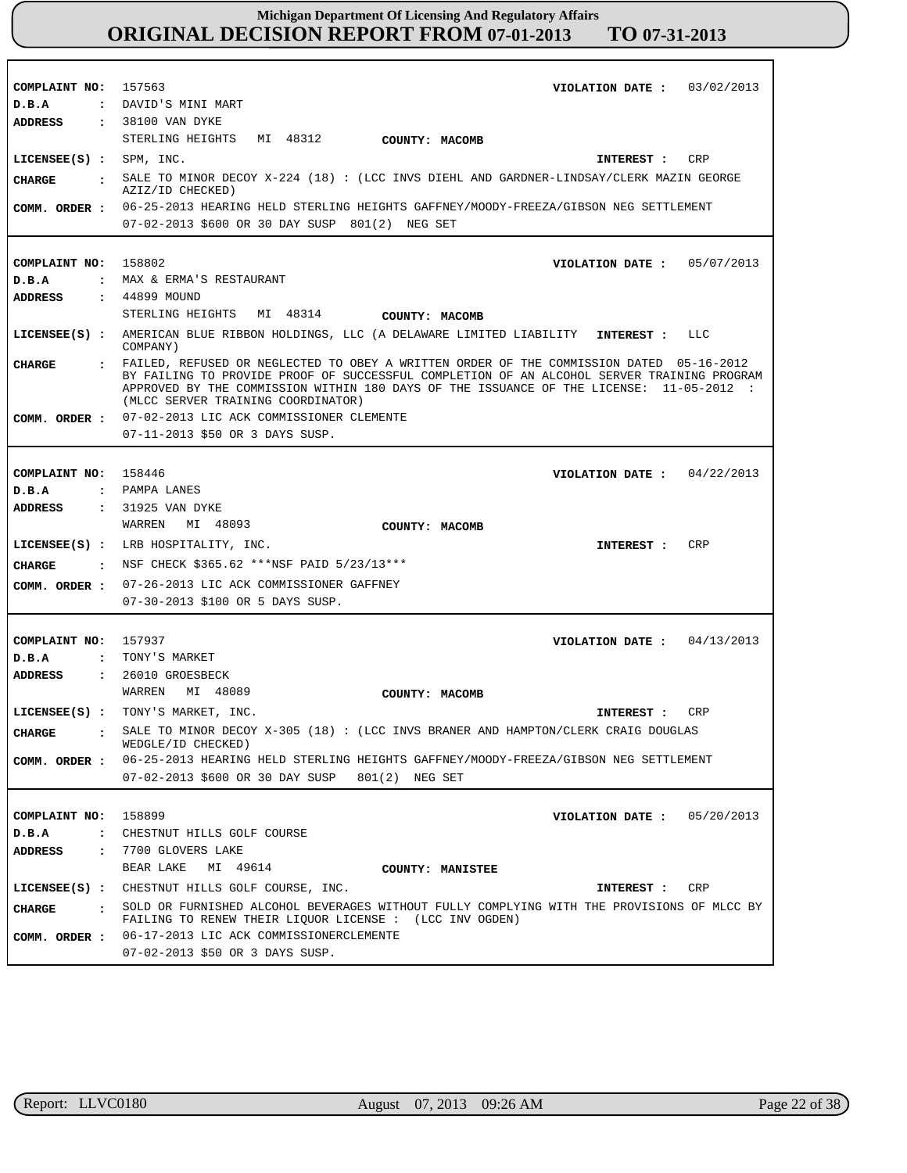| COMPLAINT NO: 157563          | VIOLATION DATE: $03/02/2013$                                                                                                                                                                                                                                                                                             |
|-------------------------------|--------------------------------------------------------------------------------------------------------------------------------------------------------------------------------------------------------------------------------------------------------------------------------------------------------------------------|
| D.B.A                         | : DAVID'S MINI MART                                                                                                                                                                                                                                                                                                      |
| ADDRESS                       | : 38100 VAN DYKE                                                                                                                                                                                                                                                                                                         |
|                               | STERLING HEIGHTS<br>MI 48312<br><b>COUNTY: MACOMB</b>                                                                                                                                                                                                                                                                    |
| $LICENSEE(S) :$ SPM, INC.     | INTEREST : CRP                                                                                                                                                                                                                                                                                                           |
| <b>CHARGE</b><br>$\mathbf{r}$ | SALE TO MINOR DECOY $X-224$ (18) : (LCC INVS DIEHL AND GARDNER-LINDSAY/CLERK MAZIN GEORGE                                                                                                                                                                                                                                |
|                               | AZIZ/ID CHECKED)                                                                                                                                                                                                                                                                                                         |
|                               | COMM. ORDER : 06-25-2013 HEARING HELD STERLING HEIGHTS GAFFNEY/MOODY-FREEZA/GIBSON NEG SETTLEMENT                                                                                                                                                                                                                        |
|                               | 07-02-2013 \$600 OR 30 DAY SUSP 801(2) NEG SET                                                                                                                                                                                                                                                                           |
|                               |                                                                                                                                                                                                                                                                                                                          |
| COMPLAINT NO: 158802          | VIOLATION DATE: 05/07/2013                                                                                                                                                                                                                                                                                               |
| D.B.A                         | : MAX & ERMA'S RESTAURANT                                                                                                                                                                                                                                                                                                |
| ADDRESS                       | : 44899 MOUND<br>STERLING HEIGHTS MI 48314                                                                                                                                                                                                                                                                               |
|                               | <b>COUNTY: MACOMB</b>                                                                                                                                                                                                                                                                                                    |
|                               | LICENSEE(S) : AMERICAN BLUE RIBBON HOLDINGS, LLC (A DELAWARE LIMITED LIABILITY INTEREST :<br>- FFC<br>COMPANY)                                                                                                                                                                                                           |
| <b>CHARGE</b>                 | : FAILED, REFUSED OR NEGLECTED TO OBEY A WRITTEN ORDER OF THE COMMISSION DATED 05-16-2012<br>BY FAILING TO PROVIDE PROOF OF SUCCESSFUL COMPLETION OF AN ALCOHOL SERVER TRAINING PROGRAM<br>APPROVED BY THE COMMISSION WITHIN 180 DAYS OF THE ISSUANCE OF THE LICENSE: 11-05-2012 :<br>(MLCC SERVER TRAINING COORDINATOR) |
|                               | COMM. ORDER : 07-02-2013 LIC ACK COMMISSIONER CLEMENTE                                                                                                                                                                                                                                                                   |
|                               | 07-11-2013 \$50 OR 3 DAYS SUSP.                                                                                                                                                                                                                                                                                          |
|                               |                                                                                                                                                                                                                                                                                                                          |
| COMPLAINT NO: 158446          | VIOLATION DATE: $04/22/2013$                                                                                                                                                                                                                                                                                             |
| D.B.A                         | : PAMPA LANES                                                                                                                                                                                                                                                                                                            |
| ADDRESS                       | : 31925 VAN DYKE                                                                                                                                                                                                                                                                                                         |
|                               | WARREN MI 48093<br>COUNTY: MACOMB                                                                                                                                                                                                                                                                                        |
|                               | <b>CRP</b><br>LICENSEE(S) : LRB HOSPITALITY, INC.<br>INTEREST :                                                                                                                                                                                                                                                          |
| CHARGE                        | . NSF CHECK \$365.62 ***NSF PAID 5/23/13***                                                                                                                                                                                                                                                                              |
|                               | COMM. ORDER : 07-26-2013 LIC ACK COMMISSIONER GAFFNEY                                                                                                                                                                                                                                                                    |
|                               | 07-30-2013 \$100 OR 5 DAYS SUSP.                                                                                                                                                                                                                                                                                         |
|                               |                                                                                                                                                                                                                                                                                                                          |
| COMPLAINT NO: 157937          | VIOLATION DATE: $04/13/2013$                                                                                                                                                                                                                                                                                             |
| D.B.A                         | : TONY'S MARKET                                                                                                                                                                                                                                                                                                          |
| ADDRESS                       | : 26010 GROESBECK                                                                                                                                                                                                                                                                                                        |
|                               | WARREN<br>MI 48089<br>COUNTY: MACOMB                                                                                                                                                                                                                                                                                     |
|                               | LICENSEE(S) : TONY'S MARKET, INC.<br>CRP<br>INTEREST :                                                                                                                                                                                                                                                                   |
| <b>CHARGE</b>                 | : SALE TO MINOR DECOY X-305 (18) : (LCC INVS BRANER AND HAMPTON/CLERK CRAIG DOUGLAS<br>WEDGLE/ID CHECKED)                                                                                                                                                                                                                |
|                               | COMM. ORDER : 06-25-2013 HEARING HELD STERLING HEIGHTS GAFFNEY/MOODY-FREEZA/GIBSON NEG SETTLEMENT                                                                                                                                                                                                                        |
|                               | 07-02-2013 \$600 OR 30 DAY SUSP 801(2) NEG SET                                                                                                                                                                                                                                                                           |
|                               |                                                                                                                                                                                                                                                                                                                          |
| COMPLAINT NO: 158899          | VIOLATION DATE: $05/20/2013$                                                                                                                                                                                                                                                                                             |
| D.B.A                         | : CHESTNUT HILLS GOLF COURSE                                                                                                                                                                                                                                                                                             |
| <b>ADDRESS</b>                | : 7700 GLOVERS LAKE                                                                                                                                                                                                                                                                                                      |
|                               | BEAR LAKE MI 49614<br><b>COUNTY: MANISTEE</b>                                                                                                                                                                                                                                                                            |
|                               | LICENSEE(S) : CHESTNUT HILLS GOLF COURSE, INC.<br>INTEREST : CRP                                                                                                                                                                                                                                                         |
| CHARGE                        | : SOLD OR FURNISHED ALCOHOL BEVERAGES WITHOUT FULLY COMPLYING WITH THE PROVISIONS OF MLCC BY                                                                                                                                                                                                                             |
|                               | FAILING TO RENEW THEIR LIQUOR LICENSE : (LCC INV OGDEN)                                                                                                                                                                                                                                                                  |
|                               | COMM. ORDER : 06-17-2013 LIC ACK COMMISSIONERCLEMENTE                                                                                                                                                                                                                                                                    |
|                               | 07-02-2013 \$50 OR 3 DAYS SUSP.                                                                                                                                                                                                                                                                                          |

г

٦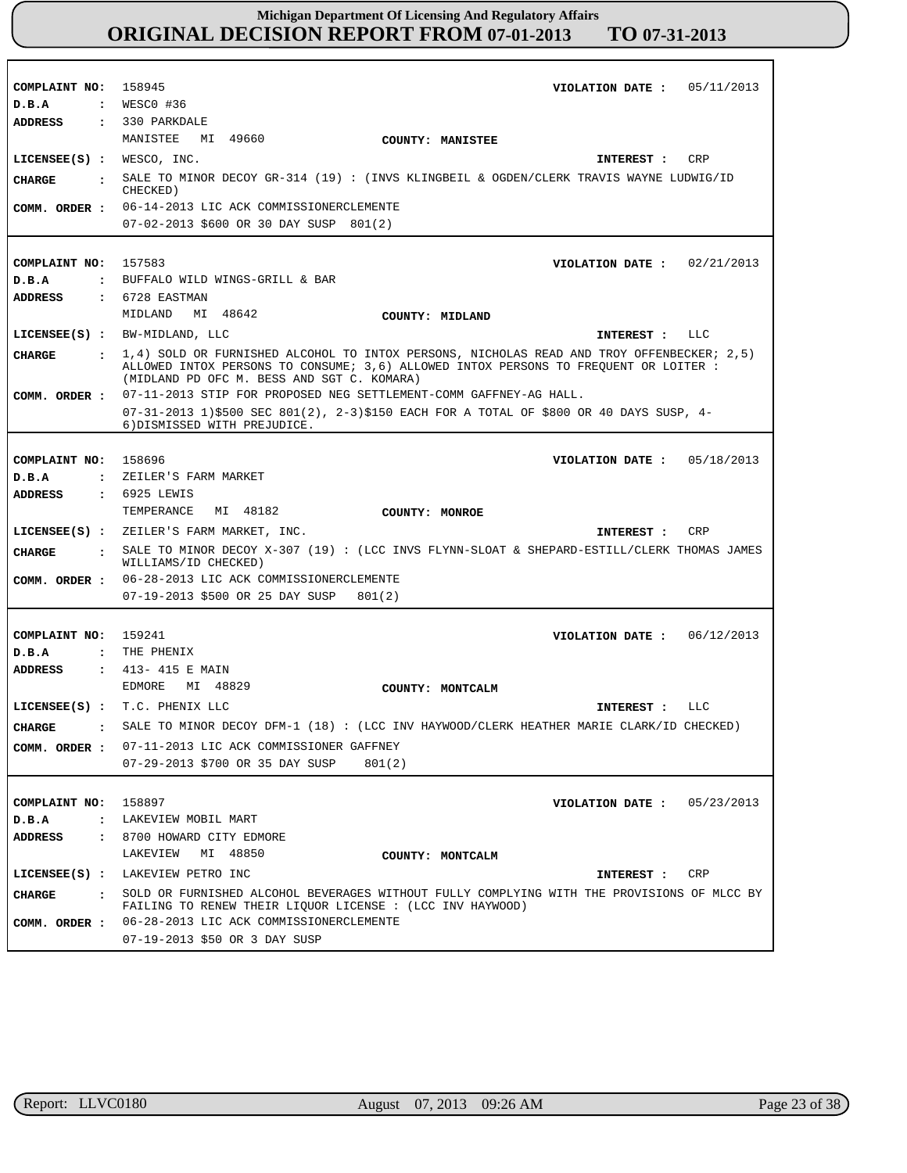| COMPLAINT NO: 158945                   |                                                                                                                                                         |
|----------------------------------------|---------------------------------------------------------------------------------------------------------------------------------------------------------|
|                                        | VIOLATION DATE: $05/11/2013$                                                                                                                            |
| D.B.A                                  | : WESCO #36                                                                                                                                             |
| <b>ADDRESS</b>                         | $: 330$ PARKDALE                                                                                                                                        |
|                                        | MANISTEE MI 49660<br>COUNTY: MANISTEE                                                                                                                   |
| LICENSEE(S) : WESCO, INC.              | CRP<br>INTEREST :                                                                                                                                       |
| CHARGE                                 | . SALE TO MINOR DECOY GR-314 (19) : (INVS KLINGBEIL & OGDEN/CLERK TRAVIS WAYNE LUDWIG/ID<br>CHECKED)                                                    |
| COMM. ORDER :                          | 06-14-2013 LIC ACK COMMISSIONERCLEMENTE                                                                                                                 |
|                                        | 07-02-2013 \$600 OR 30 DAY SUSP 801(2)                                                                                                                  |
|                                        |                                                                                                                                                         |
| COMPLAINT NO:                          | 157583<br>VIOLATION DATE : $02/21/2013$                                                                                                                 |
| D.B.A                                  | : BUFFALO WILD WINGS-GRILL & BAR                                                                                                                        |
| <b>ADDRESS</b>                         | : 6728 EASTMAN                                                                                                                                          |
|                                        | MIDLAND MI 48642<br>COUNTY: MIDLAND                                                                                                                     |
|                                        | LICENSEE(S) : BW-MIDLAND, LLC<br>INTEREST : LLC                                                                                                         |
| CHARGE                                 | $\pm$ 1,4) SOLD OR FURNISHED ALCOHOL TO INTOX PERSONS, NICHOLAS READ AND TROY OFFENBECKER; 2,5)                                                         |
|                                        | ALLOWED INTOX PERSONS TO CONSUME; 3,6) ALLOWED INTOX PERSONS TO FREOUENT OR LOITER :<br>(MIDLAND PD OFC M. BESS AND SGT C. KOMARA)                      |
| COMM. ORDER :                          | 07-11-2013 STIP FOR PROPOSED NEG SETTLEMENT-COMM GAFFNEY-AG HALL.                                                                                       |
|                                        | 07-31-2013 1)\$500 SEC 801(2), 2-3)\$150 EACH FOR A TOTAL OF \$800 OR 40 DAYS SUSP, 4-<br>6) DISMISSED WITH PREJUDICE.                                  |
|                                        |                                                                                                                                                         |
| COMPLAINT NO:                          | 158696<br>VIOLATION DATE: $05/18/2013$                                                                                                                  |
| D.B.A                                  | : ZEILER'S FARM MARKET                                                                                                                                  |
| <b>ADDRESS</b>                         | : 6925 LEWIS                                                                                                                                            |
|                                        | TEMPERANCE<br>MI 48182<br>COUNTY: MONROE                                                                                                                |
|                                        | LICENSEE(S) : ZEILER'S FARM MARKET, INC.<br>CRP<br>INTEREST :                                                                                           |
|                                        |                                                                                                                                                         |
|                                        |                                                                                                                                                         |
| CHARGE                                 | : SALE TO MINOR DECOY X-307 (19) : (LCC INVS FLYNN-SLOAT & SHEPARD-ESTILL/CLERK THOMAS JAMES<br>WILLIAMS/ID CHECKED)                                    |
|                                        | COMM. ORDER : 06-28-2013 LIC ACK COMMISSIONERCLEMENTE                                                                                                   |
|                                        | 07-19-2013 \$500 OR 25 DAY SUSP<br>801(2)                                                                                                               |
|                                        |                                                                                                                                                         |
| COMPLAINT NO: 159241                   | VIOLATION DATE: $06/12/2013$                                                                                                                            |
| D.B.A                                  | : THE PHENIX                                                                                                                                            |
| ADDRESS                                | : 413-415 E MAIN                                                                                                                                        |
|                                        | EDMORE<br>MI 48829<br>COUNTY: MONTCALM                                                                                                                  |
|                                        | LICENSEE(S) : T.C. PHENIX LLC<br>LLC<br>INTEREST :                                                                                                      |
| <b>CHARGE</b>                          | SALE TO MINOR DECOY DFM-1 (18) : (LCC INV HAYWOOD/CLERK HEATHER MARIE CLARK/ID CHECKED)                                                                 |
| COMM. ORDER :                          | 07-11-2013 LIC ACK COMMISSIONER GAFFNEY                                                                                                                 |
|                                        | 07-29-2013 \$700 OR 35 DAY SUSP<br>801(2)                                                                                                               |
|                                        |                                                                                                                                                         |
| COMPLAINT NO:                          | 158897<br>VIOLATION DATE: $05/23/2013$                                                                                                                  |
| $D$ . B. A<br>$\ddot{\phantom{a}}$     | LAKEVIEW MOBIL MART                                                                                                                                     |
| <b>ADDRESS</b><br>$\ddot{\phantom{a}}$ | 8700 HOWARD CITY EDMORE                                                                                                                                 |
|                                        | LAKEVIEW<br>MI 48850<br>COUNTY: MONTCALM                                                                                                                |
|                                        | LICENSEE(S) : LAKEVIEW PETRO INC<br>CRP<br>INTEREST :                                                                                                   |
| <b>CHARGE</b><br>$\sim$ 1.1            | SOLD OR FURNISHED ALCOHOL BEVERAGES WITHOUT FULLY COMPLYING WITH THE PROVISIONS OF MLCC BY<br>FAILING TO RENEW THEIR LIQUOR LICENSE : (LCC INV HAYWOOD) |
| COMM. ORDER :                          | 06-28-2013 LIC ACK COMMISSIONERCLEMENTE                                                                                                                 |

r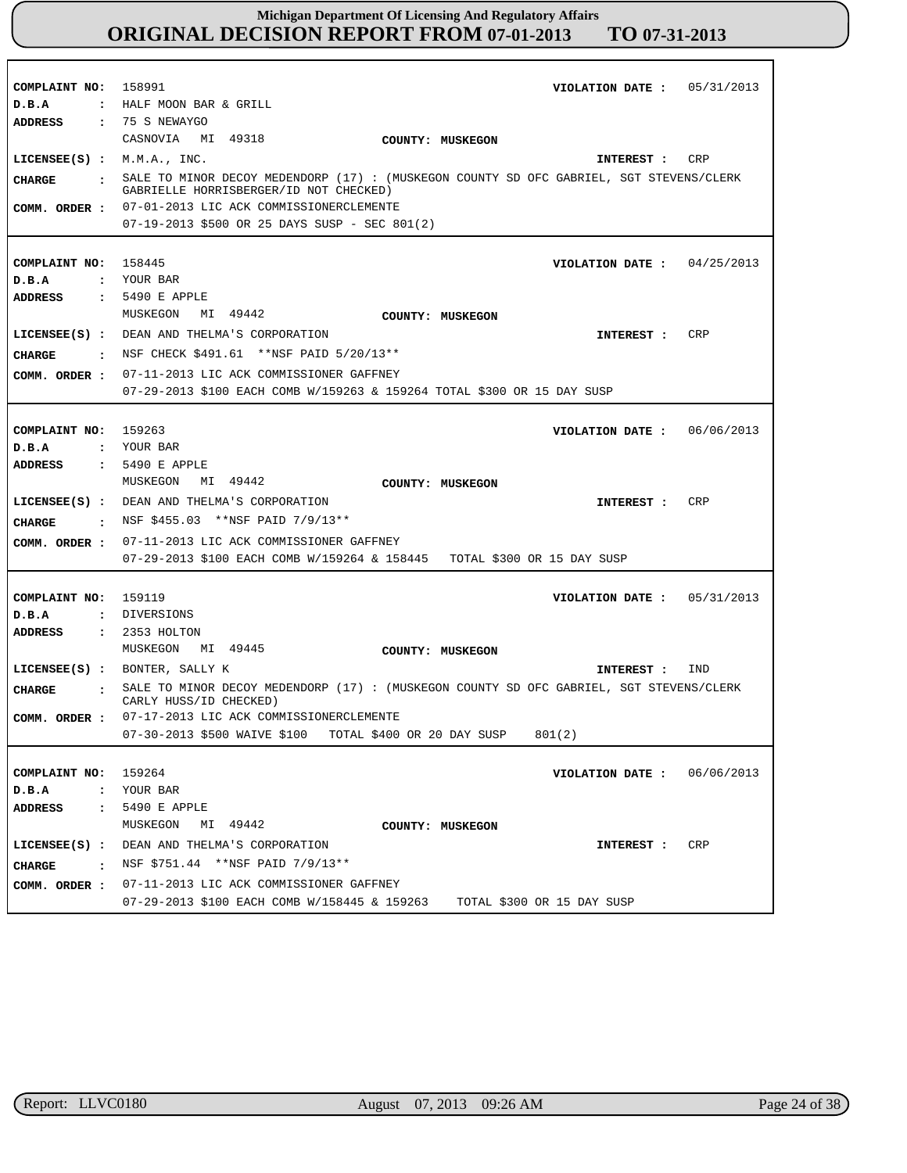| COMPLAINT NO: 158991<br>D.B.A                | VIOLATION DATE: $05/31/2013$<br>: HALF MOON BAR & GRILL                                                                             |
|----------------------------------------------|-------------------------------------------------------------------------------------------------------------------------------------|
| ADDRESS                                      | : 75 S NEWAYGO<br>CASNOVIA MI 49318<br>COUNTY: MUSKEGON                                                                             |
| $LICENSEE(S)$ : $M.M.A., INC.$               | CRP<br>INTEREST :                                                                                                                   |
| CHARGE                                       | : SALE TO MINOR DECOY MEDENDORP (17) : (MUSKEGON COUNTY SD OFC GABRIEL, SGT STEVENS/CLERK<br>GABRIELLE HORRISBERGER/ID NOT CHECKED) |
|                                              | COMM. ORDER : 07-01-2013 LIC ACK COMMISSIONERCLEMENTE                                                                               |
|                                              | $07-19-2013$ \$500 OR 25 DAYS SUSP - SEC 801(2)                                                                                     |
|                                              |                                                                                                                                     |
| COMPLAINT NO: 158445                         | VIOLATION DATE: $04/25/2013$                                                                                                        |
| D.B.A                                        | : YOUR BAR                                                                                                                          |
| ADDRESS                                      | : 5490 E APPLE                                                                                                                      |
|                                              | MUSKEGON MI 49442<br>COUNTY: MUSKEGON                                                                                               |
|                                              | CRP<br>LICENSEE(S) : DEAN AND THELMA'S CORPORATION<br>INTEREST :                                                                    |
|                                              | CHARGE : NSF CHECK \$491.61 **NSF PAID 5/20/13**                                                                                    |
| COMM. ORDER :                                | 07-11-2013 LIC ACK COMMISSIONER GAFFNEY                                                                                             |
|                                              | 07-29-2013 \$100 EACH COMB W/159263 & 159264 TOTAL \$300 OR 15 DAY SUSP                                                             |
|                                              |                                                                                                                                     |
| COMPLAINT NO: 159263                         | VIOLATION DATE : $06/06/2013$                                                                                                       |
| D.B.A                                        | : YOUR BAR                                                                                                                          |
| <b>ADDRESS</b>                               | $: 5490$ E APPLE                                                                                                                    |
|                                              | MUSKEGON MI 49442<br>COUNTY: MUSKEGON                                                                                               |
|                                              | LICENSEE(S) : DEAN AND THELMA'S CORPORATION<br>CRP<br><b>INTEREST :</b>                                                             |
| CHARGE                                       | NSF \$455.03 **NSF PAID 7/9/13**                                                                                                    |
| COMM. ORDER :                                | 07-11-2013 LIC ACK COMMISSIONER GAFFNEY                                                                                             |
|                                              | 07-29-2013 \$100 EACH COMB W/159264 & 158445 TOTAL \$300 OR 15 DAY SUSP                                                             |
|                                              |                                                                                                                                     |
| COMPLAINT NO: 159119                         | VIOLATION DATE: $05/31/2013$                                                                                                        |
| D.B.A                                        | : DIVERSIONS                                                                                                                        |
| <b>ADDRESS</b>                               | : 2353 HOLTON                                                                                                                       |
|                                              | MUSKEGON MI 49445<br>COUNTY: MUSKEGON                                                                                               |
|                                              | LICENSEE(S) : BONTER, SALLY K<br>IND<br>INTEREST :                                                                                  |
| CHARGE                                       | : SALE TO MINOR DECOY MEDENDORP (17) : (MUSKEGON COUNTY SD OFC GABRIEL, SGT STEVENS/CLERK                                           |
|                                              | CARLY HUSS/ID CHECKED)<br>COMM. ORDER : 07-17-2013 LIC ACK COMMISSIONERCLEMENTE                                                     |
|                                              | 07-30-2013 \$500 WAIVE \$100 TOTAL \$400 OR 20 DAY SUSP<br>801(2)                                                                   |
|                                              |                                                                                                                                     |
| COMPLAINT NO: 159264                         | 06/06/2013<br>VIOLATION DATE :                                                                                                      |
| D.B.A                                        | : YOUR BAR                                                                                                                          |
| ADDRESS                                      | : 5490 E APPLE                                                                                                                      |
|                                              | MI 49442<br>MUSKEGON<br>COUNTY: MUSKEGON                                                                                            |
| $LICENSEE(S)$ :                              | DEAN AND THELMA'S CORPORATION<br>CRP<br>INTEREST :                                                                                  |
|                                              | NSF \$751.44 **NSF PAID 7/9/13**                                                                                                    |
| <b>CHARGE</b><br>$\sim$ $\sim$ $\sim$ $\sim$ |                                                                                                                                     |
| COMM. ORDER :                                | 07-11-2013 LIC ACK COMMISSIONER GAFFNEY                                                                                             |
|                                              | 07-29-2013 \$100 EACH COMB W/158445 & 159263<br>TOTAL \$300 OR 15 DAY SUSP                                                          |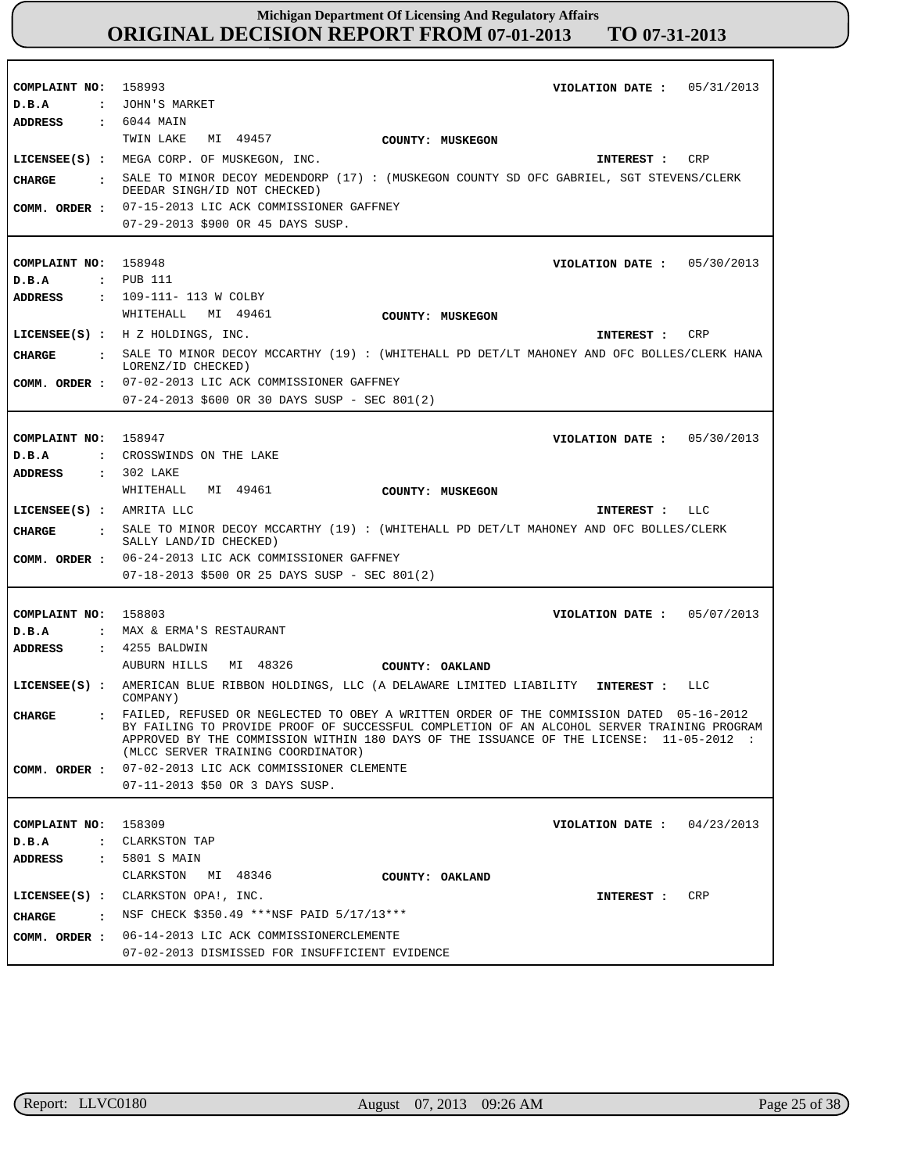| COMPLAINT NO: 158993            | VIOLATION DATE: $05/31/2013$                                                                                                                                                          |
|---------------------------------|---------------------------------------------------------------------------------------------------------------------------------------------------------------------------------------|
| D.B.A                           | : JOHN'S MARKET                                                                                                                                                                       |
| ADDRESS                         | : 6044 MAIN                                                                                                                                                                           |
|                                 | TWIN LAKE<br>MI 49457<br>COUNTY: MUSKEGON                                                                                                                                             |
|                                 | LICENSEE(S) : MEGA CORP. OF MUSKEGON, INC.<br>CRP<br>INTEREST :                                                                                                                       |
| CHARGE<br>$\ddot{\phantom{a}}$  | SALE TO MINOR DECOY MEDENDORP (17) : (MUSKEGON COUNTY SD OFC GABRIEL, SGT STEVENS/CLERK                                                                                               |
|                                 | DEEDAR SINGH/ID NOT CHECKED)                                                                                                                                                          |
| COMM. ORDER :                   | 07-15-2013 LIC ACK COMMISSIONER GAFFNEY                                                                                                                                               |
|                                 | 07-29-2013 \$900 OR 45 DAYS SUSP.                                                                                                                                                     |
|                                 |                                                                                                                                                                                       |
| COMPLAINT NO: 158948            | VIOLATION DATE: $05/30/2013$<br>: PUB 111                                                                                                                                             |
| D.B.A<br><b>ADDRESS</b>         | : 109-111- 113 W COLBY                                                                                                                                                                |
|                                 | WHITEHALL MI 49461                                                                                                                                                                    |
|                                 | COUNTY: MUSKEGON                                                                                                                                                                      |
|                                 | LICENSEE(S) : H Z HOLDINGS, INC.<br>CRP<br>INTEREST :                                                                                                                                 |
| <b>CHARGE</b>                   | SALE TO MINOR DECOY MCCARTHY (19): (WHITEHALL PD DET/LT MAHONEY AND OFC BOLLES/CLERK HANA<br>LORENZ/ID CHECKED)                                                                       |
| COMM. ORDER :                   | 07-02-2013 LIC ACK COMMISSIONER GAFFNEY                                                                                                                                               |
|                                 | 07-24-2013 \$600 OR 30 DAYS SUSP - SEC 801(2)                                                                                                                                         |
|                                 |                                                                                                                                                                                       |
| COMPLAINT NO: 158947            | VIOLATION DATE: $05/30/2013$                                                                                                                                                          |
| D.B.A                           | : CROSSWINDS ON THE LAKE                                                                                                                                                              |
| <b>ADDRESS</b>                  | : 302 LAKE                                                                                                                                                                            |
|                                 | WHITEHALL MI 49461<br>COUNTY: MUSKEGON                                                                                                                                                |
|                                 | $LICENSEE(S)$ : AMRITA LLC<br>INTEREST : LLC                                                                                                                                          |
|                                 |                                                                                                                                                                                       |
| CIIARGE<br>$\ddot{\phantom{a}}$ | SALE TO MINOR DECOY MCCARTHY (19) : (WHITEHALL PD DET/LT MAHONEY AND OFC BOLLES/CLERK<br>SALLY LAND/ID CHECKED)                                                                       |
| COMM. ORDER :                   | 06-24-2013 LIC ACK COMMISSIONER GAFFNEY                                                                                                                                               |
|                                 | $07-18-2013$ \$500 OR 25 DAYS SUSP - SEC 801(2)                                                                                                                                       |
|                                 |                                                                                                                                                                                       |
| COMPLAINT NO: 158803            | 05/07/2013<br>VIOLATION DATE :                                                                                                                                                        |
| D.B.A                           | : MAX & ERMA'S RESTAURANT                                                                                                                                                             |
| <b>ADDRESS</b>                  | $\,$ : 4255 BALDWIN                                                                                                                                                                   |
|                                 | AUBURN HILLS MI 48326<br><b>COUNTY: OAKLAND</b>                                                                                                                                       |
|                                 | LICENSEE(S) : AMERICAN BLUE RIBBON HOLDINGS, LLC (A DELAWARE LIMITED LIABILITY INTEREST :<br>LLC<br>COMPANY)                                                                          |
| <b>CHARGE</b>                   | . FAILED, REFUSED OR NEGLECTED TO OBEY A WRITTEN ORDER OF THE COMMISSION DATED 05-16-2012                                                                                             |
|                                 | BY FAILING TO PROVIDE PROOF OF SUCCESSFUL COMPLETION OF AN ALCOHOL SERVER TRAINING PROGRAM<br>APPROVED BY THE COMMISSION WITHIN 180 DAYS OF THE ISSUANCE OF THE LICENSE: 11-05-2012 : |
|                                 | (MLCC SERVER TRAINING COORDINATOR)                                                                                                                                                    |
| COMM. ORDER :                   | 07-02-2013 LIC ACK COMMISSIONER CLEMENTE                                                                                                                                              |
|                                 | 07-11-2013 \$50 OR 3 DAYS SUSP.                                                                                                                                                       |
|                                 |                                                                                                                                                                                       |
| COMPLAINT NO:                   | 158309<br>04/23/2013<br>VIOLATION DATE :                                                                                                                                              |
| D.B.A<br>$\ddot{\phantom{a}}$   | CLARKSTON TAP                                                                                                                                                                         |
| ADDRESS<br>$\ddot{\phantom{a}}$ | 5801 S MAIN<br>CLARKSTON<br>MI 48346<br>COUNTY: OAKLAND                                                                                                                               |
| $LICENSEE(S)$ :                 | CLARKSTON OPA!, INC.<br>CRP<br>INTEREST :                                                                                                                                             |
| $\ddot{\phantom{a}}$            |                                                                                                                                                                                       |
| <b>CHARGE</b><br>COMM. ORDER :  | NSF CHECK \$350.49 *** NSF PAID 5/17/13 ***<br>06-14-2013 LIC ACK COMMISSIONERCLEMENTE                                                                                                |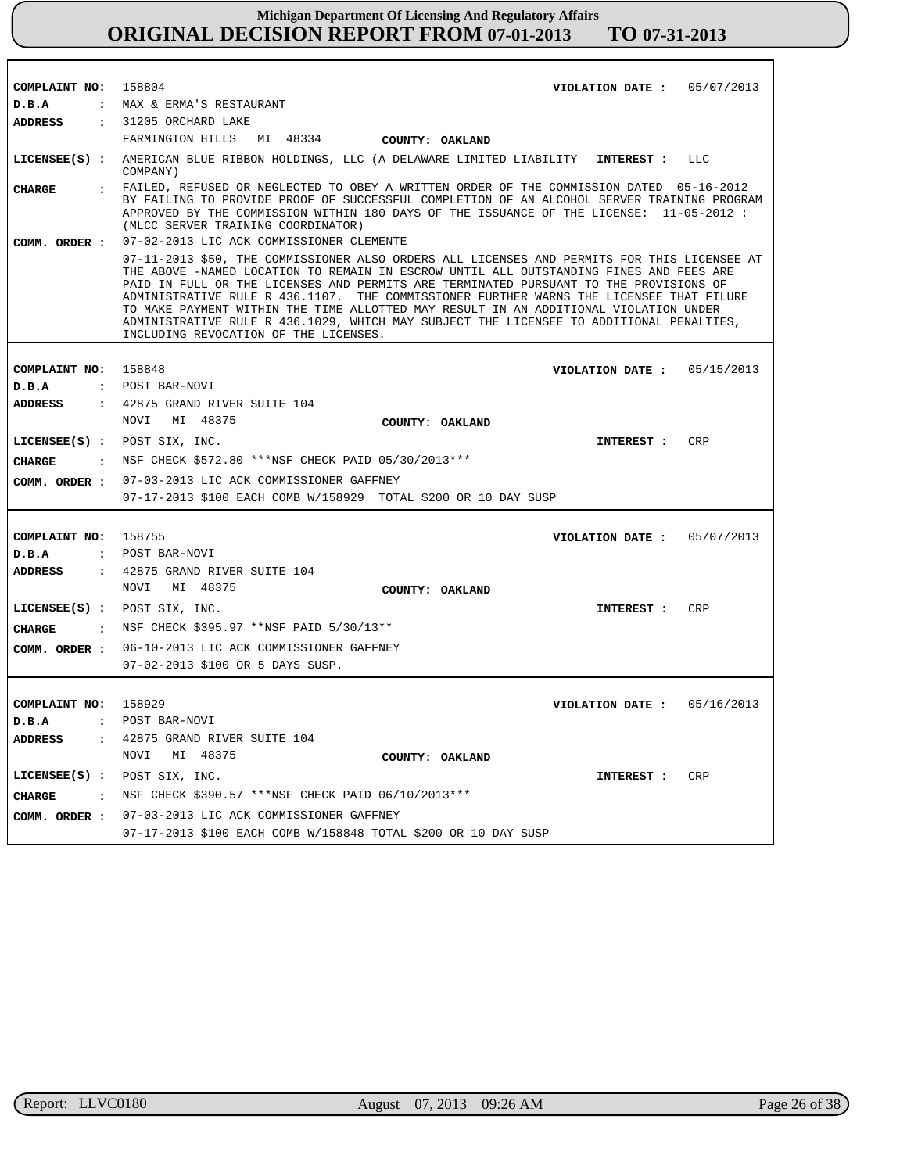| COMPLAINT NO: 158804   | VIOLATION DATE : $05/07/2013$                                                                                                                                                                                                                                                                                                                                                                                                                                                                                                                                                                         |  |  |  |
|------------------------|-------------------------------------------------------------------------------------------------------------------------------------------------------------------------------------------------------------------------------------------------------------------------------------------------------------------------------------------------------------------------------------------------------------------------------------------------------------------------------------------------------------------------------------------------------------------------------------------------------|--|--|--|
| D.B.A                  | : MAX & ERMA'S RESTAURANT                                                                                                                                                                                                                                                                                                                                                                                                                                                                                                                                                                             |  |  |  |
| <b>ADDRESS</b>         | : 31205 ORCHARD LAKE                                                                                                                                                                                                                                                                                                                                                                                                                                                                                                                                                                                  |  |  |  |
|                        | FARMINGTON HILLS MI 48334 COUNTY: OAKLAND                                                                                                                                                                                                                                                                                                                                                                                                                                                                                                                                                             |  |  |  |
|                        | LICENSEE(S) : AMERICAN BLUE RIBBON HOLDINGS, LLC (A DELAWARE LIMITED LIABILITY INTEREST : LLC<br>COMPANY)                                                                                                                                                                                                                                                                                                                                                                                                                                                                                             |  |  |  |
| CHARGE                 | : FAILED, REFUSED OR NEGLECTED TO OBEY A WRITTEN ORDER OF THE COMMISSION DATED 05-16-2012<br>BY FAILING TO PROVIDE PROOF OF SUCCESSFUL COMPLETION OF AN ALCOHOL SERVER TRAINING PROGRAM<br>APPROVED BY THE COMMISSION WITHIN 180 DAYS OF THE ISSUANCE OF THE LICENSE: 11-05-2012 :<br>(MLCC SERVER TRAINING COORDINATOR)                                                                                                                                                                                                                                                                              |  |  |  |
| COMM. ORDER :          | 07-02-2013 LIC ACK COMMISSIONER CLEMENTE                                                                                                                                                                                                                                                                                                                                                                                                                                                                                                                                                              |  |  |  |
|                        | 07-11-2013 \$50, THE COMMISSIONER ALSO ORDERS ALL LICENSES AND PERMITS FOR THIS LICENSEE AT<br>THE ABOVE -NAMED LOCATION TO REMAIN IN ESCROW UNTIL ALL OUTSTANDING FINES AND FEES ARE<br>PAID IN FULL OR THE LICENSES AND PERMITS ARE TERMINATED PURSUANT TO THE PROVISIONS OF<br>ADMINISTRATIVE RULE R 436.1107. THE COMMISSIONER FURTHER WARNS THE LICENSEE THAT FILURE<br>TO MAKE PAYMENT WITHIN THE TIME ALLOTTED MAY RESULT IN AN ADDITIONAL VIOLATION UNDER<br>ADMINISTRATIVE RULE R 436.1029, WHICH MAY SUBJECT THE LICENSEE TO ADDITIONAL PENALTIES,<br>INCLUDING REVOCATION OF THE LICENSES. |  |  |  |
|                        |                                                                                                                                                                                                                                                                                                                                                                                                                                                                                                                                                                                                       |  |  |  |
| COMPLAINT NO: 158848   | VIOLATION DATE: $05/15/2013$                                                                                                                                                                                                                                                                                                                                                                                                                                                                                                                                                                          |  |  |  |
| D.B.A<br>ADDRESS       | : POST BAR-NOVI<br>: 42875 GRAND RIVER SUITE 104                                                                                                                                                                                                                                                                                                                                                                                                                                                                                                                                                      |  |  |  |
|                        | NOVI MI 48375                                                                                                                                                                                                                                                                                                                                                                                                                                                                                                                                                                                         |  |  |  |
|                        | COUNTY: OAKLAND                                                                                                                                                                                                                                                                                                                                                                                                                                                                                                                                                                                       |  |  |  |
|                        | LICENSEE(S) : POST SIX, INC.<br><b>CRP</b><br><b>INTEREST :</b>                                                                                                                                                                                                                                                                                                                                                                                                                                                                                                                                       |  |  |  |
| CHARGE                 | : NSF CHECK \$572.80 *** NSF CHECK PAID 05/30/2013 ***                                                                                                                                                                                                                                                                                                                                                                                                                                                                                                                                                |  |  |  |
|                        | COMM. ORDER : 07-03-2013 LIC ACK COMMISSIONER GAFFNEY                                                                                                                                                                                                                                                                                                                                                                                                                                                                                                                                                 |  |  |  |
|                        | 07-17-2013 \$100 EACH COMB W/158929 TOTAL \$200 OR 10 DAY SUSP                                                                                                                                                                                                                                                                                                                                                                                                                                                                                                                                        |  |  |  |
|                        |                                                                                                                                                                                                                                                                                                                                                                                                                                                                                                                                                                                                       |  |  |  |
| COMPLAINT NO: 158755   | VIOLATION DATE: $05/07/2013$                                                                                                                                                                                                                                                                                                                                                                                                                                                                                                                                                                          |  |  |  |
| D.B.A                  | : POST BAR-NOVI                                                                                                                                                                                                                                                                                                                                                                                                                                                                                                                                                                                       |  |  |  |
| ADDRESS                | : 42875 GRAND RIVER SUITE 104<br>NOVI MI 48375                                                                                                                                                                                                                                                                                                                                                                                                                                                                                                                                                        |  |  |  |
|                        | COUNTY: OAKLAND                                                                                                                                                                                                                                                                                                                                                                                                                                                                                                                                                                                       |  |  |  |
|                        | LICENSEE(S) : POST SIX, INC.<br><b>INTEREST :</b><br><b>CRP</b>                                                                                                                                                                                                                                                                                                                                                                                                                                                                                                                                       |  |  |  |
| CHARGE                 | : NSF CHECK \$395.97 ** NSF PAID 5/30/13**                                                                                                                                                                                                                                                                                                                                                                                                                                                                                                                                                            |  |  |  |
|                        | COMM. ORDER: 06-10-2013 LIC ACK COMMISSIONER GAFFNEY                                                                                                                                                                                                                                                                                                                                                                                                                                                                                                                                                  |  |  |  |
|                        | 07-02-2013 \$100 OR 5 DAYS SUSP.                                                                                                                                                                                                                                                                                                                                                                                                                                                                                                                                                                      |  |  |  |
|                        |                                                                                                                                                                                                                                                                                                                                                                                                                                                                                                                                                                                                       |  |  |  |
| COMPLAINT NO: 158929   | VIOLATION DATE: $05/16/2013$                                                                                                                                                                                                                                                                                                                                                                                                                                                                                                                                                                          |  |  |  |
| D.B.A                  | : POST BAR-NOVI                                                                                                                                                                                                                                                                                                                                                                                                                                                                                                                                                                                       |  |  |  |
| ADDRESS                | 42875 GRAND RIVER SUITE 104                                                                                                                                                                                                                                                                                                                                                                                                                                                                                                                                                                           |  |  |  |
|                        | NOVI<br>MI 48375<br>COUNTY: OAKLAND                                                                                                                                                                                                                                                                                                                                                                                                                                                                                                                                                                   |  |  |  |
|                        | LICENSEE(S) : POST SIX, INC.<br>CRP<br>INTEREST :                                                                                                                                                                                                                                                                                                                                                                                                                                                                                                                                                     |  |  |  |
| CHARGE<br>$\mathbf{r}$ | NSF CHECK \$390.57 ***NSF CHECK PAID 06/10/2013***                                                                                                                                                                                                                                                                                                                                                                                                                                                                                                                                                    |  |  |  |
| COMM. ORDER :          | 07-03-2013 LIC ACK COMMISSIONER GAFFNEY                                                                                                                                                                                                                                                                                                                                                                                                                                                                                                                                                               |  |  |  |
|                        | 07-17-2013 \$100 EACH COMB W/158848 TOTAL \$200 OR 10 DAY SUSP                                                                                                                                                                                                                                                                                                                                                                                                                                                                                                                                        |  |  |  |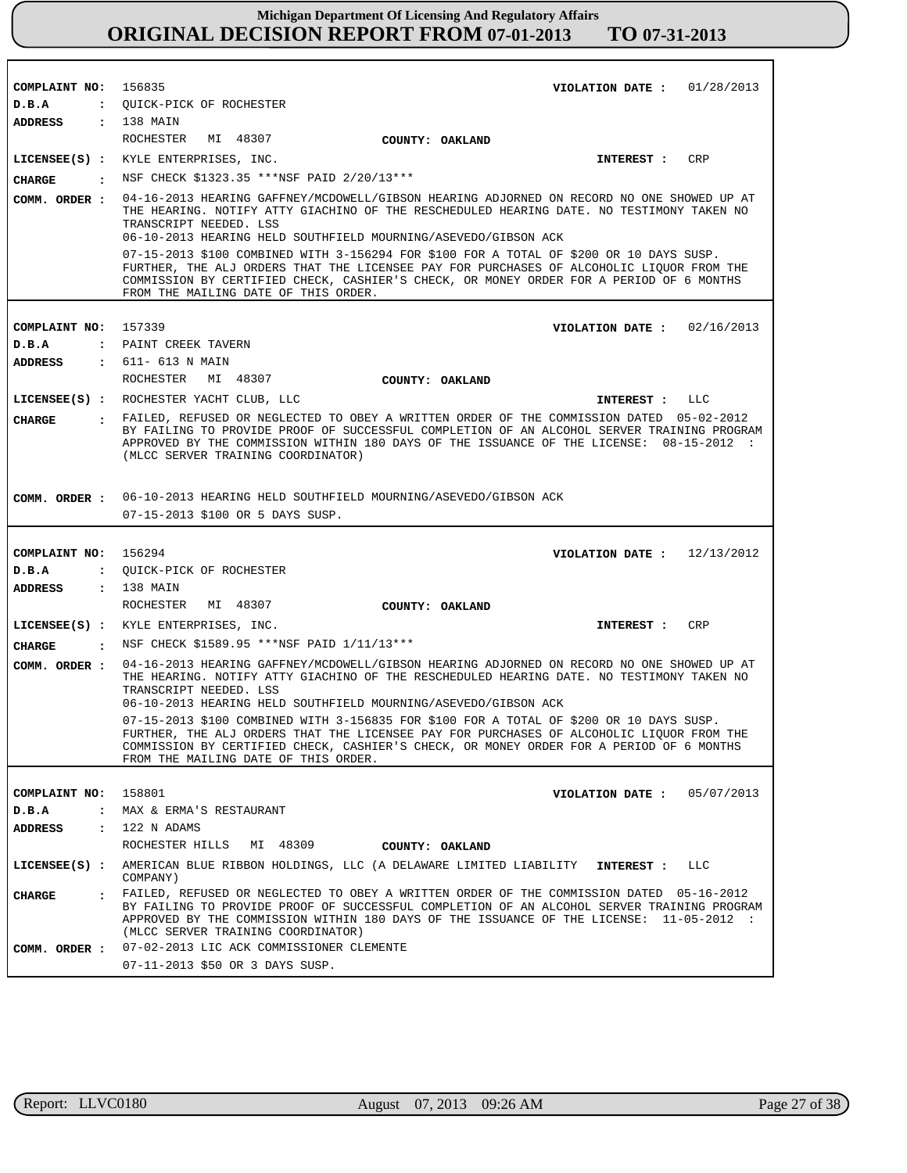| COMPLAINT NO: 156835 |                                                                                                                                                                                                                                                                                                                          | VIOLATION DATE: $01/28/2013$                                                                                                                                                                                                                                                       |  |  |  |  |
|----------------------|--------------------------------------------------------------------------------------------------------------------------------------------------------------------------------------------------------------------------------------------------------------------------------------------------------------------------|------------------------------------------------------------------------------------------------------------------------------------------------------------------------------------------------------------------------------------------------------------------------------------|--|--|--|--|
| D.B.A                | : QUICK-PICK OF ROCHESTER                                                                                                                                                                                                                                                                                                |                                                                                                                                                                                                                                                                                    |  |  |  |  |
| ADDRESS : 138 MAIN   |                                                                                                                                                                                                                                                                                                                          |                                                                                                                                                                                                                                                                                    |  |  |  |  |
|                      | ROCHESTER MI 48307<br>COUNTY: OAKLAND                                                                                                                                                                                                                                                                                    |                                                                                                                                                                                                                                                                                    |  |  |  |  |
|                      | LICENSEE(S) : KYLE ENTERPRISES, INC.                                                                                                                                                                                                                                                                                     | <b>CRP</b><br>INTEREST :                                                                                                                                                                                                                                                           |  |  |  |  |
| CHARGE               | : NSF CHECK \$1323.35 ***NSF PAID 2/20/13***                                                                                                                                                                                                                                                                             |                                                                                                                                                                                                                                                                                    |  |  |  |  |
| COMM. ORDER :        | 04-16-2013 HEARING GAFFNEY/MCDOWELL/GIBSON HEARING ADJORNED ON RECORD NO ONE SHOWED UP AT<br>THE HEARING. NOTIFY ATTY GIACHINO OF THE RESCHEDULED HEARING DATE. NO TESTIMONY TAKEN NO<br>TRANSCRIPT NEEDED. LSS<br>06-10-2013 HEARING HELD SOUTHFIELD MOURNING/ASEVEDO/GIBSON ACK                                        |                                                                                                                                                                                                                                                                                    |  |  |  |  |
|                      | 07-15-2013 \$100 COMBINED WITH 3-156294 FOR \$100 FOR A TOTAL OF \$200 OR 10 DAYS SUSP.<br>FURTHER, THE ALJ ORDERS THAT THE LICENSEE PAY FOR PURCHASES OF ALCOHOLIC LIQUOR FROM THE<br>COMMISSION BY CERTIFIED CHECK, CASHIER'S CHECK, OR MONEY ORDER FOR A PERIOD OF 6 MONTHS<br>FROM THE MAILING DATE OF THIS ORDER.   |                                                                                                                                                                                                                                                                                    |  |  |  |  |
|                      |                                                                                                                                                                                                                                                                                                                          |                                                                                                                                                                                                                                                                                    |  |  |  |  |
| COMPLAINT NO: 157339 |                                                                                                                                                                                                                                                                                                                          | VIOLATION DATE : $02/16/2013$                                                                                                                                                                                                                                                      |  |  |  |  |
| D.B.A                | : PAINT CREEK TAVERN                                                                                                                                                                                                                                                                                                     |                                                                                                                                                                                                                                                                                    |  |  |  |  |
| ADDRESS              | : 611- 613 N MAIN                                                                                                                                                                                                                                                                                                        |                                                                                                                                                                                                                                                                                    |  |  |  |  |
|                      | ROCHESTER<br>MI 48307<br>COUNTY: OAKLAND                                                                                                                                                                                                                                                                                 |                                                                                                                                                                                                                                                                                    |  |  |  |  |
|                      | LICENSEE(S) : ROCHESTER YACHT CLUB, LLC                                                                                                                                                                                                                                                                                  | LLC<br>INTEREST :                                                                                                                                                                                                                                                                  |  |  |  |  |
| <b>CHARGE</b>        | (MLCC SERVER TRAINING COORDINATOR)                                                                                                                                                                                                                                                                                       | : FAILED, REFUSED OR NEGLECTED TO OBEY A WRITTEN ORDER OF THE COMMISSION DATED 05-02-2012<br>BY FAILING TO PROVIDE PROOF OF SUCCESSFUL COMPLETION OF AN ALCOHOL SERVER TRAINING PROGRAM<br>APPROVED BY THE COMMISSION WITHIN 180 DAYS OF THE ISSUANCE OF THE LICENSE: 08-15-2012 : |  |  |  |  |
|                      |                                                                                                                                                                                                                                                                                                                          |                                                                                                                                                                                                                                                                                    |  |  |  |  |
|                      | COMM. ORDER : 06-10-2013 HEARING HELD SOUTHFIELD MOURNING/ASEVEDO/GIBSON ACK                                                                                                                                                                                                                                             |                                                                                                                                                                                                                                                                                    |  |  |  |  |
|                      | 07-15-2013 \$100 OR 5 DAYS SUSP.                                                                                                                                                                                                                                                                                         |                                                                                                                                                                                                                                                                                    |  |  |  |  |
|                      |                                                                                                                                                                                                                                                                                                                          |                                                                                                                                                                                                                                                                                    |  |  |  |  |
|                      |                                                                                                                                                                                                                                                                                                                          |                                                                                                                                                                                                                                                                                    |  |  |  |  |
| COMPLAINT NO: 156294 |                                                                                                                                                                                                                                                                                                                          | VIOLATION DATE: $12/13/2012$                                                                                                                                                                                                                                                       |  |  |  |  |
| D.B.A                | : QUICK-PICK OF ROCHESTER                                                                                                                                                                                                                                                                                                |                                                                                                                                                                                                                                                                                    |  |  |  |  |
| ADDRESS              | : 138 MAIN<br>MI 48307<br>ROCHESTER                                                                                                                                                                                                                                                                                      |                                                                                                                                                                                                                                                                                    |  |  |  |  |
|                      | COUNTY: OAKLAND                                                                                                                                                                                                                                                                                                          |                                                                                                                                                                                                                                                                                    |  |  |  |  |
|                      | LICENSEE(S) : KYLE ENTERPRISES, INC.                                                                                                                                                                                                                                                                                     | CRP<br><b>INTEREST :</b>                                                                                                                                                                                                                                                           |  |  |  |  |
| <b>CHARGE</b>        | : NSF CHECK \$1589.95 ***NSF PAID 1/11/13***                                                                                                                                                                                                                                                                             |                                                                                                                                                                                                                                                                                    |  |  |  |  |
| COMM. ORDER :        | 04-16-2013 HEARING GAFFNEY/MCDOWELL/GIBSON HEARING ADJORNED ON RECORD NO ONE SHOWED UP AT<br>THE HEARING. NOTIFY ATTY GIACHINO OF THE RESCHEDULED HEARING DATE. NO TESTIMONY TAKEN NO<br>TRANSCRIPT NEEDED. LSS                                                                                                          |                                                                                                                                                                                                                                                                                    |  |  |  |  |
|                      | 06-10-2013 HEARING HELD SOUTHFIELD MOURNING/ASEVEDO/GIBSON ACK                                                                                                                                                                                                                                                           |                                                                                                                                                                                                                                                                                    |  |  |  |  |
|                      | 07-15-2013 \$100 COMBINED WITH 3-156835 FOR \$100 FOR A TOTAL OF \$200 OR 10 DAYS SUSP.<br>FURTHER, THE ALJ ORDERS THAT THE LICENSEE PAY FOR PURCHASES OF ALCOHOLIC LIQUOR FROM THE<br>COMMISSION BY CERTIFIED CHECK, CASHIER'S CHECK, OR MONEY ORDER FOR A PERIOD OF 6 MONTHS<br>FROM THE MAILING DATE OF THIS ORDER.   |                                                                                                                                                                                                                                                                                    |  |  |  |  |
|                      |                                                                                                                                                                                                                                                                                                                          |                                                                                                                                                                                                                                                                                    |  |  |  |  |
| COMPLAINT NO: 158801 |                                                                                                                                                                                                                                                                                                                          | VIOLATION DATE: $05/07/2013$                                                                                                                                                                                                                                                       |  |  |  |  |
| D.B.A                | : MAX & ERMA'S RESTAURANT                                                                                                                                                                                                                                                                                                |                                                                                                                                                                                                                                                                                    |  |  |  |  |
| <b>ADDRESS</b>       | $: 122$ N ADAMS                                                                                                                                                                                                                                                                                                          |                                                                                                                                                                                                                                                                                    |  |  |  |  |
|                      | ROCHESTER HILLS MI 48309<br>COUNTY: OAKLAND                                                                                                                                                                                                                                                                              |                                                                                                                                                                                                                                                                                    |  |  |  |  |
|                      | LICENSEE(S) : AMERICAN BLUE RIBBON HOLDINGS, LLC (A DELAWARE LIMITED LIABILITY<br>COMPANY)                                                                                                                                                                                                                               | LLC<br>INTEREST :                                                                                                                                                                                                                                                                  |  |  |  |  |
| <b>CHARGE</b>        | . FAILED, REFUSED OR NEGLECTED TO OBEY A WRITTEN ORDER OF THE COMMISSION DATED 05-16-2012<br>BY FAILING TO PROVIDE PROOF OF SUCCESSFUL COMPLETION OF AN ALCOHOL SERVER TRAINING PROGRAM<br>APPROVED BY THE COMMISSION WITHIN 180 DAYS OF THE ISSUANCE OF THE LICENSE: 11-05-2012 :<br>(MLCC SERVER TRAINING COORDINATOR) |                                                                                                                                                                                                                                                                                    |  |  |  |  |
|                      | COMM. ORDER : 07-02-2013 LIC ACK COMMISSIONER CLEMENTE<br>07-11-2013 \$50 OR 3 DAYS SUSP.                                                                                                                                                                                                                                |                                                                                                                                                                                                                                                                                    |  |  |  |  |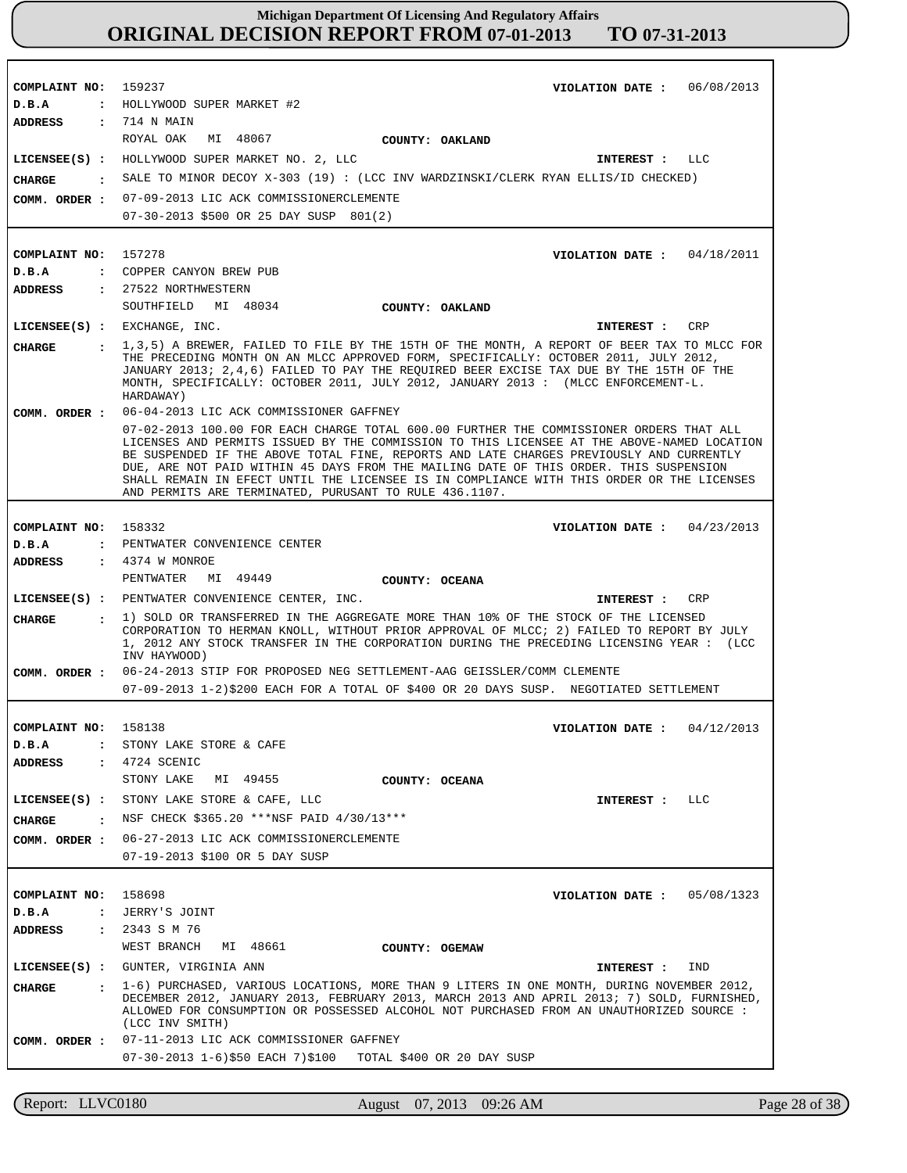| COMPLAINT NO:                   | 159237<br>VIOLATION DATE: 06/08/2013                                                                                                                                                                                                                                                                                                                                                                                                                                                                                                                                        |  |  |  |  |
|---------------------------------|-----------------------------------------------------------------------------------------------------------------------------------------------------------------------------------------------------------------------------------------------------------------------------------------------------------------------------------------------------------------------------------------------------------------------------------------------------------------------------------------------------------------------------------------------------------------------------|--|--|--|--|
| D.B.A                           | : HOLLYWOOD SUPER MARKET #2                                                                                                                                                                                                                                                                                                                                                                                                                                                                                                                                                 |  |  |  |  |
| <b>ADDRESS</b>                  | : 714 N MAIN                                                                                                                                                                                                                                                                                                                                                                                                                                                                                                                                                                |  |  |  |  |
|                                 | MI 48067<br>ROYAL OAK<br>COUNTY: OAKLAND                                                                                                                                                                                                                                                                                                                                                                                                                                                                                                                                    |  |  |  |  |
|                                 | LICENSEE(S) : HOLLYWOOD SUPER MARKET NO. 2, LLC<br>INTEREST : LLC                                                                                                                                                                                                                                                                                                                                                                                                                                                                                                           |  |  |  |  |
| CHARGE                          | : SALE TO MINOR DECOY X-303 (19): (LCC INV WARDZINSKI/CLERK RYAN ELLIS/ID CHECKED)                                                                                                                                                                                                                                                                                                                                                                                                                                                                                          |  |  |  |  |
| COMM. ORDER :                   | 07-09-2013 LIC ACK COMMISSIONERCLEMENTE                                                                                                                                                                                                                                                                                                                                                                                                                                                                                                                                     |  |  |  |  |
|                                 | 07-30-2013 \$500 OR 25 DAY SUSP 801(2)                                                                                                                                                                                                                                                                                                                                                                                                                                                                                                                                      |  |  |  |  |
|                                 |                                                                                                                                                                                                                                                                                                                                                                                                                                                                                                                                                                             |  |  |  |  |
| COMPLAINT NO: 157278            | VIOLATION DATE : $04/18/2011$                                                                                                                                                                                                                                                                                                                                                                                                                                                                                                                                               |  |  |  |  |
| D.B.A<br>ADDRESS                | : COPPER CANYON BREW PUB<br>: 27522 NORTHWESTERN                                                                                                                                                                                                                                                                                                                                                                                                                                                                                                                            |  |  |  |  |
|                                 | SOUTHFIELD MI 48034<br>COUNTY: OAKLAND                                                                                                                                                                                                                                                                                                                                                                                                                                                                                                                                      |  |  |  |  |
|                                 | CRP                                                                                                                                                                                                                                                                                                                                                                                                                                                                                                                                                                         |  |  |  |  |
|                                 | $LICENSEE(S)$ : EXCHANGE, INC.<br>INTEREST :                                                                                                                                                                                                                                                                                                                                                                                                                                                                                                                                |  |  |  |  |
| CHARGE<br>$\mathbf{r}$          | 1,3,5) A BREWER, FAILED TO FILE BY THE 15TH OF THE MONTH, A REPORT OF BEER TAX TO MLCC FOR<br>THE PRECEDING MONTH ON AN MLCC APPROVED FORM, SPECIFICALLY: OCTOBER 2011, JULY 2012,<br>JANUARY 2013; 2,4,6) FAILED TO PAY THE REQUIRED BEER EXCISE TAX DUE BY THE 15TH OF THE<br>MONTH, SPECIFICALLY: OCTOBER 2011, JULY 2012, JANUARY 2013 : (MLCC ENFORCEMENT-L.<br>HARDAWAY)                                                                                                                                                                                              |  |  |  |  |
| COMM. ORDER :                   | 06-04-2013 LIC ACK COMMISSIONER GAFFNEY<br>07-02-2013 100.00 FOR EACH CHARGE TOTAL 600.00 FURTHER THE COMMISSIONER ORDERS THAT ALL<br>LICENSES AND PERMITS ISSUED BY THE COMMISSION TO THIS LICENSEE AT THE ABOVE-NAMED LOCATION<br>BE SUSPENDED IF THE ABOVE TOTAL FINE, REPORTS AND LATE CHARGES PREVIOUSLY AND CURRENTLY<br>DUE, ARE NOT PAID WITHIN 45 DAYS FROM THE MAILING DATE OF THIS ORDER. THIS SUSPENSION<br>SHALL REMAIN IN EFECT UNTIL THE LICENSEE IS IN COMPLIANCE WITH THIS ORDER OR THE LICENSES<br>AND PERMITS ARE TERMINATED, PURUSANT TO RULE 436.1107. |  |  |  |  |
| COMPLAINT NO: 158332            | VIOLATION DATE: $04/23/2013$                                                                                                                                                                                                                                                                                                                                                                                                                                                                                                                                                |  |  |  |  |
| D.B.A                           | : PENTWATER CONVENIENCE CENTER                                                                                                                                                                                                                                                                                                                                                                                                                                                                                                                                              |  |  |  |  |
| <b>ADDRESS</b>                  | $\div$ 4374 W MONROE                                                                                                                                                                                                                                                                                                                                                                                                                                                                                                                                                        |  |  |  |  |
|                                 | PENTWATER MI 49449<br>COUNTY: OCEANA                                                                                                                                                                                                                                                                                                                                                                                                                                                                                                                                        |  |  |  |  |
|                                 | LICENSEE(S) : PENTWATER CONVENIENCE CENTER, INC.<br><b>CRP</b><br>INTEREST :                                                                                                                                                                                                                                                                                                                                                                                                                                                                                                |  |  |  |  |
| <b>CHARGE</b><br>$\ddot{\cdot}$ | 1) SOLD OR TRANSFERRED IN THE AGGREGATE MORE THAN 10% OF THE STOCK OF THE LICENSED<br>CORPORATION TO HERMAN KNOLL, WITHOUT PRIOR APPROVAL OF MLCC; 2) FAILED TO REPORT BY JULY<br>1, 2012 ANY STOCK TRANSFER IN THE CORPORATION DURING THE PRECEDING LICENSING YEAR: (LCC<br>INV HAYWOOD)                                                                                                                                                                                                                                                                                   |  |  |  |  |
| COMM. ORDER :                   | 06-24-2013 STIP FOR PROPOSED NEG SETTLEMENT-AAG GEISSLER/COMM CLEMENTE                                                                                                                                                                                                                                                                                                                                                                                                                                                                                                      |  |  |  |  |
|                                 | 07-09-2013 1-2)\$200 EACH FOR A TOTAL OF \$400 OR 20 DAYS SUSP. NEGOTIATED SETTLEMENT                                                                                                                                                                                                                                                                                                                                                                                                                                                                                       |  |  |  |  |
|                                 |                                                                                                                                                                                                                                                                                                                                                                                                                                                                                                                                                                             |  |  |  |  |
| COMPLAINT NO: 158138            | VIOLATION DATE : $04/12/2013$                                                                                                                                                                                                                                                                                                                                                                                                                                                                                                                                               |  |  |  |  |
| D.B.A<br>$\mathbf{r}$           | STONY LAKE STORE & CAFE                                                                                                                                                                                                                                                                                                                                                                                                                                                                                                                                                     |  |  |  |  |
| <b>ADDRESS</b>                  | : 4724 SCENIC                                                                                                                                                                                                                                                                                                                                                                                                                                                                                                                                                               |  |  |  |  |
|                                 | STONY LAKE MI 49455<br>COUNTY: OCEANA                                                                                                                                                                                                                                                                                                                                                                                                                                                                                                                                       |  |  |  |  |
|                                 | LICENSEE(S) : STONY LAKE STORE & CAFE, LLC<br><b>INTEREST :</b><br>LLC                                                                                                                                                                                                                                                                                                                                                                                                                                                                                                      |  |  |  |  |
| <b>CHARGE</b>                   | : NSF CHECK \$365.20 ***NSF PAID 4/30/13***                                                                                                                                                                                                                                                                                                                                                                                                                                                                                                                                 |  |  |  |  |
|                                 | COMM. ORDER : 06-27-2013 LIC ACK COMMISSIONERCLEMENTE                                                                                                                                                                                                                                                                                                                                                                                                                                                                                                                       |  |  |  |  |
|                                 | 07-19-2013 \$100 OR 5 DAY SUSP                                                                                                                                                                                                                                                                                                                                                                                                                                                                                                                                              |  |  |  |  |
|                                 |                                                                                                                                                                                                                                                                                                                                                                                                                                                                                                                                                                             |  |  |  |  |
| COMPLAINT NO: 158698            | VIOLATION DATE: $05/08/1323$                                                                                                                                                                                                                                                                                                                                                                                                                                                                                                                                                |  |  |  |  |
| D.B.A                           | : JERRY'S JOINT                                                                                                                                                                                                                                                                                                                                                                                                                                                                                                                                                             |  |  |  |  |
| ADDRESS                         | : 2343 S M 76<br>WEST BRANCH MI 48661                                                                                                                                                                                                                                                                                                                                                                                                                                                                                                                                       |  |  |  |  |
|                                 | COUNTY: OGEMAW<br>LICENSEE(S) : GUNTER, VIRGINIA ANN<br>IND<br>INTEREST :                                                                                                                                                                                                                                                                                                                                                                                                                                                                                                   |  |  |  |  |
|                                 |                                                                                                                                                                                                                                                                                                                                                                                                                                                                                                                                                                             |  |  |  |  |
| CHARGE                          | : 1-6) PURCHASED, VARIOUS LOCATIONS, MORE THAN 9 LITERS IN ONE MONTH, DURING NOVEMBER 2012,<br>DECEMBER 2012, JANUARY 2013, FEBRUARY 2013, MARCH 2013 AND APRIL 2013; 7) SOLD, FURNISHED,<br>ALLOWED FOR CONSUMPTION OR POSSESSED ALCOHOL NOT PURCHASED FROM AN UNAUTHORIZED SOURCE :<br>(LCC INV SMITH)                                                                                                                                                                                                                                                                    |  |  |  |  |
| COMM. ORDER :                   | 07-11-2013 LIC ACK COMMISSIONER GAFFNEY                                                                                                                                                                                                                                                                                                                                                                                                                                                                                                                                     |  |  |  |  |
|                                 | 07-30-2013 1-6)\$50 EACH 7)\$100 TOTAL \$400 OR 20 DAY SUSP                                                                                                                                                                                                                                                                                                                                                                                                                                                                                                                 |  |  |  |  |

Report: LLVC0180 August 07, 2013 09:26 AM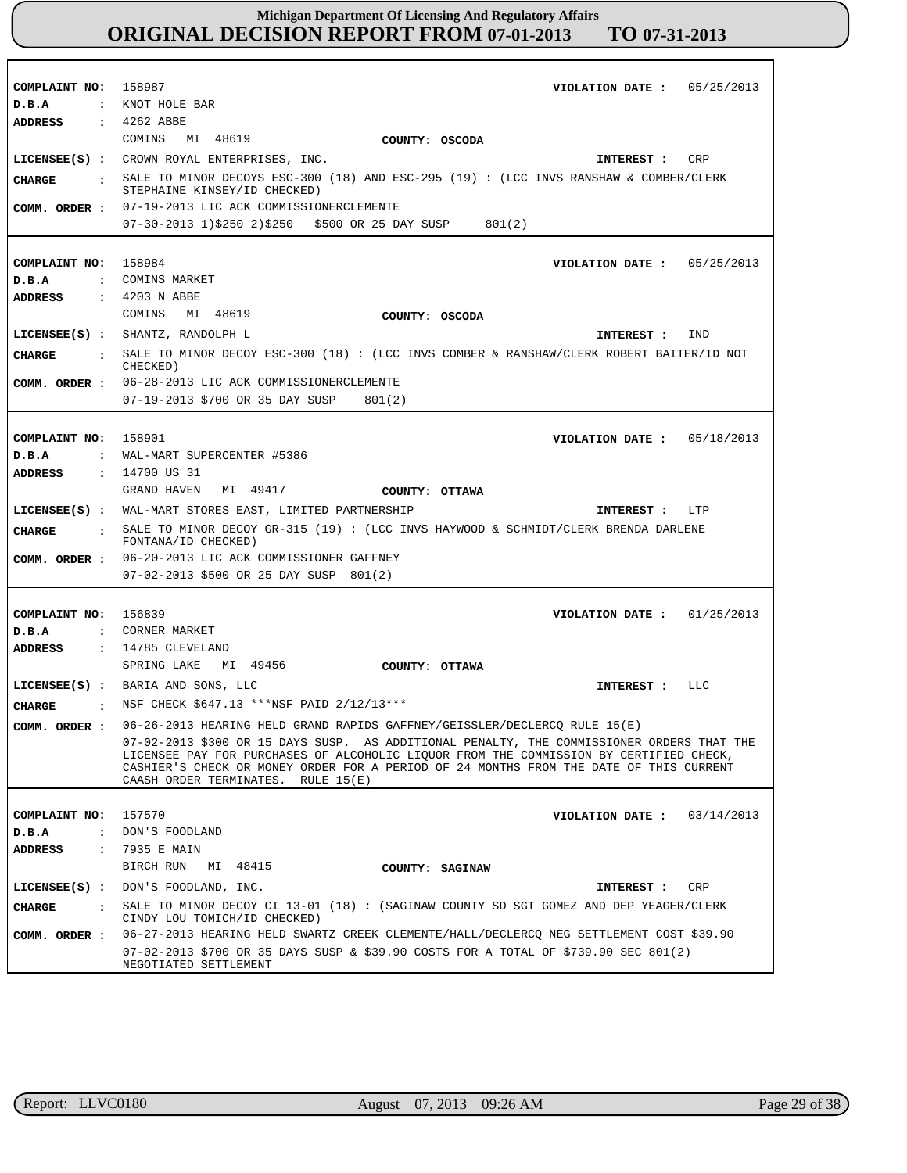| COMPLAINT NO: 158987                   |                                                                                                                                                                                                                                                                                                                     |
|----------------------------------------|---------------------------------------------------------------------------------------------------------------------------------------------------------------------------------------------------------------------------------------------------------------------------------------------------------------------|
|                                        | VIOLATION DATE: $05/25/2013$<br>: KNOT HOLE BAR                                                                                                                                                                                                                                                                     |
| D.B.A<br>ADDRESS                       | $: 4262$ ABBE                                                                                                                                                                                                                                                                                                       |
|                                        | COMINS<br>MI 48619                                                                                                                                                                                                                                                                                                  |
|                                        | COUNTY: OSCODA                                                                                                                                                                                                                                                                                                      |
|                                        | LICENSEE(S) : CROWN ROYAL ENTERPRISES, INC.<br>CRP<br>INTEREST :                                                                                                                                                                                                                                                    |
| CHARGE                                 | SALE TO MINOR DECOYS ESC-300 (18) AND ESC-295 (19) : (LCC INVS RANSHAW & COMBER/CLERK<br>STEPHAINE KINSEY/ID CHECKED)                                                                                                                                                                                               |
| COMM. ORDER :                          | 07-19-2013 LIC ACK COMMISSIONERCLEMENTE                                                                                                                                                                                                                                                                             |
|                                        | $07-30-2013$ 1)\$250 2)\$250 \$500 OR 25 DAY SUSP<br>801(2)                                                                                                                                                                                                                                                         |
|                                        |                                                                                                                                                                                                                                                                                                                     |
| COMPLAINT NO: 158984                   | VIOLATION DATE: $05/25/2013$                                                                                                                                                                                                                                                                                        |
| D.B.A                                  | : COMINS MARKET                                                                                                                                                                                                                                                                                                     |
| <b>ADDRESS</b>                         | : 4203 N ABBE                                                                                                                                                                                                                                                                                                       |
|                                        | COMINS MI 48619<br>COUNTY: OSCODA                                                                                                                                                                                                                                                                                   |
|                                        | LICENSEE(S) : SHANTZ, RANDOLPH L<br>IND<br>INTEREST :                                                                                                                                                                                                                                                               |
| <b>CIIARGE</b><br>$\cdot$              | SALE TO MINOR DECOY ESC-300 (18) : (LCC INVS COMBER & RANSHAW/CLERK ROBERT BAITER/ID NOT                                                                                                                                                                                                                            |
|                                        | CHECKED)<br>06-28-2013 LIC ACK COMMISSIONERCLEMENTE                                                                                                                                                                                                                                                                 |
| COMM. ORDER :                          | 07-19-2013 \$700 OR 35 DAY SUSP                                                                                                                                                                                                                                                                                     |
|                                        | 801(2)                                                                                                                                                                                                                                                                                                              |
|                                        |                                                                                                                                                                                                                                                                                                                     |
| COMPLAINT NO: 158901                   | VIOLATION DATE: $05/18/2013$                                                                                                                                                                                                                                                                                        |
| D.B.A<br>$\mathbf{z}$                  | WAL-MART SUPERCENTER #5386                                                                                                                                                                                                                                                                                          |
| ADDRESS                                | : 14700 US 31                                                                                                                                                                                                                                                                                                       |
|                                        | MI 49417<br>GRAND HAVEN<br>COUNTY: OTTAWA                                                                                                                                                                                                                                                                           |
|                                        | LICENSEE(S) : WAL-MART STORES EAST, LIMITED PARTNERSHIP<br>INTEREST : LTP                                                                                                                                                                                                                                           |
| <b>CIIARGE</b><br>$\ddot{\phantom{a}}$ | SALE TO MINOR DECOY GR-315 (19) : (LCC INVS HAYWOOD & SCHMIDT/CLERK BRENDA DARLENE<br>FONTANA/ID CHECKED)                                                                                                                                                                                                           |
| COMM. ORDER :                          | 06-20-2013 LIC ACK COMMISSIONER GAFFNEY                                                                                                                                                                                                                                                                             |
|                                        | 07-02-2013 \$500 OR 25 DAY SUSP 801(2)                                                                                                                                                                                                                                                                              |
|                                        |                                                                                                                                                                                                                                                                                                                     |
|                                        |                                                                                                                                                                                                                                                                                                                     |
| COMPLAINT NO: 156839                   | VIOLATION DATE: $01/25/2013$                                                                                                                                                                                                                                                                                        |
| D.B.A                                  | : CORNER MARKET                                                                                                                                                                                                                                                                                                     |
| <b>ADDRESS</b>                         | : 14785 CLEVELAND                                                                                                                                                                                                                                                                                                   |
|                                        | SPRING LAKE MI 49456<br>COUNTY: OTTAWA                                                                                                                                                                                                                                                                              |
|                                        | LICENSEE(S) : BARIA AND SONS, LLC<br>LLC<br>INTEREST :                                                                                                                                                                                                                                                              |
| CHARGE                                 | : NSF CHECK $$647.13$ ***NSF PAID 2/12/13***                                                                                                                                                                                                                                                                        |
| COMM. ORDER :                          | 06-26-2013 HEARING HELD GRAND RAPIDS GAFFNEY/GEISSLER/DECLERCO RULE 15(E)                                                                                                                                                                                                                                           |
|                                        | 07-02-2013 \$300 OR 15 DAYS SUSP. AS ADDITIONAL PENALTY, THE COMMISSIONER ORDERS THAT THE<br>LICENSEE PAY FOR PURCHASES OF ALCOHOLIC LIQUOR FROM THE COMMISSION BY CERTIFIED CHECK,<br>CASHIER'S CHECK OR MONEY ORDER FOR A PERIOD OF 24 MONTHS FROM THE DATE OF THIS CURRENT<br>CAASH ORDER TERMINATES. RULE 15(E) |
|                                        |                                                                                                                                                                                                                                                                                                                     |
| COMPLAINT NO: 157570                   | VIOLATION DATE: $03/14/2013$                                                                                                                                                                                                                                                                                        |
| D.B.A                                  | : DON'S FOODLAND                                                                                                                                                                                                                                                                                                    |
| <b>ADDRESS</b><br>$\ddot{\cdot}$       | 7935 E MAIN                                                                                                                                                                                                                                                                                                         |
|                                        | BIRCH RUN<br>MI 48415<br>COUNTY: SAGINAW                                                                                                                                                                                                                                                                            |
|                                        | LICENSEE(S) : DON'S FOODLAND, INC.<br>CRP<br>INTEREST :                                                                                                                                                                                                                                                             |
| <b>CHARGE</b>                          | : SALE TO MINOR DECOY CI 13-01 (18) : (SAGINAW COUNTY SD SGT GOMEZ AND DEP YEAGER/CLERK<br>CINDY LOU TOMICH/ID CHECKED)                                                                                                                                                                                             |
| COMM. ORDER :                          | 06-27-2013 HEARING HELD SWARTZ CREEK CLEMENTE/HALL/DECLERCQ NEG SETTLEMENT COST \$39.90                                                                                                                                                                                                                             |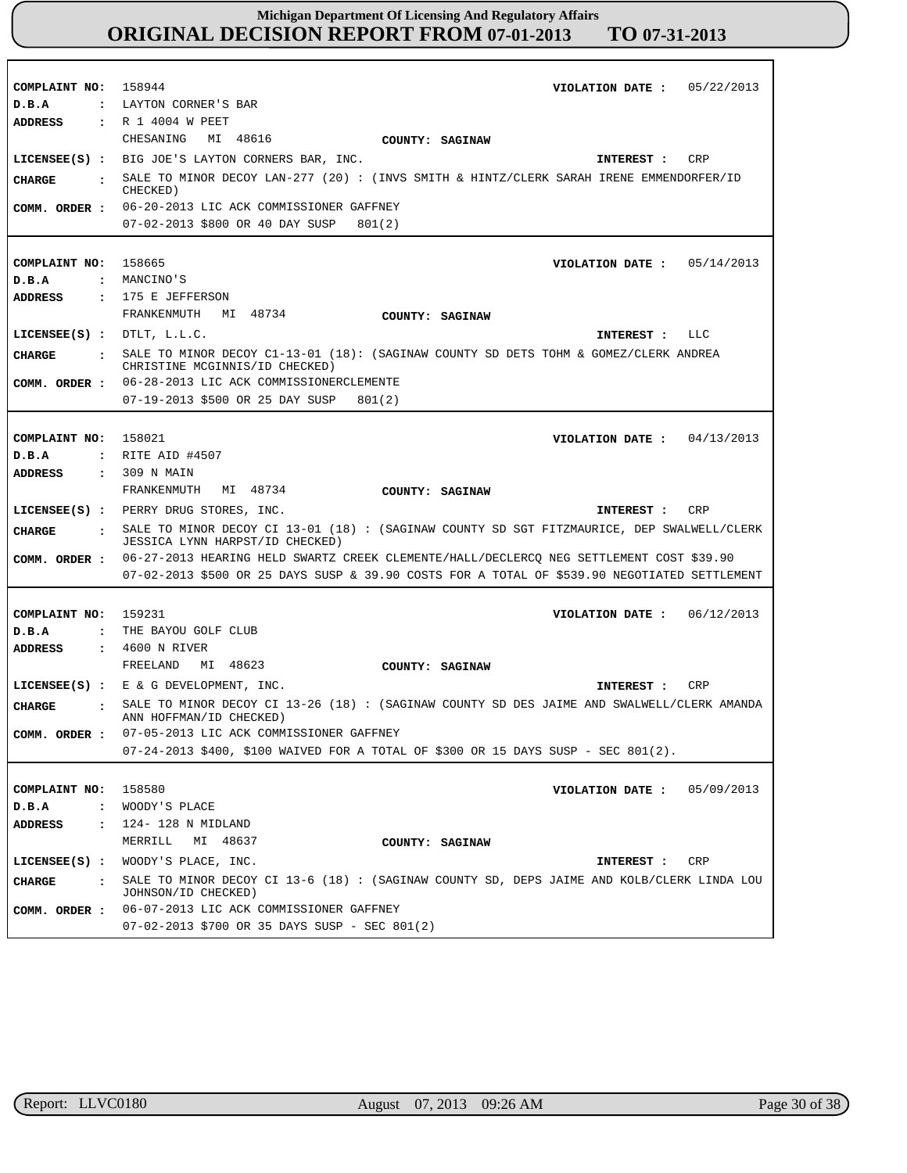| COMPLAINT NO: 158944                   | VIOLATION DATE: $05/22/2013$                                                                                          |
|----------------------------------------|-----------------------------------------------------------------------------------------------------------------------|
| D.B.A                                  | : LAYTON CORNER'S BAR                                                                                                 |
| <b>ADDRESS</b>                         | : R 1 4004 W PEET                                                                                                     |
|                                        | CHESANING MI 48616<br>COUNTY: SAGINAW                                                                                 |
|                                        | LICENSEE(S) : BIG JOE'S LAYTON CORNERS BAR, INC.<br>CRP<br>INTEREST :                                                 |
| CHARGE                                 | SALE TO MINOR DECOY LAN-277 (20) : (INVS SMITH & HINTZ/CLERK SARAH IRENE EMMENDORFER/ID<br>CHECKED)                   |
| COMM. ORDER :                          | 06-20-2013 LIC ACK COMMISSIONER GAFFNEY                                                                               |
|                                        | 07-02-2013 \$800 OR 40 DAY SUSP<br>801(2)                                                                             |
|                                        |                                                                                                                       |
| COMPLAINT NO:                          | 158665<br>VIOLATION DATE: $05/14/2013$                                                                                |
| D.B.A                                  | : MANCINO'S                                                                                                           |
| <b>ADDRESS</b>                         | : 175 E JEFFERSON                                                                                                     |
|                                        | FRANKENMUTH MI 48734<br>COUNTY: SAGINAW                                                                               |
| LICENSEE $(S)$ : DTLT, L.L.C.          | INTEREST : LLC                                                                                                        |
|                                        | SALE TO MINOR DECOY C1-13-01 (18): (SAGINAW COUNTY SD DETS TOHM & GOMEZ/CLERK ANDREA                                  |
| CHARGE<br>$\ddot{\cdot}$               | CHRISTINE MCGINNIS/ID CHECKED)                                                                                        |
| COMM. ORDER :                          | 06-28-2013 LIC ACK COMMISSIONERCLEMENTE                                                                               |
|                                        | 07-19-2013 \$500 OR 25 DAY SUSP<br>801(2)                                                                             |
|                                        |                                                                                                                       |
| COMPLAINT NO:                          | 158021<br>VIOLATION DATE: $04/13/2013$                                                                                |
| D.B.A                                  | : RITE AID #4507                                                                                                      |
| <b>ADDRESS</b>                         | : 309 N MAIN                                                                                                          |
|                                        | FRANKENMUTH MI 48734<br>COUNTY: SAGINAW                                                                               |
|                                        | LICENSEE(S) : PERRY DRUG STORES, INC.<br>CRP<br>INTEREST :                                                            |
|                                        |                                                                                                                       |
| <b>CIIARGE</b><br>$\ddot{\phantom{a}}$ | SALE TO MINOR DECOY CI 13-01 (18) : (SAGINAW COUNTY SD SGT FITZMAURICE, DEP SWALWELL/CLERK                            |
|                                        | <b>JESSICA LYNN HARPST/ID CHECKED)</b>                                                                                |
| COMM. ORDER :                          | 06-27-2013 HEARING HELD SWARTZ CREEK CLEMENTE/HALL/DECLERCQ NEG SETTLEMENT COST \$39.90                               |
|                                        | 07-02-2013 \$500 OR 25 DAYS SUSP & 39.90 COSTS FOR A TOTAL OF \$539.90 NEGOTIATED SETTLEMENT                          |
|                                        |                                                                                                                       |
| COMPLAINT NO: 159231                   | 06/12/2013<br>VIOLATION DATE :                                                                                        |
| D.B.A<br>$\mathbf{r}$                  | THE BAYOU GOLF CLUB                                                                                                   |
| ADDRESS                                | : 4600 N RIVER                                                                                                        |
|                                        | FREELAND<br>MI 48623<br>COUNTY: SAGINAW                                                                               |
|                                        | LICENSEE(S) : $E \& G$ DEVELOPMENT, INC.<br>CRP<br>INTEREST :                                                         |
| <b>CHARGE</b>                          | SALE TO MINOR DECOY CI 13-26 (18) : (SAGINAW COUNTY SD DES JAIME AND SWALWELL/CLERK AMANDA<br>ANN HOFFMAN/ID CHECKED) |
| COMM. ORDER :                          | 07-05-2013 LIC ACK COMMISSIONER GAFFNEY                                                                               |
|                                        | 07-24-2013 \$400, \$100 WAIVED FOR A TOTAL OF \$300 OR 15 DAYS SUSP - SEC 801(2).                                     |
|                                        |                                                                                                                       |
| COMPLAINT NO:                          | 158580<br>05/09/2013<br>VIOLATION DATE :                                                                              |
| D.B.A<br>$\mathbf{r}$                  | WOODY'S PLACE                                                                                                         |
| <b>ADDRESS</b><br>$\mathbf{r}$         | 124- 128 N MIDLAND                                                                                                    |
|                                        | MI 48637<br>MERRILL<br>COUNTY: SAGINAW                                                                                |
| $LICENSEE(S)$ :                        | WOODY'S PLACE, INC.<br>INTEREST :<br>CRP                                                                              |
| <b>CHARGE</b><br>$\ddot{\phantom{a}}$  | SALE TO MINOR DECOY CI 13-6 (18) : (SAGINAW COUNTY SD, DEPS JAIME AND KOLB/CLERK LINDA LOU                            |
| COMM. ORDER :                          | JOHNSON/ID CHECKED)<br>06-07-2013 LIC ACK COMMISSIONER GAFFNEY                                                        |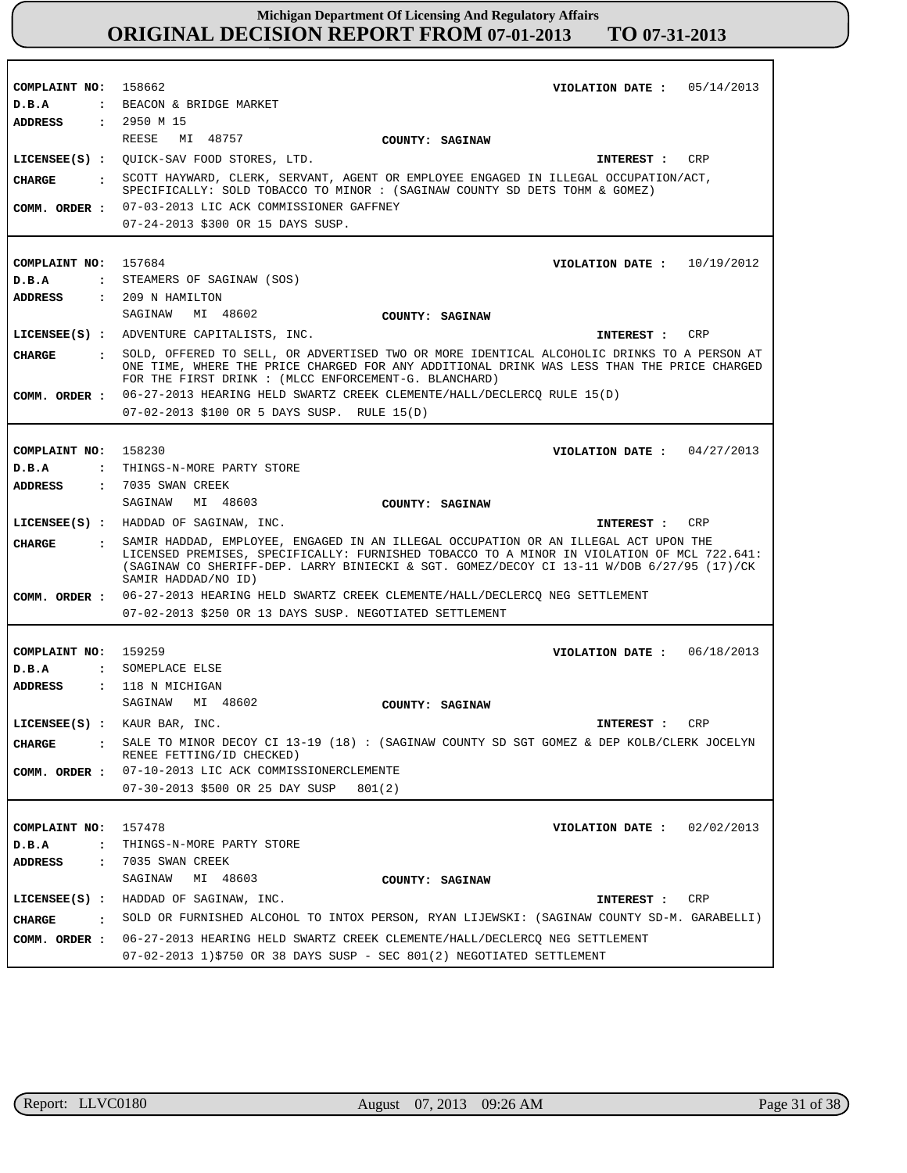| COMPLAINT NO: 158662           | VIOLATION DATE: $05/14/2013$                                                                                                                                                                                                                                                                            |  |  |  |  |
|--------------------------------|---------------------------------------------------------------------------------------------------------------------------------------------------------------------------------------------------------------------------------------------------------------------------------------------------------|--|--|--|--|
| D.B.A                          | : BEACON & BRIDGE MARKET                                                                                                                                                                                                                                                                                |  |  |  |  |
| ADDRESS                        | : 2950 M 15                                                                                                                                                                                                                                                                                             |  |  |  |  |
|                                | REESE<br>MI 48757<br>COUNTY: SAGINAW                                                                                                                                                                                                                                                                    |  |  |  |  |
|                                | LICENSEE(S) : QUICK-SAV FOOD STORES, LTD.<br>CRP<br><b>INTEREST :</b>                                                                                                                                                                                                                                   |  |  |  |  |
| CIIARGE                        | : SCOTT HAYWARD, CLERK, SERVANT, AGENT OR EMPLOYEE ENGAGED IN ILLEGAL OCCUPATION/ACT,<br>SPECIFICALLY: SOLD TOBACCO TO MINOR : (SAGINAW COUNTY SD DETS TOHM & GOMEZ)                                                                                                                                    |  |  |  |  |
| COMM. ORDER :                  | 07-03-2013 LIC ACK COMMISSIONER GAFFNEY                                                                                                                                                                                                                                                                 |  |  |  |  |
|                                | 07-24-2013 \$300 OR 15 DAYS SUSP.                                                                                                                                                                                                                                                                       |  |  |  |  |
|                                |                                                                                                                                                                                                                                                                                                         |  |  |  |  |
| COMPLAINT NO:                  | 157684<br>VIOLATION DATE: $10/19/2012$                                                                                                                                                                                                                                                                  |  |  |  |  |
| D.B.A                          | : STEAMERS OF SAGINAW (SOS)                                                                                                                                                                                                                                                                             |  |  |  |  |
| ADDRESS                        | : 209 N HAMILTON                                                                                                                                                                                                                                                                                        |  |  |  |  |
|                                | SAGINAW MI 48602                                                                                                                                                                                                                                                                                        |  |  |  |  |
|                                | COUNTY: SAGINAW                                                                                                                                                                                                                                                                                         |  |  |  |  |
|                                | LICENSEE(S) : ADVENTURE CAPITALISTS, INC.<br>CRP<br>INTEREST :                                                                                                                                                                                                                                          |  |  |  |  |
| <b>CHARGE</b>                  | : SOLD, OFFERED TO SELL, OR ADVERTISED TWO OR MORE IDENTICAL ALCOHOLIC DRINKS TO A PERSON AT<br>ONE TIME, WHERE THE PRICE CHARGED FOR ANY ADDITIONAL DRINK WAS LESS THAN THE PRICE CHARGED<br>FOR THE FIRST DRINK : (MLCC ENFORCEMENT-G. BLANCHARD)                                                     |  |  |  |  |
| COMM. ORDER :                  | 06-27-2013 HEARING HELD SWARTZ CREEK CLEMENTE/HALL/DECLERCO RULE 15(D)                                                                                                                                                                                                                                  |  |  |  |  |
|                                | 07-02-2013 \$100 OR 5 DAYS SUSP. RULE 15(D)                                                                                                                                                                                                                                                             |  |  |  |  |
|                                |                                                                                                                                                                                                                                                                                                         |  |  |  |  |
| COMPLAINT NO: 158230           | VIOLATION DATE: $04/27/2013$                                                                                                                                                                                                                                                                            |  |  |  |  |
| D.B.A                          | : THINGS-N-MORE PARTY STORE                                                                                                                                                                                                                                                                             |  |  |  |  |
| <b>ADDRESS</b>                 | : 7035 SWAN CREEK                                                                                                                                                                                                                                                                                       |  |  |  |  |
|                                | SAGINAW MI 48603<br>COUNTY: SAGINAW                                                                                                                                                                                                                                                                     |  |  |  |  |
|                                |                                                                                                                                                                                                                                                                                                         |  |  |  |  |
|                                |                                                                                                                                                                                                                                                                                                         |  |  |  |  |
|                                | LICENSEE(S) : HADDAD OF SAGINAW, INC.<br>INTEREST :<br>CRP                                                                                                                                                                                                                                              |  |  |  |  |
| CHARGE                         | : SAMIR HADDAD, EMPLOYEE, ENGAGED IN AN ILLEGAL OCCUPATION OR AN ILLEGAL ACT UPON THE<br>LICENSED PREMISES, SPECIFICALLY: FURNISHED TOBACCO TO A MINOR IN VIOLATION OF MCL 722.641:<br>(SAGINAW CO SHERIFF-DEP. LARRY BINIECKI & SGT. GOMEZ/DECOY CI 13-11 W/DOB 6/27/95 (17)/CK<br>SAMIR HADDAD/NO ID) |  |  |  |  |
| COMM. ORDER :                  | 06-27-2013 HEARING HELD SWARTZ CREEK CLEMENTE/HALL/DECLERCQ NEG SETTLEMENT                                                                                                                                                                                                                              |  |  |  |  |
|                                | 07-02-2013 \$250 OR 13 DAYS SUSP. NEGOTIATED SETTLEMENT                                                                                                                                                                                                                                                 |  |  |  |  |
|                                |                                                                                                                                                                                                                                                                                                         |  |  |  |  |
| COMPLAINT NO: 159259           |                                                                                                                                                                                                                                                                                                         |  |  |  |  |
| D.B.A                          | VIOLATION DATE: $06/18/2013$<br>: SOMEPLACE ELSE                                                                                                                                                                                                                                                        |  |  |  |  |
| <b>ADDRESS</b>                 | : 118 N MICHIGAN                                                                                                                                                                                                                                                                                        |  |  |  |  |
|                                | SAGINAW MI 48602                                                                                                                                                                                                                                                                                        |  |  |  |  |
|                                | COUNTY: SAGINAW                                                                                                                                                                                                                                                                                         |  |  |  |  |
|                                | LICENSEE(S) : KAUR BAR, INC.<br>CRP<br>INTEREST :                                                                                                                                                                                                                                                       |  |  |  |  |
| <b>CHARGE</b>                  | SALE TO MINOR DECOY CI 13-19 (18) : (SAGINAW COUNTY SD SGT GOMEZ & DEP KOLB/CLERK JOCELYN<br>RENEE FETTING/ID CHECKED)                                                                                                                                                                                  |  |  |  |  |
| COMM. ORDER :                  | 07-10-2013 LIC ACK COMMISSIONERCLEMENTE                                                                                                                                                                                                                                                                 |  |  |  |  |
|                                | 07-30-2013 \$500 OR 25 DAY SUSP<br>801(2)                                                                                                                                                                                                                                                               |  |  |  |  |
|                                |                                                                                                                                                                                                                                                                                                         |  |  |  |  |
| COMPLAINT NO:                  | 157478<br>02/02/2013<br>VIOLATION DATE :                                                                                                                                                                                                                                                                |  |  |  |  |
| D.B.A<br>$\ddot{\phantom{a}}$  | THINGS-N-MORE PARTY STORE                                                                                                                                                                                                                                                                               |  |  |  |  |
| ADDRESS<br>$\ddot{\cdot}$      | 7035 SWAN CREEK                                                                                                                                                                                                                                                                                         |  |  |  |  |
|                                | SAGINAW<br>MI 48603<br>COUNTY: SAGINAW                                                                                                                                                                                                                                                                  |  |  |  |  |
| $LICENSEE(S)$ :                | HADDAD OF SAGINAW, INC.<br>CRP<br>INTEREST :                                                                                                                                                                                                                                                            |  |  |  |  |
| CHARGE<br>$\ddot{\phantom{a}}$ | SOLD OR FURNISHED ALCOHOL TO INTOX PERSON, RYAN LIJEWSKI: (SAGINAW COUNTY SD-M. GARABELLI)                                                                                                                                                                                                              |  |  |  |  |
| COMM. ORDER :                  | 06-27-2013 HEARING HELD SWARTZ CREEK CLEMENTE/HALL/DECLERCQ NEG SETTLEMENT                                                                                                                                                                                                                              |  |  |  |  |

r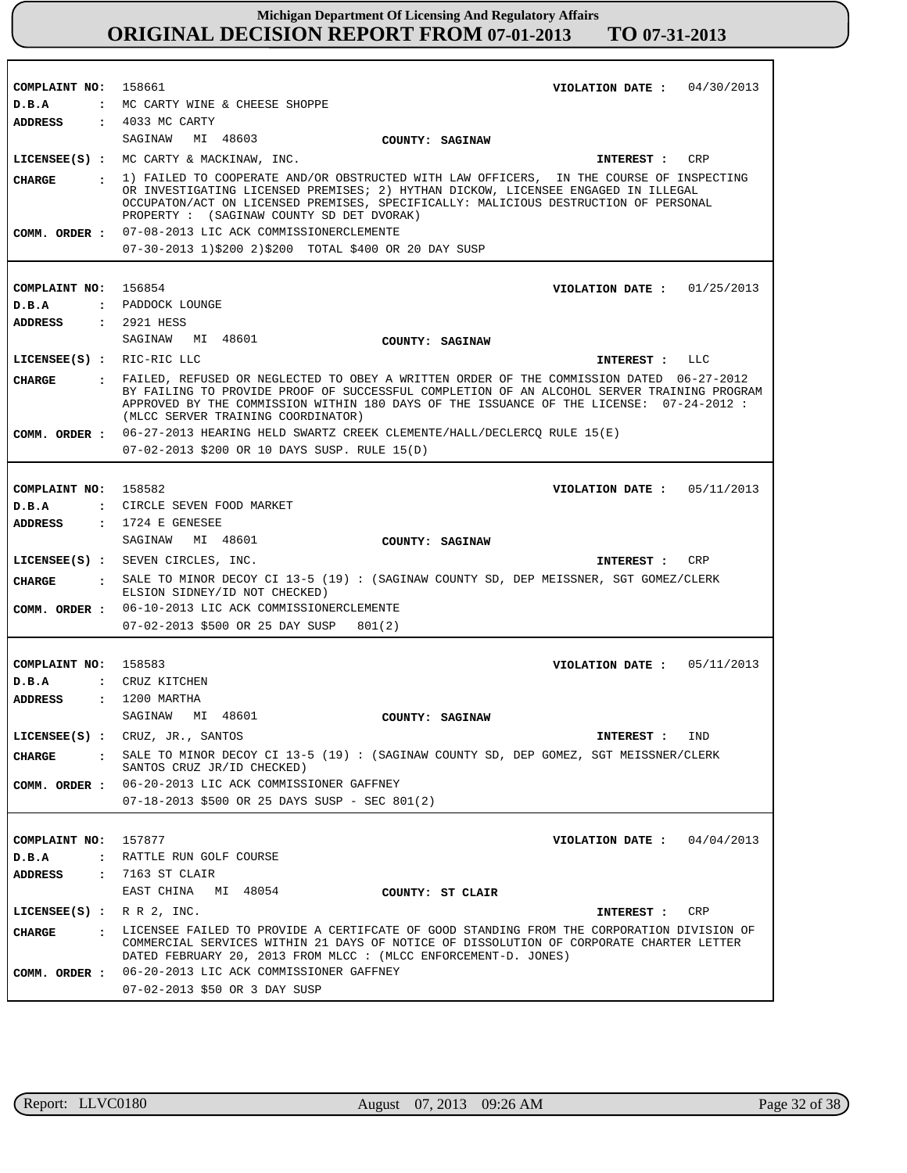| COMPLAINT NO: 158661          | VIOLATION DATE: $04/30/2013$                                                                                                                                                                                                                                                                                             |  |  |  |
|-------------------------------|--------------------------------------------------------------------------------------------------------------------------------------------------------------------------------------------------------------------------------------------------------------------------------------------------------------------------|--|--|--|
| D.B.A                         | : MC CARTY WINE & CHEESE SHOPPE                                                                                                                                                                                                                                                                                          |  |  |  |
| <b>ADDRESS</b>                | $: 4033$ MC CARTY                                                                                                                                                                                                                                                                                                        |  |  |  |
|                               | SAGINAW MI 48603<br>COUNTY: SAGINAW                                                                                                                                                                                                                                                                                      |  |  |  |
|                               | LICENSEE(S) : MC CARTY & MACKINAW, INC.<br>INTEREST : CRP                                                                                                                                                                                                                                                                |  |  |  |
| CIIARGE                       | : 1) FAILED TO COOPERATE AND/OR OBSTRUCTED WITH LAW OFFICERS, IN THE COURSE OF INSPECTING<br>OR INVESTIGATING LICENSED PREMISES; 2) HYTHAN DICKOW, LICENSEE ENGAGED IN ILLEGAL<br>OCCUPATON/ACT ON LICENSED PREMISES, SPECIFICALLY: MALICIOUS DESTRUCTION OF PERSONAL<br>PROPERTY : (SAGINAW COUNTY SD DET DVORAK)       |  |  |  |
|                               | COMM. ORDER : 07-08-2013 LIC ACK COMMISSIONERCLEMENTE                                                                                                                                                                                                                                                                    |  |  |  |
|                               | 07-30-2013 1)\$200 2)\$200 TOTAL \$400 OR 20 DAY SUSP                                                                                                                                                                                                                                                                    |  |  |  |
|                               |                                                                                                                                                                                                                                                                                                                          |  |  |  |
| COMPLAINT NO: 156854          | VIOLATION DATE : $01/25/2013$                                                                                                                                                                                                                                                                                            |  |  |  |
| D.B.A                         | : PADDOCK LOUNGE                                                                                                                                                                                                                                                                                                         |  |  |  |
| ADDRESS                       | : 2921 HESS                                                                                                                                                                                                                                                                                                              |  |  |  |
|                               | SAGINAW MI 48601<br><b>COUNTY: SAGINAW</b>                                                                                                                                                                                                                                                                               |  |  |  |
| LICENSEE(S) : RIC-RIC LLC     | INTEREST : LLC                                                                                                                                                                                                                                                                                                           |  |  |  |
| CHARGE                        | : FAILED, REFUSED OR NEGLECTED TO OBEY A WRITTEN ORDER OF THE COMMISSION DATED 06-27-2012<br>BY FAILING TO PROVIDE PROOF OF SUCCESSFUL COMPLETION OF AN ALCOHOL SERVER TRAINING PROGRAM<br>APPROVED BY THE COMMISSION WITHIN 180 DAYS OF THE ISSUANCE OF THE LICENSE: 07-24-2012 :<br>(MLCC SERVER TRAINING COORDINATOR) |  |  |  |
|                               | COMM. ORDER: 06-27-2013 HEARING HELD SWARTZ CREEK CLEMENTE/HALL/DECLERCQ RULE 15(E)                                                                                                                                                                                                                                      |  |  |  |
|                               | 07-02-2013 \$200 OR 10 DAYS SUSP. RULE 15(D)                                                                                                                                                                                                                                                                             |  |  |  |
|                               |                                                                                                                                                                                                                                                                                                                          |  |  |  |
| COMPLAINT NO: 158582          | VIOLATION DATE: $05/11/2013$                                                                                                                                                                                                                                                                                             |  |  |  |
| D.B.A                         | : CIRCLE SEVEN FOOD MARKET                                                                                                                                                                                                                                                                                               |  |  |  |
| <b>ADDRESS</b>                | $: 1724$ E GENESEE                                                                                                                                                                                                                                                                                                       |  |  |  |
|                               | SAGINAW MI 48601<br>COUNTY: SAGINAW                                                                                                                                                                                                                                                                                      |  |  |  |
|                               | LICENSEE(S) : SEVEN CIRCLES, INC.<br>INTEREST : CRP                                                                                                                                                                                                                                                                      |  |  |  |
| CHARGE                        | : SALE TO MINOR DECOY CI 13-5 (19) : (SAGINAW COUNTY SD, DEP MEISSNER, SGT GOMEZ/CLERK<br>ELSION SIDNEY/ID NOT CHECKED)                                                                                                                                                                                                  |  |  |  |
|                               | COMM. ORDER : 06-10-2013 LIC ACK COMMISSIONERCLEMENTE                                                                                                                                                                                                                                                                    |  |  |  |
|                               | 07-02-2013 \$500 OR 25 DAY SUSP 801(2)                                                                                                                                                                                                                                                                                   |  |  |  |
|                               |                                                                                                                                                                                                                                                                                                                          |  |  |  |
| COMPLAINT NO: 158583          | VIOLATION DATE: $05/11/2013$                                                                                                                                                                                                                                                                                             |  |  |  |
| D.B.A                         | : CRUZ KITCHEN                                                                                                                                                                                                                                                                                                           |  |  |  |
| ADDRESS                       | $: 1200$ MARTHA                                                                                                                                                                                                                                                                                                          |  |  |  |
|                               | MI 48601<br>SAGINAW<br>COUNTY: SAGINAW                                                                                                                                                                                                                                                                                   |  |  |  |
| $LICENSEE(S)$ :               | CRUZ, JR., SANTOS<br>INTEREST :<br>IND                                                                                                                                                                                                                                                                                   |  |  |  |
| <b>CHARGE</b><br>$\mathbf{r}$ | SALE TO MINOR DECOY CI 13-5 (19) : (SAGINAW COUNTY SD, DEP GOMEZ, SGT MEISSNER/CLERK<br>SANTOS CRUZ JR/ID CHECKED)                                                                                                                                                                                                       |  |  |  |
|                               | COMM. ORDER : 06-20-2013 LIC ACK COMMISSIONER GAFFNEY                                                                                                                                                                                                                                                                    |  |  |  |
|                               | $07-18-2013$ \$500 OR 25 DAYS SUSP - SEC 801(2)                                                                                                                                                                                                                                                                          |  |  |  |
|                               |                                                                                                                                                                                                                                                                                                                          |  |  |  |
| COMPLAINT NO: 157877          | VIOLATION DATE: $04/04/2013$                                                                                                                                                                                                                                                                                             |  |  |  |
| D.B.A                         | : RATTLE RUN GOLF COURSE                                                                                                                                                                                                                                                                                                 |  |  |  |
| <b>ADDRESS</b>                | : 7163 ST CLAIR                                                                                                                                                                                                                                                                                                          |  |  |  |
|                               | EAST CHINA MI 48054<br>COUNTY: ST CLAIR                                                                                                                                                                                                                                                                                  |  |  |  |
| LICENSEE $(S)$ : RR 2, INC.   | CRP<br>INTEREST :                                                                                                                                                                                                                                                                                                        |  |  |  |
|                               |                                                                                                                                                                                                                                                                                                                          |  |  |  |
| <b>CHARGE</b>                 | . LICENSEE FAILED TO PROVIDE A CERTIFCATE OF GOOD STANDING FROM THE CORPORATION DIVISION OF<br>COMMERCIAL SERVICES WITHIN 21 DAYS OF NOTICE OF DISSOLUTION OF CORPORATE CHARTER LETTER<br>DATED FEBRUARY 20, 2013 FROM MLCC : (MLCC ENFORCEMENT-D. JONES)                                                                |  |  |  |
|                               | COMM. ORDER : 06-20-2013 LIC ACK COMMISSIONER GAFFNEY                                                                                                                                                                                                                                                                    |  |  |  |

г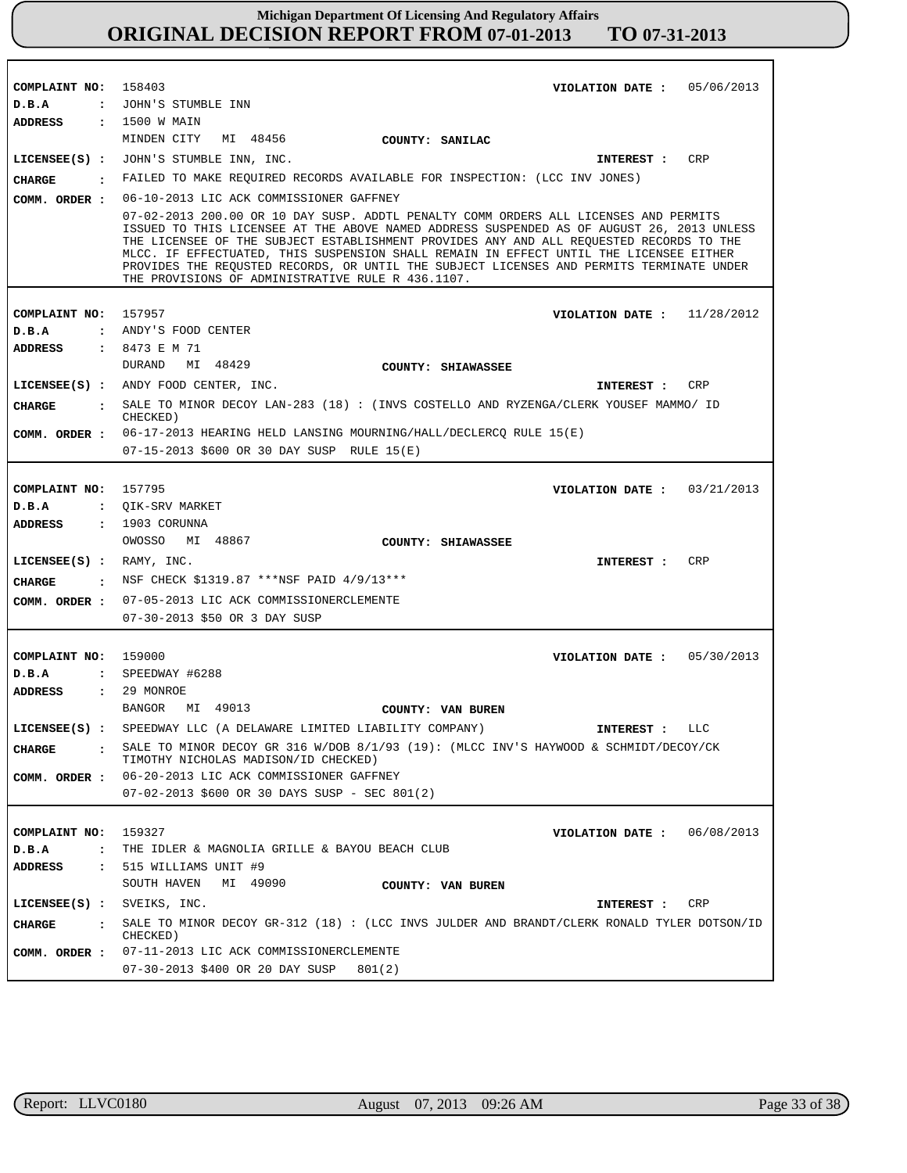| COMPLAINT NO: 158403            | 05/06/2013                                                                                                                                                                                                                                                                                                                                                                                                                                                                                                              |
|---------------------------------|-------------------------------------------------------------------------------------------------------------------------------------------------------------------------------------------------------------------------------------------------------------------------------------------------------------------------------------------------------------------------------------------------------------------------------------------------------------------------------------------------------------------------|
| D.B.A                           | VIOLATION DATE :<br>: JOHN'S STUMBLE INN                                                                                                                                                                                                                                                                                                                                                                                                                                                                                |
|                                 |                                                                                                                                                                                                                                                                                                                                                                                                                                                                                                                         |
| <b>ADDRESS</b>                  | : 1500 W MAIN<br>MINDEN CITY<br>MI 48456<br>COUNTY: SANILAC                                                                                                                                                                                                                                                                                                                                                                                                                                                             |
|                                 | LICENSEE(S) : JOHN'S STUMBLE INN, INC.<br>CRP<br>INTEREST :                                                                                                                                                                                                                                                                                                                                                                                                                                                             |
| CHARGE                          | : FAILED TO MAKE REQUIRED RECORDS AVAILABLE FOR INSPECTION: (LCC INV JONES)                                                                                                                                                                                                                                                                                                                                                                                                                                             |
|                                 | 06-10-2013 LIC ACK COMMISSIONER GAFFNEY                                                                                                                                                                                                                                                                                                                                                                                                                                                                                 |
| COMM. ORDER :                   |                                                                                                                                                                                                                                                                                                                                                                                                                                                                                                                         |
|                                 | 07-02-2013 200.00 OR 10 DAY SUSP. ADDTL PENALTY COMM ORDERS ALL LICENSES AND PERMITS<br>ISSUED TO THIS LICENSEE AT THE ABOVE NAMED ADDRESS SUSPENDED AS OF AUGUST 26, 2013 UNLESS<br>THE LICENSEE OF THE SUBJECT ESTABLISHMENT PROVIDES ANY AND ALL REQUESTED RECORDS TO THE<br>MLCC. IF EFFECTUATED, THIS SUSPENSION SHALL REMAIN IN EFFECT UNTIL THE LICENSEE EITHER<br>PROVIDES THE REQUSTED RECORDS, OR UNTIL THE SUBJECT LICENSES AND PERMITS TERMINATE UNDER<br>THE PROVISIONS OF ADMINISTRATIVE RULE R 436.1107. |
|                                 |                                                                                                                                                                                                                                                                                                                                                                                                                                                                                                                         |
| COMPLAINT NO: 157957            | VIOLATION DATE: $11/28/2012$                                                                                                                                                                                                                                                                                                                                                                                                                                                                                            |
| D.B.A                           | : ANDY'S FOOD CENTER                                                                                                                                                                                                                                                                                                                                                                                                                                                                                                    |
| <b>ADDRESS</b>                  | : 8473 E M 71                                                                                                                                                                                                                                                                                                                                                                                                                                                                                                           |
|                                 | DURAND<br>MI 48429<br>COUNTY: SHIAWASSEE                                                                                                                                                                                                                                                                                                                                                                                                                                                                                |
|                                 | LICENSEE(S) : ANDY FOOD CENTER, INC.<br>CRP<br>INTEREST :                                                                                                                                                                                                                                                                                                                                                                                                                                                               |
| <b>CHARGE</b><br>$\mathbf{r}$   | SALE TO MINOR DECOY LAN-283 (18) : (INVS COSTELLO AND RYZENGA/CLERK YOUSEF MAMMO/ ID<br>CHECKED)                                                                                                                                                                                                                                                                                                                                                                                                                        |
|                                 | COMM. ORDER : 06-17-2013 HEARING HELD LANSING MOURNING/HALL/DECLERCQ RULE 15(E)                                                                                                                                                                                                                                                                                                                                                                                                                                         |
|                                 | 07-15-2013 \$600 OR 30 DAY SUSP RULE 15(E)                                                                                                                                                                                                                                                                                                                                                                                                                                                                              |
|                                 |                                                                                                                                                                                                                                                                                                                                                                                                                                                                                                                         |
| COMPLAINT NO: 157795            | 03/21/2013<br>VIOLATION DATE :                                                                                                                                                                                                                                                                                                                                                                                                                                                                                          |
| D.B.A                           | : QIK-SRV MARKET                                                                                                                                                                                                                                                                                                                                                                                                                                                                                                        |
| ADDRESS                         | $: 1903$ CORUNNA                                                                                                                                                                                                                                                                                                                                                                                                                                                                                                        |
|                                 | OWOSSO<br>MI 48867<br>COUNTY: SHIAWASSEE                                                                                                                                                                                                                                                                                                                                                                                                                                                                                |
| LICENSE (S) : RAMY, INC.        | CRP<br>INTEREST :                                                                                                                                                                                                                                                                                                                                                                                                                                                                                                       |
|                                 | CHARGE : NSF CHECK \$1319.87 *** NSF PAID 4/9/13***                                                                                                                                                                                                                                                                                                                                                                                                                                                                     |
| COMM. ORDER :                   | 07-05-2013 LIC ACK COMMISSIONERCLEMENTE                                                                                                                                                                                                                                                                                                                                                                                                                                                                                 |
|                                 | 07-30-2013 \$50 OR 3 DAY SUSP                                                                                                                                                                                                                                                                                                                                                                                                                                                                                           |
|                                 |                                                                                                                                                                                                                                                                                                                                                                                                                                                                                                                         |
| COMPLAINT NO:                   | 159000<br>VIOLATION DATE: 05/30/2013                                                                                                                                                                                                                                                                                                                                                                                                                                                                                    |
| D.B.A                           | $:$ SPEEDWAY #6288                                                                                                                                                                                                                                                                                                                                                                                                                                                                                                      |
| <b>ADDRESS</b>                  | : 29 MONROE                                                                                                                                                                                                                                                                                                                                                                                                                                                                                                             |
|                                 | BANGOR<br>MI 49013<br>COUNTY: VAN BUREN                                                                                                                                                                                                                                                                                                                                                                                                                                                                                 |
|                                 | LICENSEE(S) : SPEEDWAY LLC (A DELAWARE LIMITED LIABILITY COMPANY)<br>LLC<br>INTEREST :                                                                                                                                                                                                                                                                                                                                                                                                                                  |
|                                 |                                                                                                                                                                                                                                                                                                                                                                                                                                                                                                                         |
| <b>CHARGE</b>                   | SALE TO MINOR DECOY GR 316 W/DOB 8/1/93 (19): (MLCC INV'S HAYWOOD & SCHMIDT/DECOY/CK<br>TIMOTHY NICHOLAS MADISON/ID CHECKED)                                                                                                                                                                                                                                                                                                                                                                                            |
| COMM. ORDER :                   | 06-20-2013 LIC ACK COMMISSIONER GAFFNEY                                                                                                                                                                                                                                                                                                                                                                                                                                                                                 |
|                                 | $07-02-2013$ \$600 OR 30 DAYS SUSP - SEC 801(2)                                                                                                                                                                                                                                                                                                                                                                                                                                                                         |
|                                 |                                                                                                                                                                                                                                                                                                                                                                                                                                                                                                                         |
| COMPLAINT NO:                   | 159327<br>VIOLATION DATE: $06/08/2013$                                                                                                                                                                                                                                                                                                                                                                                                                                                                                  |
| D.B.A<br>$\ddot{\cdot}$         | THE IDLER & MAGNOLIA GRILLE & BAYOU BEACH CLUB                                                                                                                                                                                                                                                                                                                                                                                                                                                                          |
| ADDRESS<br>$\ddot{\phantom{a}}$ | 515 WILLIAMS UNIT #9                                                                                                                                                                                                                                                                                                                                                                                                                                                                                                    |
|                                 | SOUTH HAVEN<br>MI 49090<br>COUNTY: VAN BUREN                                                                                                                                                                                                                                                                                                                                                                                                                                                                            |
| $LICENSEE(S)$ :                 | SVEIKS, INC.<br>CRP<br>INTEREST :                                                                                                                                                                                                                                                                                                                                                                                                                                                                                       |
| CHARGE<br>$\mathbf{r}$          | SALE TO MINOR DECOY GR-312 (18) : (LCC INVS JULDER AND BRANDT/CLERK RONALD TYLER DOTSON/ID<br>CHECKED)                                                                                                                                                                                                                                                                                                                                                                                                                  |
| COMM. ORDER :                   | 07-11-2013 LIC ACK COMMISSIONERCLEMENTE                                                                                                                                                                                                                                                                                                                                                                                                                                                                                 |
|                                 |                                                                                                                                                                                                                                                                                                                                                                                                                                                                                                                         |

r

٦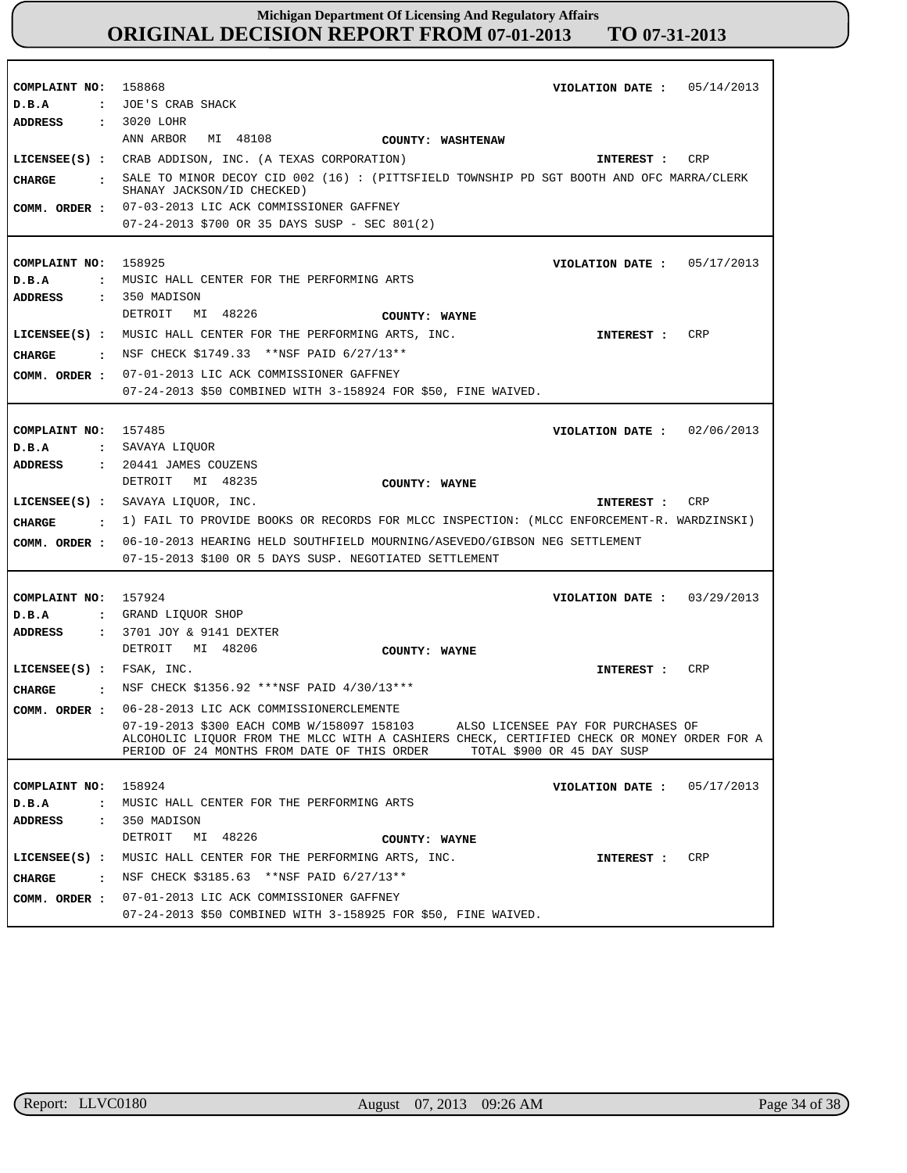| COMPLAINT NO: 158868<br>D.B.A    | VIOLATION DATE: $05/14/2013$<br>: JOE'S CRAB SHACK                                                                                                                                                                                                          |
|----------------------------------|-------------------------------------------------------------------------------------------------------------------------------------------------------------------------------------------------------------------------------------------------------------|
| ADDRESS                          | : 3020 LOHR                                                                                                                                                                                                                                                 |
|                                  | ANN ARBOR MI 48108<br>COUNTY: WASHTENAW<br>LICENSEE(S) : CRAB ADDISON, INC. (A TEXAS CORPORATION)                                                                                                                                                           |
|                                  | CRP<br>INTEREST :<br>. SALE TO MINOR DECOY CID 002 (16) : (PITTSFIELD TOWNSHIP PD SGT BOOTH AND OFC MARRA/CLERK                                                                                                                                             |
| CHARGE                           | SHANAY JACKSON/ID CHECKED)                                                                                                                                                                                                                                  |
|                                  | COMM. ORDER : 07-03-2013 LIC ACK COMMISSIONER GAFFNEY                                                                                                                                                                                                       |
|                                  | $07 - 24 - 2013$ \$700 OR 35 DAYS SUSP - SEC 801(2)                                                                                                                                                                                                         |
|                                  |                                                                                                                                                                                                                                                             |
| COMPLAINT NO:                    | 158925<br>VIOLATION DATE: $05/17/2013$                                                                                                                                                                                                                      |
| D.B.A                            | : MUSIC HALL CENTER FOR THE PERFORMING ARTS                                                                                                                                                                                                                 |
| ADDRESS                          | $: 350$ MADISON<br>MI 48226<br>DETROIT                                                                                                                                                                                                                      |
|                                  | COUNTY: WAYNE<br>LICENSEE(S) : MUSIC HALL CENTER FOR THE PERFORMING ARTS, INC.<br>CRP                                                                                                                                                                       |
|                                  | INTEREST :<br>: NSF CHECK \$1749.33 **NSF PAID 6/27/13**                                                                                                                                                                                                    |
| CHARGE                           |                                                                                                                                                                                                                                                             |
| COMM. ORDER :                    | 07-01-2013 LIC ACK COMMISSIONER GAFFNEY<br>07-24-2013 \$50 COMBINED WITH 3-158924 FOR \$50, FINE WAIVED.                                                                                                                                                    |
|                                  |                                                                                                                                                                                                                                                             |
| COMPLAINT NO: 157485             | VIOLATION DATE: $02/06/2013$                                                                                                                                                                                                                                |
| D.B.A                            | : SAVAYA LIQUOR                                                                                                                                                                                                                                             |
| ADDRESS                          | $: 20441$ JAMES COUZENS                                                                                                                                                                                                                                     |
|                                  | DETROIT<br>MI 48235<br>COUNTY: WAYNE                                                                                                                                                                                                                        |
|                                  |                                                                                                                                                                                                                                                             |
|                                  | LICENSEE(S) : SAVAYA LIQUOR, INC.<br>CRP<br>INTEREST :                                                                                                                                                                                                      |
|                                  |                                                                                                                                                                                                                                                             |
| CHARGE                           | : 1) FAIL TO PROVIDE BOOKS OR RECORDS FOR MLCC INSPECTION: (MLCC ENFORCEMENT-R. WARDZINSKI)<br>06-10-2013 HEARING HELD SOUTHFIELD MOURNING/ASEVEDO/GIBSON NEG SETTLEMENT                                                                                    |
| COMM. ORDER :                    | 07-15-2013 \$100 OR 5 DAYS SUSP. NEGOTIATED SETTLEMENT                                                                                                                                                                                                      |
|                                  |                                                                                                                                                                                                                                                             |
| COMPLAINT NO: 157924             | VIOLATION DATE: $03/29/2013$                                                                                                                                                                                                                                |
| D.B.A                            | : GRAND LIQUOR SHOP                                                                                                                                                                                                                                         |
| <b>ADDRESS</b>                   | : 3701 JOY & 9141 DEXTER                                                                                                                                                                                                                                    |
|                                  | DETROIT MI 48206<br>COUNTY: WAYNE                                                                                                                                                                                                                           |
| $LICENSEE(S)$ : FSAK, INC.       | CRP<br><b>INTEREST :</b>                                                                                                                                                                                                                                    |
| CHARGE                           | : NSF CHECK \$1356.92 ***NSF PAID 4/30/13***                                                                                                                                                                                                                |
| COMM. ORDER :                    | 06-28-2013 LIC ACK COMMISSIONERCLEMENTE                                                                                                                                                                                                                     |
|                                  | 07-19-2013 \$300 EACH COMB W/158097 158103<br>ALSO LICENSEE PAY FOR PURCHASES OF<br>ALCOHOLIC LIQUOR FROM THE MLCC WITH A CASHIERS CHECK, CERTIFIED CHECK OR MONEY ORDER FOR A<br>PERIOD OF 24 MONTHS FROM DATE OF THIS ORDER<br>TOTAL \$900 OR 45 DAY SUSP |
|                                  |                                                                                                                                                                                                                                                             |
| COMPLAINT NO:                    | 158924<br>05/17/2013<br>VIOLATION DATE :                                                                                                                                                                                                                    |
| D.B.A<br>$\ddot{\cdot}$          | MUSIC HALL CENTER FOR THE PERFORMING ARTS                                                                                                                                                                                                                   |
| <b>ADDRESS</b><br>$\ddot{\cdot}$ | 350 MADISON                                                                                                                                                                                                                                                 |
|                                  | MI 48226<br>DETROIT<br>COUNTY: WAYNE                                                                                                                                                                                                                        |
| $LICENSEE(S)$ :                  | MUSIC HALL CENTER FOR THE PERFORMING ARTS, INC.<br>CRP<br>INTEREST :                                                                                                                                                                                        |
| CHARGE<br>$\cdot$ :              | NSF CHECK \$3185.63 ** NSF PAID 6/27/13**<br>07-01-2013 LIC ACK COMMISSIONER GAFFNEY                                                                                                                                                                        |

r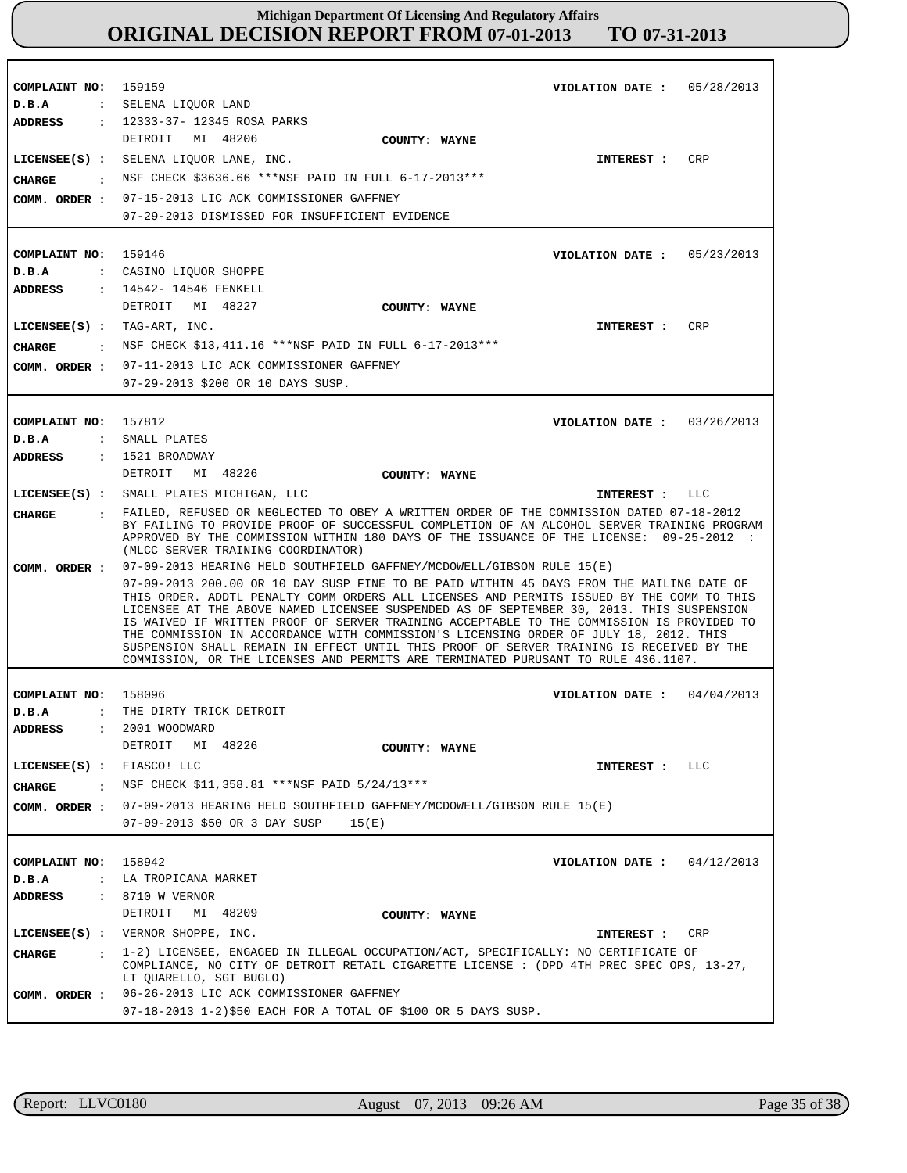| COMPLAINT NO:<br>D.B.A                                                     | 159159<br>VIOLATION DATE: $05/28/2013$<br>: SELENA LIQUOR LAND<br>: 12333-37- 12345 ROSA PARKS                                                                                                                                                                                                                                                                                                                                                                                                                                                                                                                                                                                                                                    |  |  |  |
|----------------------------------------------------------------------------|-----------------------------------------------------------------------------------------------------------------------------------------------------------------------------------------------------------------------------------------------------------------------------------------------------------------------------------------------------------------------------------------------------------------------------------------------------------------------------------------------------------------------------------------------------------------------------------------------------------------------------------------------------------------------------------------------------------------------------------|--|--|--|
| <b>ADDRESS</b><br><b>CHARGE</b><br>COMM. ORDER :                           | DETROIT MI 48206<br>COUNTY: WAYNE<br>CRP<br>LICENSEE(S) : SELENA LIQUOR LANE, INC.<br>INTEREST :<br>: NSF CHECK \$3636.66 ***NSF PAID IN FULL 6-17-2013***<br>07-15-2013 LIC ACK COMMISSIONER GAFFNEY<br>07-29-2013 DISMISSED FOR INSUFFICIENT EVIDENCE                                                                                                                                                                                                                                                                                                                                                                                                                                                                           |  |  |  |
| COMPLAINT NO: 159146<br>D.B.A                                              | VIOLATION DATE: $05/23/2013$<br>: CASINO LIQUOR SHOPPE                                                                                                                                                                                                                                                                                                                                                                                                                                                                                                                                                                                                                                                                            |  |  |  |
| <b>ADDRESS</b><br>$LICENSEE(S) : TAG-ART, INC.$<br>CHARGE<br>COMM. ORDER : | : 14542- 14546 FENKELL<br>DETROIT MI 48227<br>COUNTY: WAYNE<br>CRP<br>INTEREST :<br>$\,$ NSF CHECK \$13,411.16 ***NSF PAID IN FULL 6-17-2013***<br>07-11-2013 LIC ACK COMMISSIONER GAFFNEY                                                                                                                                                                                                                                                                                                                                                                                                                                                                                                                                        |  |  |  |
|                                                                            | 07-29-2013 \$200 OR 10 DAYS SUSP.                                                                                                                                                                                                                                                                                                                                                                                                                                                                                                                                                                                                                                                                                                 |  |  |  |
| COMPLAINT NO:<br>D.B.A<br>ADDRESS                                          | 157812<br>03/26/2013<br>VIOLATION DATE :<br>: SMALL PLATES<br>: 1521 BROADWAY                                                                                                                                                                                                                                                                                                                                                                                                                                                                                                                                                                                                                                                     |  |  |  |
|                                                                            | DETROIT<br>MI 48226<br>COUNTY: WAYNE                                                                                                                                                                                                                                                                                                                                                                                                                                                                                                                                                                                                                                                                                              |  |  |  |
| <b>CHARGE</b>                                                              | LICENSEE(S) : SMALL PLATES MICHIGAN, LLC<br>LLC<br>INTEREST :<br>. FAILED, REFUSED OR NEGLECTED TO OBEY A WRITTEN ORDER OF THE COMMISSION DATED 07-18-2012<br>BY FAILING TO PROVIDE PROOF OF SUCCESSFUL COMPLETION OF AN ALCOHOL SERVER TRAINING PROGRAM<br>APPROVED BY THE COMMISSION WITHIN 180 DAYS OF THE ISSUANCE OF THE LICENSE: 09-25-2012 :<br>(MLCC SERVER TRAINING COORDINATOR)                                                                                                                                                                                                                                                                                                                                         |  |  |  |
| COMM. ORDER :                                                              | 07-09-2013 HEARING HELD SOUTHFIELD GAFFNEY/MCDOWELL/GIBSON RULE 15(E)<br>07-09-2013 200.00 OR 10 DAY SUSP FINE TO BE PAID WITHIN 45 DAYS FROM THE MAILING DATE OF<br>THIS ORDER. ADDTL PENALTY COMM ORDERS ALL LICENSES AND PERMITS ISSUED BY THE COMM TO THIS<br>LICENSEE AT THE ABOVE NAMED LICENSEE SUSPENDED AS OF SEPTEMBER 30, 2013. THIS SUSPENSION<br>IS WAIVED IF WRITTEN PROOF OF SERVER TRAINING ACCEPTABLE TO THE COMMISSION IS PROVIDED TO<br>THE COMMISSION IN ACCORDANCE WITH COMMISSION'S LICENSING ORDER OF JULY 18, 2012. THIS<br>SUSPENSION SHALL REMAIN IN EFFECT UNTIL THIS PROOF OF SERVER TRAINING IS RECEIVED BY THE<br>COMMISSION, OR THE LICENSES AND PERMITS ARE TERMINATED PURUSANT TO RULE 436.1107. |  |  |  |
| COMPLAINT NO:                                                              | 04/04/2013<br>158096<br>VIOLATION DATE :                                                                                                                                                                                                                                                                                                                                                                                                                                                                                                                                                                                                                                                                                          |  |  |  |
| D.B.A<br>$\ddot{\cdot}$<br><b>ADDRESS</b>                                  | THE DIRTY TRICK DETROIT<br>2001 WOODWARD<br>DETROIT MI 48226<br>COUNTY: WAYNE                                                                                                                                                                                                                                                                                                                                                                                                                                                                                                                                                                                                                                                     |  |  |  |
| LICENSEE(S) : FIASCO! LLC                                                  | <b>INTEREST :</b><br>LLC                                                                                                                                                                                                                                                                                                                                                                                                                                                                                                                                                                                                                                                                                                          |  |  |  |
| CHARGE                                                                     | : NSF CHECK \$11,358.81 ***NSF PAID 5/24/13***                                                                                                                                                                                                                                                                                                                                                                                                                                                                                                                                                                                                                                                                                    |  |  |  |
|                                                                            | COMM. ORDER : 07-09-2013 HEARING HELD SOUTHFIELD GAFFNEY/MCDOWELL/GIBSON RULE 15(E)<br>07-09-2013 \$50 OR 3 DAY SUSP<br>15(E)                                                                                                                                                                                                                                                                                                                                                                                                                                                                                                                                                                                                     |  |  |  |
| COMPLAINT NO: 158942<br>D.B.A                                              | VIOLATION DATE: $04/12/2013$<br>: LA TROPICANA MARKET                                                                                                                                                                                                                                                                                                                                                                                                                                                                                                                                                                                                                                                                             |  |  |  |
| ADDRESS                                                                    | : 8710 W VERNOR                                                                                                                                                                                                                                                                                                                                                                                                                                                                                                                                                                                                                                                                                                                   |  |  |  |
|                                                                            | MI 48209<br>DETROIT<br>COUNTY: WAYNE                                                                                                                                                                                                                                                                                                                                                                                                                                                                                                                                                                                                                                                                                              |  |  |  |
|                                                                            | LICENSEE(S) : VERNOR SHOPPE, INC.<br>CRP<br>INTEREST :                                                                                                                                                                                                                                                                                                                                                                                                                                                                                                                                                                                                                                                                            |  |  |  |
| <b>CHARGE</b>                                                              | : 1-2) LICENSEE, ENGAGED IN ILLEGAL OCCUPATION/ACT, SPECIFICALLY: NO CERTIFICATE OF<br>COMPLIANCE, NO CITY OF DETROIT RETAIL CIGARETTE LICENSE : (DPD 4TH PREC SPEC OPS, 13-27,<br>LT QUARELLO, SGT BUGLO)                                                                                                                                                                                                                                                                                                                                                                                                                                                                                                                        |  |  |  |
| COMM. ORDER :                                                              | 06-26-2013 LIC ACK COMMISSIONER GAFFNEY<br>07-18-2013 1-2)\$50 EACH FOR A TOTAL OF \$100 OR 5 DAYS SUSP.                                                                                                                                                                                                                                                                                                                                                                                                                                                                                                                                                                                                                          |  |  |  |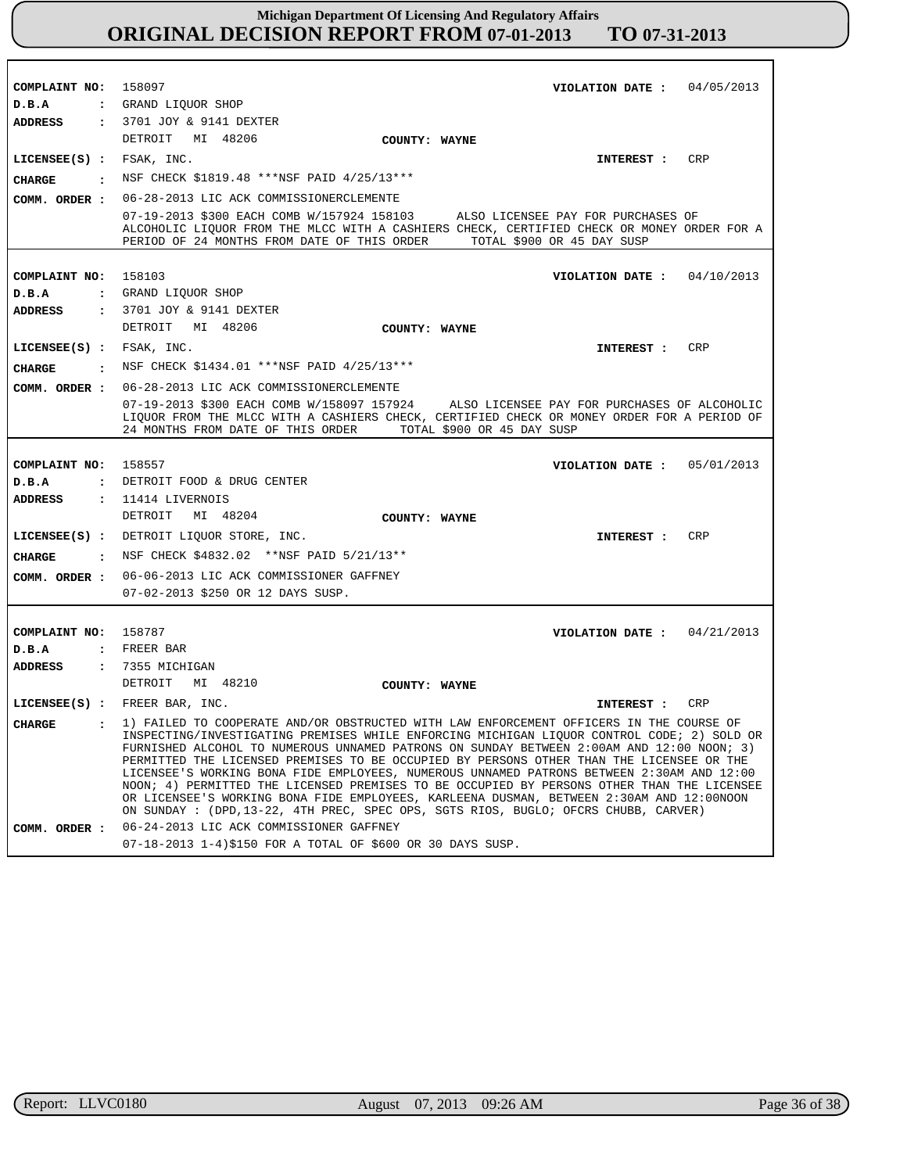| COMPLAINT NO:              | 158097<br>VIOLATION DATE: $04/05/2013$                                                                                                                                                                                                                                                                                                                                                                                                                                                                                                                                                                                                                                                                                                                       |  |  |
|----------------------------|--------------------------------------------------------------------------------------------------------------------------------------------------------------------------------------------------------------------------------------------------------------------------------------------------------------------------------------------------------------------------------------------------------------------------------------------------------------------------------------------------------------------------------------------------------------------------------------------------------------------------------------------------------------------------------------------------------------------------------------------------------------|--|--|
| D.B.A                      | : GRAND LIOUOR SHOP                                                                                                                                                                                                                                                                                                                                                                                                                                                                                                                                                                                                                                                                                                                                          |  |  |
| <b>ADDRESS</b>             | : 3701 JOY & 9141 DEXTER                                                                                                                                                                                                                                                                                                                                                                                                                                                                                                                                                                                                                                                                                                                                     |  |  |
|                            | DETROIT MI 48206<br>COUNTY: WAYNE                                                                                                                                                                                                                                                                                                                                                                                                                                                                                                                                                                                                                                                                                                                            |  |  |
| $LICENSEE(S)$ : FSAK, INC. | CRP<br><b>INTEREST :</b>                                                                                                                                                                                                                                                                                                                                                                                                                                                                                                                                                                                                                                                                                                                                     |  |  |
|                            | . NSF CHECK \$1819.48 ***NSF PAID 4/25/13***                                                                                                                                                                                                                                                                                                                                                                                                                                                                                                                                                                                                                                                                                                                 |  |  |
| <b>CHARGE</b>              |                                                                                                                                                                                                                                                                                                                                                                                                                                                                                                                                                                                                                                                                                                                                                              |  |  |
|                            | COMM. ORDER : 06-28-2013 LIC ACK COMMISSIONERCLEMENTE                                                                                                                                                                                                                                                                                                                                                                                                                                                                                                                                                                                                                                                                                                        |  |  |
|                            | 07-19-2013 \$300 EACH COMB W/157924 158103 ALSO LICENSEE PAY FOR PURCHASES OF<br>ALCOHOLIC LIOUOR FROM THE MLCC WITH A CASHIERS CHECK, CERTIFIED CHECK OR MONEY ORDER FOR A<br>PERIOD OF 24 MONTHS FROM DATE OF THIS ORDER TOTAL \$900 OR 45 DAY SUSP                                                                                                                                                                                                                                                                                                                                                                                                                                                                                                        |  |  |
|                            |                                                                                                                                                                                                                                                                                                                                                                                                                                                                                                                                                                                                                                                                                                                                                              |  |  |
| COMPLAINT NO: 158103       | 04/10/2013<br>VIOLATION DATE :                                                                                                                                                                                                                                                                                                                                                                                                                                                                                                                                                                                                                                                                                                                               |  |  |
| D.B.A<br>$\mathbf{r}$      | GRAND LIQUOR SHOP                                                                                                                                                                                                                                                                                                                                                                                                                                                                                                                                                                                                                                                                                                                                            |  |  |
| <b>ADDRESS</b>             | : 3701 JOY & 9141 DEXTER                                                                                                                                                                                                                                                                                                                                                                                                                                                                                                                                                                                                                                                                                                                                     |  |  |
|                            | DETROIT MI 48206<br>COUNTY: WAYNE                                                                                                                                                                                                                                                                                                                                                                                                                                                                                                                                                                                                                                                                                                                            |  |  |
| $LICENSEE(S)$ : FSAK, INC. | <b>CRP</b><br>INTEREST :                                                                                                                                                                                                                                                                                                                                                                                                                                                                                                                                                                                                                                                                                                                                     |  |  |
| CHARGE<br>$\mathbf{r}$     | NSF CHECK \$1434.01 *** NSF PAID 4/25/13***                                                                                                                                                                                                                                                                                                                                                                                                                                                                                                                                                                                                                                                                                                                  |  |  |
| COMM. ORDER :              | 06-28-2013 LIC ACK COMMISSIONERCLEMENTE                                                                                                                                                                                                                                                                                                                                                                                                                                                                                                                                                                                                                                                                                                                      |  |  |
|                            | 07-19-2013 \$300 EACH COMB W/158097 157924 ALSO LICENSEE PAY FOR PURCHASES OF ALCOHOLIC<br>LIQUOR FROM THE MLCC WITH A CASHIERS CHECK, CERTIFIED CHECK OR MONEY ORDER FOR A PERIOD OF<br>24 MONTHS FROM DATE OF THIS ORDER<br>TOTAL \$900 OR 45 DAY SUSP                                                                                                                                                                                                                                                                                                                                                                                                                                                                                                     |  |  |
|                            |                                                                                                                                                                                                                                                                                                                                                                                                                                                                                                                                                                                                                                                                                                                                                              |  |  |
| COMPLAINT NO:              | 158557<br>VIOLATION DATE: $05/01/2013$                                                                                                                                                                                                                                                                                                                                                                                                                                                                                                                                                                                                                                                                                                                       |  |  |
| D.B.A                      | : DETROIT FOOD & DRUG CENTER                                                                                                                                                                                                                                                                                                                                                                                                                                                                                                                                                                                                                                                                                                                                 |  |  |
| <b>ADDRESS</b>             | $: 11414$ LIVERNOIS                                                                                                                                                                                                                                                                                                                                                                                                                                                                                                                                                                                                                                                                                                                                          |  |  |
|                            | DETROIT MI 48204<br>COUNTY: WAYNE                                                                                                                                                                                                                                                                                                                                                                                                                                                                                                                                                                                                                                                                                                                            |  |  |
|                            | LICENSEE(S) : DETROIT LIQUOR STORE, INC.<br>CRP<br>INTEREST :                                                                                                                                                                                                                                                                                                                                                                                                                                                                                                                                                                                                                                                                                                |  |  |
| <b>CHARGE</b>              | : NSF CHECK \$4832.02 ** NSF PAID 5/21/13**                                                                                                                                                                                                                                                                                                                                                                                                                                                                                                                                                                                                                                                                                                                  |  |  |
| COMM. ORDER :              | 06-06-2013 LIC ACK COMMISSIONER GAFFNEY                                                                                                                                                                                                                                                                                                                                                                                                                                                                                                                                                                                                                                                                                                                      |  |  |
|                            | 07-02-2013 \$250 OR 12 DAYS SUSP.                                                                                                                                                                                                                                                                                                                                                                                                                                                                                                                                                                                                                                                                                                                            |  |  |
|                            |                                                                                                                                                                                                                                                                                                                                                                                                                                                                                                                                                                                                                                                                                                                                                              |  |  |
| COMPLAINT NO: 158787       | VIOLATION DATE: $04/21/2013$                                                                                                                                                                                                                                                                                                                                                                                                                                                                                                                                                                                                                                                                                                                                 |  |  |
| D.B.A                      | : FREER BAR                                                                                                                                                                                                                                                                                                                                                                                                                                                                                                                                                                                                                                                                                                                                                  |  |  |
| <b>ADDRESS</b>             | : 7355 MICHIGAN                                                                                                                                                                                                                                                                                                                                                                                                                                                                                                                                                                                                                                                                                                                                              |  |  |
|                            | DETROIT MI 48210<br>COUNTY: WAYNE                                                                                                                                                                                                                                                                                                                                                                                                                                                                                                                                                                                                                                                                                                                            |  |  |
|                            | $LICENSE (S) :$ FREER BAR, INC.<br>CRP<br>INTEREST :                                                                                                                                                                                                                                                                                                                                                                                                                                                                                                                                                                                                                                                                                                         |  |  |
| <b>CHARGE</b>              | 1) FAILED TO COOPERATE AND/OR OBSTRUCTED WITH LAW ENFORCEMENT OFFICERS IN THE COURSE OF<br>INSPECTING/INVESTIGATING PREMISES WHILE ENFORCING MICHIGAN LIQUOR CONTROL CODE; 2) SOLD OR<br>FURNISHED ALCOHOL TO NUMEROUS UNNAMED PATRONS ON SUNDAY BETWEEN 2:00AM AND 12:00 NOON; 3)<br>PERMITTED THE LICENSED PREMISES TO BE OCCUPIED BY PERSONS OTHER THAN THE LICENSEE OR THE<br>LICENSEE'S WORKING BONA FIDE EMPLOYEES, NUMEROUS UNNAMED PATRONS BETWEEN 2:30AM AND 12:00<br>NOON; 4) PERMITTED THE LICENSED PREMISES TO BE OCCUPIED BY PERSONS OTHER THAN THE LICENSEE<br>OR LICENSEE'S WORKING BONA FIDE EMPLOYEES, KARLEENA DUSMAN, BETWEEN 2:30AM AND 12:00NOON<br>ON SUNDAY : (DPD, 13-22, 4TH PREC, SPEC OPS, SGTS RIOS, BUGLO; OFCRS CHUBB, CARVER) |  |  |
| COMM. ORDER :              | 06-24-2013 LIC ACK COMMISSIONER GAFFNEY                                                                                                                                                                                                                                                                                                                                                                                                                                                                                                                                                                                                                                                                                                                      |  |  |
|                            | 07-18-2013 1-4)\$150 FOR A TOTAL OF \$600 OR 30 DAYS SUSP.                                                                                                                                                                                                                                                                                                                                                                                                                                                                                                                                                                                                                                                                                                   |  |  |

٦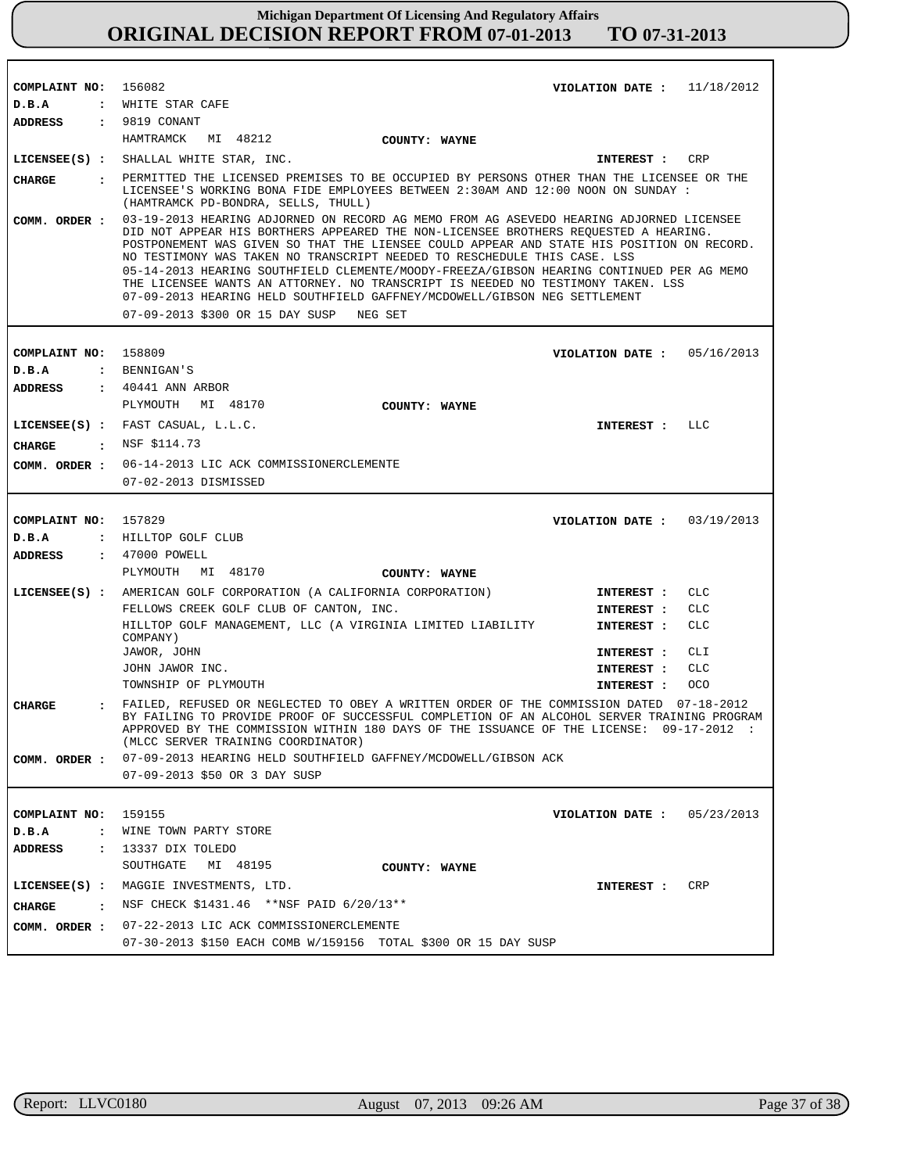| COMPLAINT NO: 156082  |                                                                                                                                                                                                                                                                                                                                                                                                                                                                                                                                                                                                                                                                | VIOLATION DATE: $11/18/2012$ |            |
|-----------------------|----------------------------------------------------------------------------------------------------------------------------------------------------------------------------------------------------------------------------------------------------------------------------------------------------------------------------------------------------------------------------------------------------------------------------------------------------------------------------------------------------------------------------------------------------------------------------------------------------------------------------------------------------------------|------------------------------|------------|
| D.B.A                 | : WHITE STAR CAFE                                                                                                                                                                                                                                                                                                                                                                                                                                                                                                                                                                                                                                              |                              |            |
| ADDRESS : 9819 CONANT |                                                                                                                                                                                                                                                                                                                                                                                                                                                                                                                                                                                                                                                                |                              |            |
|                       | HAMTRAMCK MI 48212<br>COUNTY: WAYNE                                                                                                                                                                                                                                                                                                                                                                                                                                                                                                                                                                                                                            |                              |            |
|                       | LICENSEE(S) : SHALLAL WHITE STAR, INC.                                                                                                                                                                                                                                                                                                                                                                                                                                                                                                                                                                                                                         | <b>INTEREST :</b>            | CRP        |
| <b>CHARGE</b>         | . PERMITTED THE LICENSED PREMISES TO BE OCCUPIED BY PERSONS OTHER THAN THE LICENSEE OR THE<br>LICENSEE'S WORKING BONA FIDE EMPLOYEES BETWEEN 2:30AM AND 12:00 NOON ON SUNDAY :<br>(HAMTRAMCK PD-BONDRA, SELLS, THULL)                                                                                                                                                                                                                                                                                                                                                                                                                                          |                              |            |
| COMM. ORDER :         | 03-19-2013 HEARING ADJORNED ON RECORD AG MEMO FROM AG ASEVEDO HEARING ADJORNED LICENSEE<br>DID NOT APPEAR HIS BORTHERS APPEARED THE NON-LICENSEE BROTHERS REQUESTED A HEARING.<br>POSTPONEMENT WAS GIVEN SO THAT THE LIENSEE COULD APPEAR AND STATE HIS POSITION ON RECORD.<br>NO TESTIMONY WAS TAKEN NO TRANSCRIPT NEEDED TO RESCHEDULE THIS CASE. LSS<br>05-14-2013 HEARING SOUTHFIELD CLEMENTE/MOODY-FREEZA/GIBSON HEARING CONTINUED PER AG MEMO<br>THE LICENSEE WANTS AN ATTORNEY. NO TRANSCRIPT IS NEEDED NO TESTIMONY TAKEN. LSS<br>07-09-2013 HEARING HELD SOUTHFIELD GAFFNEY/MCDOWELL/GIBSON NEG SETTLEMENT<br>07-09-2013 \$300 OR 15 DAY SUSP NEG SET |                              |            |
| COMPLAINT NO:         | 158809                                                                                                                                                                                                                                                                                                                                                                                                                                                                                                                                                                                                                                                         | VIOLATION DATE: $05/16/2013$ |            |
| D.B.A                 | : BENNIGAN'S                                                                                                                                                                                                                                                                                                                                                                                                                                                                                                                                                                                                                                                   |                              |            |
| <b>ADDRESS</b>        | $\pm$ 40441 ANN ARBOR                                                                                                                                                                                                                                                                                                                                                                                                                                                                                                                                                                                                                                          |                              |            |
|                       | PLYMOUTH MI 48170                                                                                                                                                                                                                                                                                                                                                                                                                                                                                                                                                                                                                                              |                              |            |
|                       | COUNTY: WAYNE                                                                                                                                                                                                                                                                                                                                                                                                                                                                                                                                                                                                                                                  |                              |            |
|                       | LICENSEE(S) : FAST CASUAL, L.L.C.                                                                                                                                                                                                                                                                                                                                                                                                                                                                                                                                                                                                                              | INTEREST :                   | LLC        |
| CIIARGE               | $:$ NSF \$114.73                                                                                                                                                                                                                                                                                                                                                                                                                                                                                                                                                                                                                                               |                              |            |
|                       | COMM. ORDER : 06-14-2013 LIC ACK COMMISSIONERCLEMENTE                                                                                                                                                                                                                                                                                                                                                                                                                                                                                                                                                                                                          |                              |            |
|                       | 07-02-2013 DISMISSED                                                                                                                                                                                                                                                                                                                                                                                                                                                                                                                                                                                                                                           |                              |            |
|                       |                                                                                                                                                                                                                                                                                                                                                                                                                                                                                                                                                                                                                                                                |                              |            |
| COMPLAINT NO: 157829  |                                                                                                                                                                                                                                                                                                                                                                                                                                                                                                                                                                                                                                                                | VIOLATION DATE: $03/19/2013$ |            |
| D.B.A                 | : HILLTOP GOLF CLUB                                                                                                                                                                                                                                                                                                                                                                                                                                                                                                                                                                                                                                            |                              |            |
| ADDRESS               | : 47000 POWELL                                                                                                                                                                                                                                                                                                                                                                                                                                                                                                                                                                                                                                                 |                              |            |
|                       | MI 48170<br>PLYMOUTH<br>COUNTY: WAYNE                                                                                                                                                                                                                                                                                                                                                                                                                                                                                                                                                                                                                          |                              |            |
|                       | LICENSEE(S) : AMERICAN GOLF CORPORATION (A CALIFORNIA CORPORATION)                                                                                                                                                                                                                                                                                                                                                                                                                                                                                                                                                                                             | INTEREST :                   | CLC        |
|                       | FELLOWS CREEK GOLF CLUB OF CANTON, INC.                                                                                                                                                                                                                                                                                                                                                                                                                                                                                                                                                                                                                        | INTEREST :                   | CLC        |
|                       | HILLTOP GOLF MANAGEMENT, LLC (A VIRGINIA LIMITED LIABILITY<br>COMPANY)                                                                                                                                                                                                                                                                                                                                                                                                                                                                                                                                                                                         | INTEREST :                   | <b>CLC</b> |
|                       | JAWOR, JOHN                                                                                                                                                                                                                                                                                                                                                                                                                                                                                                                                                                                                                                                    | INTEREST :                   | CLI        |
|                       | JOHN JAWOR INC.                                                                                                                                                                                                                                                                                                                                                                                                                                                                                                                                                                                                                                                | INTEREST :                   | <b>CLC</b> |
|                       | TOWNSHIP OF PLYMOUTH                                                                                                                                                                                                                                                                                                                                                                                                                                                                                                                                                                                                                                           | INTEREST :                   | oco        |
| <b>CHARGE</b>         | FAILED, REFUSED OR NEGLECTED TO OBEY A WRITTEN ORDER OF THE COMMISSION DATED 07-18-2012<br>BY FAILING TO PROVIDE PROOF OF SUCCESSFUL COMPLETION OF AN ALCOHOL SERVER TRAINING PROGRAM<br>APPROVED BY THE COMMISSION WITHIN 180 DAYS OF THE ISSUANCE OF THE LICENSE: 09-17-2012 :<br>(MLCC SERVER TRAINING COORDINATOR)                                                                                                                                                                                                                                                                                                                                         |                              |            |
|                       | COMM. ORDER : 07-09-2013 HEARING HELD SOUTHFIELD GAFFNEY/MCDOWELL/GIBSON ACK                                                                                                                                                                                                                                                                                                                                                                                                                                                                                                                                                                                   |                              |            |
|                       | 07-09-2013 \$50 OR 3 DAY SUSP                                                                                                                                                                                                                                                                                                                                                                                                                                                                                                                                                                                                                                  |                              |            |
|                       |                                                                                                                                                                                                                                                                                                                                                                                                                                                                                                                                                                                                                                                                |                              |            |
| COMPLAINT NO: 159155  |                                                                                                                                                                                                                                                                                                                                                                                                                                                                                                                                                                                                                                                                | VIOLATION DATE: $05/23/2013$ |            |
| D.B.A                 | : WINE TOWN PARTY STORE                                                                                                                                                                                                                                                                                                                                                                                                                                                                                                                                                                                                                                        |                              |            |
| ADDRESS               | : 13337 DIX TOLEDO                                                                                                                                                                                                                                                                                                                                                                                                                                                                                                                                                                                                                                             |                              |            |
|                       | SOUTHGATE MI 48195<br>COUNTY: WAYNE                                                                                                                                                                                                                                                                                                                                                                                                                                                                                                                                                                                                                            |                              |            |
|                       | LICENSEE(S) : MAGGIE INVESTMENTS, LTD.                                                                                                                                                                                                                                                                                                                                                                                                                                                                                                                                                                                                                         | INTEREST : CRP               |            |
| CHARGE                | : NSF CHECK \$1431.46 ** NSF PAID 6/20/13**                                                                                                                                                                                                                                                                                                                                                                                                                                                                                                                                                                                                                    |                              |            |
|                       | COMM. ORDER : 07-22-2013 LIC ACK COMMISSIONERCLEMENTE                                                                                                                                                                                                                                                                                                                                                                                                                                                                                                                                                                                                          |                              |            |
|                       | 07-30-2013 \$150 EACH COMB W/159156 TOTAL \$300 OR 15 DAY SUSP                                                                                                                                                                                                                                                                                                                                                                                                                                                                                                                                                                                                 |                              |            |